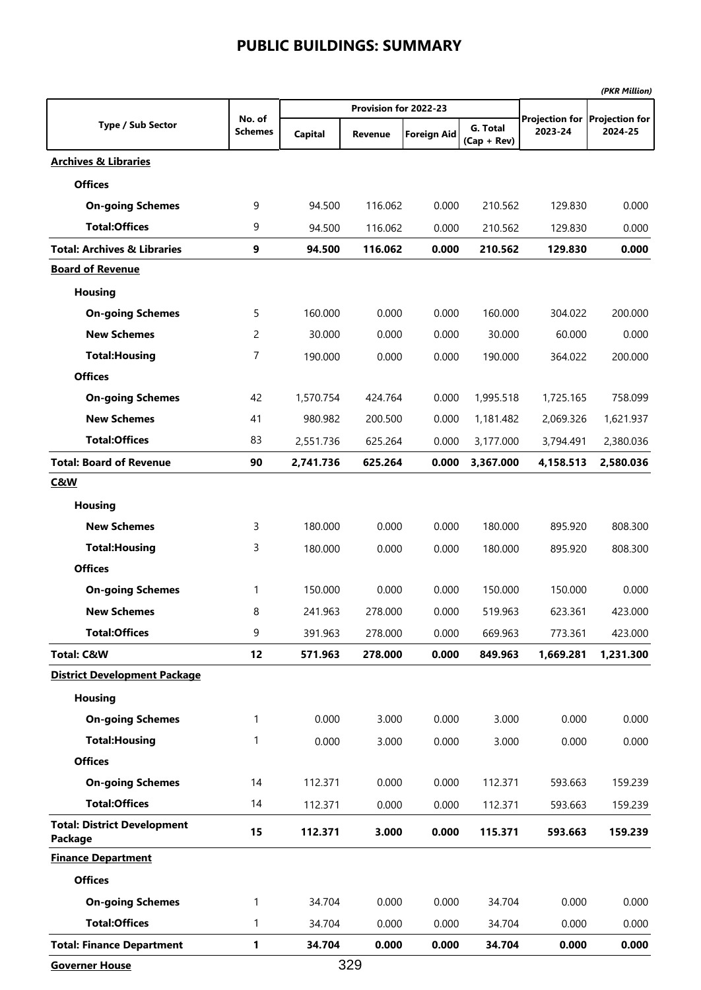|                                               |                |                |                       |                    |                           |           | (PKR Million)                 |
|-----------------------------------------------|----------------|----------------|-----------------------|--------------------|---------------------------|-----------|-------------------------------|
|                                               | No. of         |                | Provision for 2022-23 |                    |                           |           | Projection for Projection for |
| <b>Type / Sub Sector</b>                      | <b>Schemes</b> | <b>Capital</b> | <b>Revenue</b>        | <b>Foreign Aid</b> | G. Total<br>$(Cap + Rev)$ | 2023-24   | 2024-25                       |
| <b>Archives &amp; Libraries</b>               |                |                |                       |                    |                           |           |                               |
| <b>Offices</b>                                |                |                |                       |                    |                           |           |                               |
| <b>On-going Schemes</b>                       | 9              | 94.500         | 116.062               | 0.000              | 210.562                   | 129.830   | 0.000                         |
| <b>Total:Offices</b>                          | 9              | 94.500         | 116.062               | 0.000              | 210.562                   | 129.830   | 0.000                         |
| <b>Total: Archives &amp; Libraries</b>        | 9              | 94.500         | 116.062               | 0.000              | 210.562                   | 129.830   | 0.000                         |
| <b>Board of Revenue</b>                       |                |                |                       |                    |                           |           |                               |
| <b>Housing</b>                                |                |                |                       |                    |                           |           |                               |
| <b>On-going Schemes</b>                       | 5              | 160.000        | 0.000                 | 0.000              | 160.000                   | 304.022   | 200.000                       |
| <b>New Schemes</b>                            | 2              | 30.000         | 0.000                 | 0.000              | 30.000                    | 60.000    | 0.000                         |
| <b>Total: Housing</b>                         | 7              | 190.000        | 0.000                 | 0.000              | 190.000                   | 364.022   | 200.000                       |
| <b>Offices</b>                                |                |                |                       |                    |                           |           |                               |
| <b>On-going Schemes</b>                       | 42             | 1,570.754      | 424.764               | 0.000              | 1,995.518                 | 1,725.165 | 758.099                       |
| <b>New Schemes</b>                            | 41             | 980.982        | 200.500               | 0.000              | 1,181.482                 | 2,069.326 | 1,621.937                     |
| <b>Total:Offices</b>                          | 83             | 2,551.736      | 625.264               | 0.000              | 3,177.000                 | 3,794.491 | 2,380.036                     |
| <b>Total: Board of Revenue</b>                | 90             | 2,741.736      | 625.264               | 0.000              | 3,367.000                 | 4,158.513 | 2,580.036                     |
| <u>C&amp;W</u>                                |                |                |                       |                    |                           |           |                               |
| <b>Housing</b>                                |                |                |                       |                    |                           |           |                               |
| <b>New Schemes</b>                            | 3              | 180.000        | 0.000                 | 0.000              | 180.000                   | 895.920   | 808.300                       |
| <b>Total: Housing</b>                         | 3              | 180.000        | 0.000                 | 0.000              | 180.000                   | 895.920   | 808.300                       |
| <b>Offices</b>                                |                |                |                       |                    |                           |           |                               |
| <b>On-going Schemes</b>                       | 1              | 150.000        | 0.000                 | 0.000              | 150.000                   | 150.000   | 0.000                         |
| <b>New Schemes</b>                            | 8              | 241.963        | 278.000               | 0.000              | 519.963                   | 623.361   | 423.000                       |
| <b>Total:Offices</b>                          | 9              | 391.963        | 278.000               | 0.000              | 669.963                   | 773.361   | 423.000                       |
| <b>Total: C&amp;W</b>                         | 12             | 571.963        | 278.000               | 0.000              | 849.963                   | 1,669.281 | 1,231.300                     |
| <b>District Development Package</b>           |                |                |                       |                    |                           |           |                               |
| <b>Housing</b>                                |                |                |                       |                    |                           |           |                               |
| <b>On-going Schemes</b>                       | 1              | 0.000          | 3.000                 | 0.000              | 3.000                     | 0.000     | 0.000                         |
| <b>Total: Housing</b>                         | 1              | 0.000          | 3.000                 | 0.000              | 3.000                     | 0.000     | 0.000                         |
| <b>Offices</b>                                |                |                |                       |                    |                           |           |                               |
| <b>On-going Schemes</b>                       | 14             | 112.371        | 0.000                 | 0.000              | 112.371                   | 593.663   | 159.239                       |
| <b>Total:Offices</b>                          | 14             | 112.371        | 0.000                 | 0.000              | 112.371                   | 593.663   | 159.239                       |
| <b>Total: District Development</b><br>Package | 15             | 112.371        | 3.000                 | 0.000              | 115.371                   | 593.663   | 159.239                       |
| <b>Finance Department</b>                     |                |                |                       |                    |                           |           |                               |
| <b>Offices</b>                                |                |                |                       |                    |                           |           |                               |
| <b>On-going Schemes</b>                       | 1              | 34.704         | 0.000                 | 0.000              | 34.704                    | 0.000     | 0.000                         |
| <b>Total:Offices</b>                          | 1              | 34.704         | 0.000                 | 0.000              | 34.704                    | 0.000     | 0.000                         |
| <b>Total: Finance Department</b>              | 1              | 34.704         | 0.000                 | 0.000              | 34.704                    | 0.000     | 0.000                         |

**Governer House**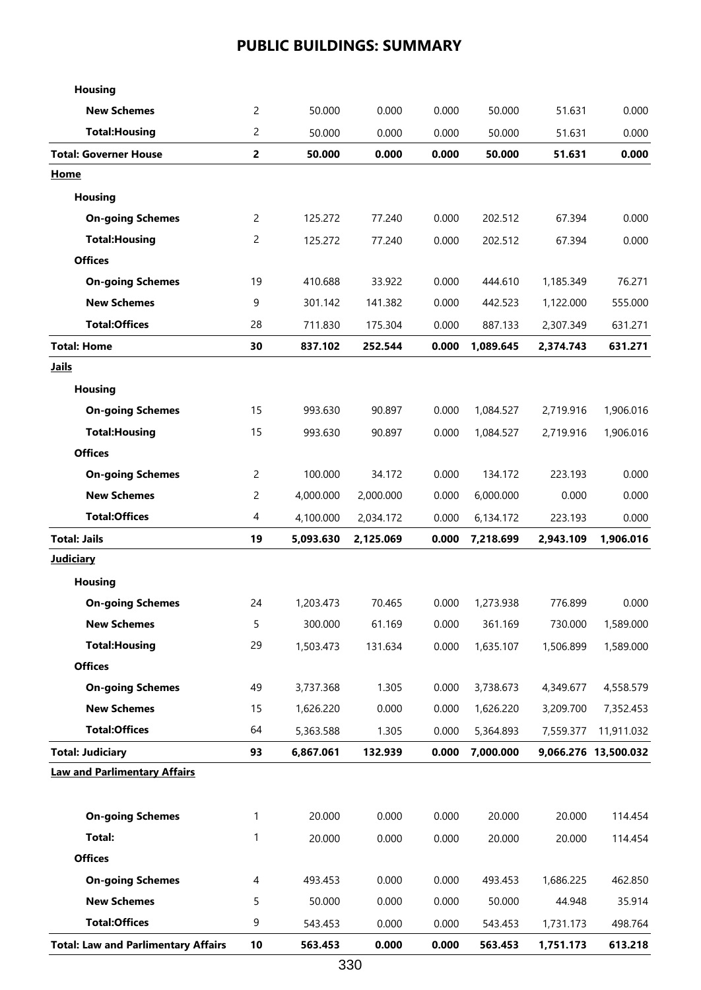| <b>Housing</b>                             |                         |           |           |       |           |           |                      |
|--------------------------------------------|-------------------------|-----------|-----------|-------|-----------|-----------|----------------------|
| <b>New Schemes</b>                         | 2                       | 50.000    | 0.000     | 0.000 | 50.000    | 51.631    | 0.000                |
| <b>Total: Housing</b>                      | 2                       | 50.000    | 0.000     | 0.000 | 50.000    | 51.631    | 0.000                |
| <b>Total: Governer House</b>               | $\overline{\mathbf{c}}$ | 50.000    | 0.000     | 0.000 | 50.000    | 51.631    | 0.000                |
| Home                                       |                         |           |           |       |           |           |                      |
| <b>Housing</b>                             |                         |           |           |       |           |           |                      |
| <b>On-going Schemes</b>                    | 2                       | 125.272   | 77.240    | 0.000 | 202.512   | 67.394    | 0.000                |
| <b>Total: Housing</b>                      | 2                       | 125.272   | 77.240    | 0.000 | 202.512   | 67.394    | 0.000                |
| <b>Offices</b>                             |                         |           |           |       |           |           |                      |
| <b>On-going Schemes</b>                    | 19                      | 410.688   | 33.922    | 0.000 | 444.610   | 1,185.349 | 76.271               |
| <b>New Schemes</b>                         | 9                       | 301.142   | 141.382   | 0.000 | 442.523   | 1,122.000 | 555.000              |
| <b>Total:Offices</b>                       | 28                      | 711.830   | 175.304   | 0.000 | 887.133   | 2,307.349 | 631.271              |
| <b>Total: Home</b>                         | 30                      | 837.102   | 252.544   | 0.000 | 1,089.645 | 2,374.743 | 631.271              |
| <b>Jails</b>                               |                         |           |           |       |           |           |                      |
| <b>Housing</b>                             |                         |           |           |       |           |           |                      |
| <b>On-going Schemes</b>                    | 15                      | 993.630   | 90.897    | 0.000 | 1,084.527 | 2,719.916 | 1,906.016            |
| <b>Total: Housing</b>                      | 15                      | 993.630   | 90.897    | 0.000 | 1,084.527 | 2,719.916 | 1,906.016            |
| <b>Offices</b>                             |                         |           |           |       |           |           |                      |
| <b>On-going Schemes</b>                    | 2                       | 100.000   | 34.172    | 0.000 | 134.172   | 223.193   | 0.000                |
| <b>New Schemes</b>                         | 2                       | 4,000.000 | 2,000.000 | 0.000 | 6,000.000 | 0.000     | 0.000                |
| <b>Total:Offices</b>                       | 4                       | 4,100.000 | 2,034.172 | 0.000 | 6,134.172 | 223.193   | 0.000                |
| <b>Total: Jails</b>                        | 19                      | 5,093.630 | 2,125.069 | 0.000 | 7,218.699 | 2,943.109 | 1,906.016            |
| <b>Judiciary</b>                           |                         |           |           |       |           |           |                      |
| <b>Housing</b>                             |                         |           |           |       |           |           |                      |
| <b>On-going Schemes</b>                    | 24                      | 1,203.473 | 70.465    | 0.000 | 1,273.938 | 776.899   | 0.000                |
| <b>New Schemes</b>                         | 5                       | 300.000   | 61.169    | 0.000 | 361.169   | 730.000   | 1,589.000            |
| <b>Total: Housing</b>                      | 29                      | 1,503.473 | 131.634   | 0.000 | 1,635.107 | 1,506.899 | 1,589.000            |
| <b>Offices</b>                             |                         |           |           |       |           |           |                      |
| <b>On-going Schemes</b>                    | 49                      | 3,737.368 | 1.305     | 0.000 | 3,738.673 | 4,349.677 | 4,558.579            |
| <b>New Schemes</b>                         | 15                      | 1,626.220 | 0.000     | 0.000 | 1,626.220 | 3,209.700 | 7,352.453            |
| <b>Total:Offices</b>                       | 64                      | 5,363.588 | 1.305     | 0.000 | 5,364.893 | 7,559.377 | 11,911.032           |
| <b>Total: Judiciary</b>                    | 93                      | 6,867.061 | 132.939   | 0.000 | 7,000.000 |           | 9,066.276 13,500.032 |
| <b>Law and Parlimentary Affairs</b>        |                         |           |           |       |           |           |                      |
|                                            |                         |           |           |       |           |           |                      |
| <b>On-going Schemes</b>                    | 1                       | 20.000    | 0.000     | 0.000 | 20.000    | 20.000    | 114.454              |
| Total:                                     | 1                       | 20.000    | 0.000     | 0.000 | 20.000    | 20.000    | 114.454              |
| <b>Offices</b>                             |                         |           |           |       |           |           |                      |
| <b>On-going Schemes</b>                    | 4                       | 493.453   | 0.000     | 0.000 | 493.453   | 1,686.225 | 462.850              |
| <b>New Schemes</b>                         | 5                       | 50.000    | 0.000     | 0.000 | 50.000    | 44.948    | 35.914               |
| <b>Total:Offices</b>                       | 9                       | 543.453   | 0.000     | 0.000 | 543.453   | 1,731.173 | 498.764              |
| <b>Total: Law and Parlimentary Affairs</b> | 10                      | 563.453   | 0.000     | 0.000 | 563.453   | 1,751.173 | 613.218              |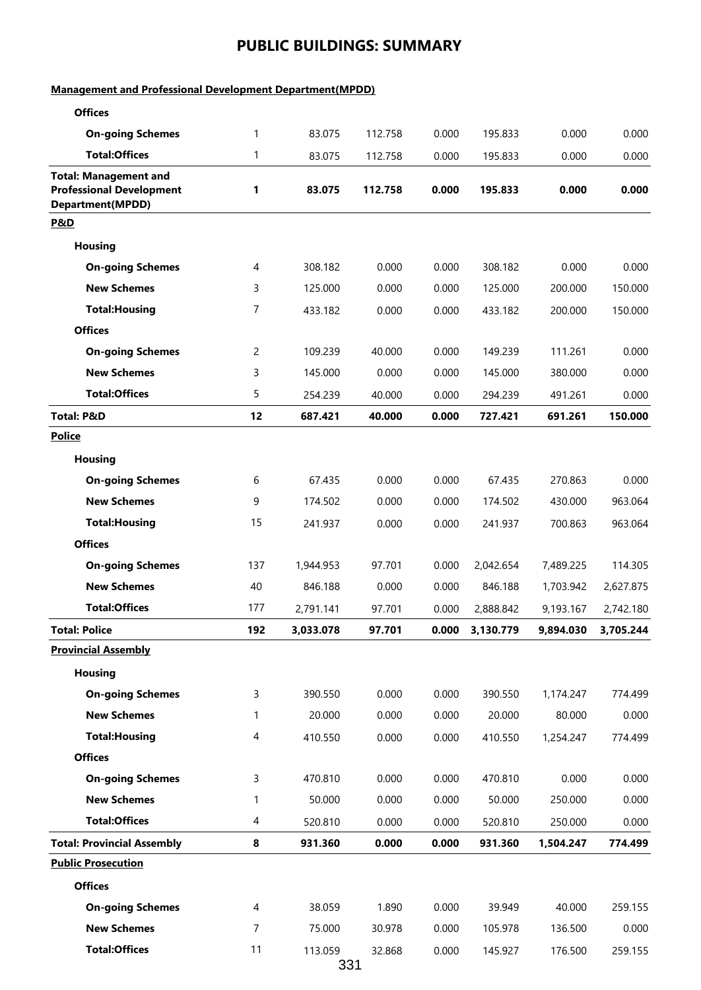#### **Management and Professional Development Department(MPDD)**

| <b>Offices</b>                                                                             |                |                |         |       |           |           |           |
|--------------------------------------------------------------------------------------------|----------------|----------------|---------|-------|-----------|-----------|-----------|
| <b>On-going Schemes</b>                                                                    | 1              | 83.075         | 112.758 | 0.000 | 195.833   | 0.000     | 0.000     |
| <b>Total:Offices</b>                                                                       | 1              | 83.075         | 112.758 | 0.000 | 195.833   | 0.000     | 0.000     |
| <b>Total: Management and</b><br><b>Professional Development</b><br><b>Department(MPDD)</b> | 1              | 83.075         | 112.758 | 0.000 | 195.833   | 0.000     | 0.000     |
| P&D                                                                                        |                |                |         |       |           |           |           |
| <b>Housing</b>                                                                             |                |                |         |       |           |           |           |
| <b>On-going Schemes</b>                                                                    | 4              | 308.182        | 0.000   | 0.000 | 308.182   | 0.000     | 0.000     |
| <b>New Schemes</b>                                                                         | 3              | 125.000        | 0.000   | 0.000 | 125.000   | 200.000   | 150.000   |
| <b>Total: Housing</b>                                                                      | 7              | 433.182        | 0.000   | 0.000 | 433.182   | 200.000   | 150.000   |
| <b>Offices</b>                                                                             |                |                |         |       |           |           |           |
| <b>On-going Schemes</b>                                                                    | $\overline{c}$ | 109.239        | 40.000  | 0.000 | 149.239   | 111.261   | 0.000     |
| <b>New Schemes</b>                                                                         | 3              | 145.000        | 0.000   | 0.000 | 145.000   | 380.000   | 0.000     |
| <b>Total:Offices</b>                                                                       | 5              | 254.239        | 40.000  | 0.000 | 294.239   | 491.261   | 0.000     |
| <b>Total: P&amp;D</b>                                                                      | 12             | 687.421        | 40.000  | 0.000 | 727.421   | 691.261   | 150.000   |
| <b>Police</b>                                                                              |                |                |         |       |           |           |           |
| <b>Housing</b>                                                                             |                |                |         |       |           |           |           |
| <b>On-going Schemes</b>                                                                    | 6              | 67.435         | 0.000   | 0.000 | 67.435    | 270.863   | 0.000     |
| <b>New Schemes</b>                                                                         | 9              | 174.502        | 0.000   | 0.000 | 174.502   | 430.000   | 963.064   |
| <b>Total: Housing</b>                                                                      | 15             | 241.937        | 0.000   | 0.000 | 241.937   | 700.863   | 963.064   |
| <b>Offices</b>                                                                             |                |                |         |       |           |           |           |
| <b>On-going Schemes</b>                                                                    | 137            | 1,944.953      | 97.701  | 0.000 | 2,042.654 | 7,489.225 | 114.305   |
| <b>New Schemes</b>                                                                         | 40             | 846.188        | 0.000   | 0.000 | 846.188   | 1,703.942 | 2,627.875 |
| <b>Total:Offices</b>                                                                       | 177            | 2,791.141      | 97.701  | 0.000 | 2,888.842 | 9,193.167 | 2,742.180 |
| <b>Total: Police</b>                                                                       | 192            | 3,033.078      | 97.701  | 0.000 | 3,130.779 | 9,894.030 | 3,705.244 |
| <b>Provincial Assembly</b>                                                                 |                |                |         |       |           |           |           |
| <b>Housing</b>                                                                             |                |                |         |       |           |           |           |
| <b>On-going Schemes</b>                                                                    | 3              | 390.550        | 0.000   | 0.000 | 390.550   | 1,174.247 | 774.499   |
| <b>New Schemes</b>                                                                         | 1              | 20.000         | 0.000   | 0.000 | 20.000    | 80.000    | 0.000     |
| <b>Total: Housing</b>                                                                      | $\overline{4}$ | 410.550        | 0.000   | 0.000 | 410.550   | 1,254.247 | 774.499   |
| <b>Offices</b>                                                                             |                |                |         |       |           |           |           |
| <b>On-going Schemes</b>                                                                    | 3              | 470.810        | 0.000   | 0.000 | 470.810   | 0.000     | 0.000     |
| <b>New Schemes</b>                                                                         | 1              | 50.000         | 0.000   | 0.000 | 50.000    | 250.000   | 0.000     |
| <b>Total:Offices</b>                                                                       | 4              | 520.810        | 0.000   | 0.000 | 520.810   | 250.000   | 0.000     |
| <b>Total: Provincial Assembly</b>                                                          | 8              | 931.360        | 0.000   | 0.000 | 931.360   | 1,504.247 | 774.499   |
| <b>Public Prosecution</b>                                                                  |                |                |         |       |           |           |           |
| <b>Offices</b>                                                                             |                |                |         |       |           |           |           |
| <b>On-going Schemes</b>                                                                    | 4              | 38.059         | 1.890   | 0.000 | 39.949    | 40.000    | 259.155   |
| <b>New Schemes</b>                                                                         | 7              | 75.000         | 30.978  | 0.000 | 105.978   | 136.500   | 0.000     |
| <b>Total:Offices</b>                                                                       | 11             | 113.059<br>331 | 32.868  | 0.000 | 145.927   | 176.500   | 259.155   |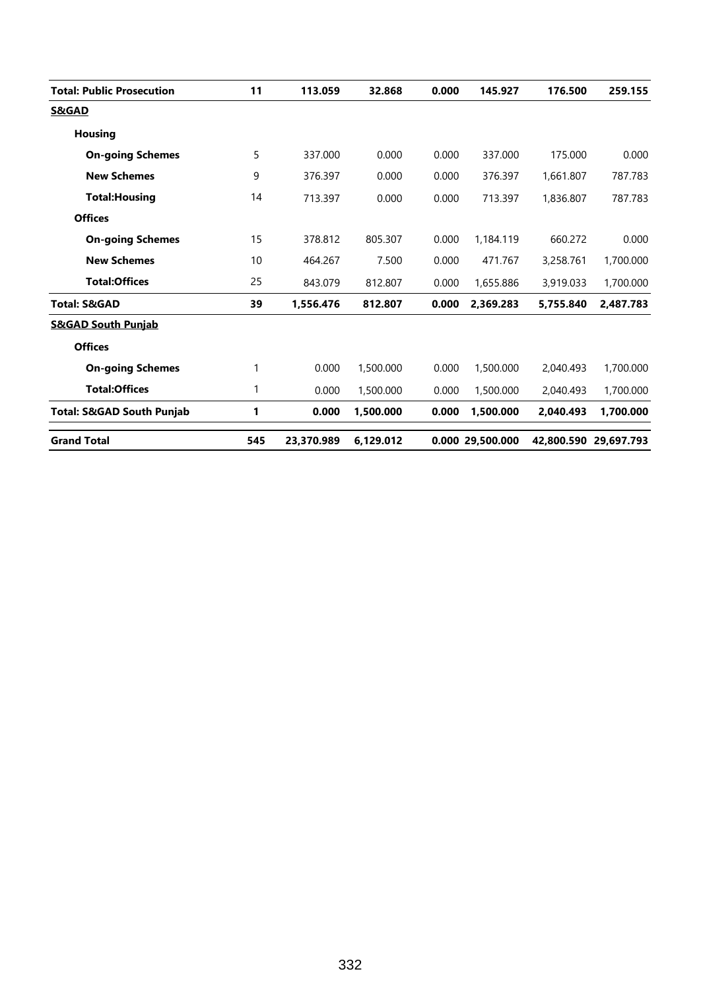| <b>Total: Public Prosecution</b>     | 11           | 113.059    | 32.868    | 0.000 | 145.927          | 176.500   | 259.155               |
|--------------------------------------|--------------|------------|-----------|-------|------------------|-----------|-----------------------|
| <b>S&amp;GAD</b>                     |              |            |           |       |                  |           |                       |
| <b>Housing</b>                       |              |            |           |       |                  |           |                       |
| <b>On-going Schemes</b>              | 5            | 337.000    | 0.000     | 0.000 | 337.000          | 175.000   | 0.000                 |
| <b>New Schemes</b>                   | 9            | 376.397    | 0.000     | 0.000 | 376.397          | 1.661.807 | 787.783               |
| <b>Total: Housing</b>                | 14           | 713.397    | 0.000     | 0.000 | 713.397          | 1,836.807 | 787.783               |
| <b>Offices</b>                       |              |            |           |       |                  |           |                       |
| <b>On-going Schemes</b>              | 15           | 378.812    | 805.307   | 0.000 | 1,184.119        | 660.272   | 0.000                 |
| <b>New Schemes</b>                   | 10           | 464.267    | 7.500     | 0.000 | 471.767          | 3,258.761 | 1,700.000             |
| <b>Total:Offices</b>                 | 25           | 843.079    | 812.807   | 0.000 | 1,655.886        | 3,919.033 | 1,700.000             |
| <b>Total: S&amp;GAD</b>              | 39           | 1,556.476  | 812.807   | 0.000 | 2,369.283        | 5,755.840 | 2,487.783             |
| <b>S&amp;GAD South Punjab</b>        |              |            |           |       |                  |           |                       |
| <b>Offices</b>                       |              |            |           |       |                  |           |                       |
| <b>On-going Schemes</b>              | $\mathbf{1}$ | 0.000      | 1,500.000 | 0.000 | 1,500.000        | 2,040.493 | 1,700.000             |
| <b>Total:Offices</b>                 | 1            | 0.000      | 1,500.000 | 0.000 | 1,500.000        | 2,040.493 | 1,700.000             |
| <b>Total: S&amp;GAD South Punjab</b> | 1            | 0.000      | 1,500.000 | 0.000 | 1,500.000        | 2,040.493 | 1,700.000             |
| <b>Grand Total</b>                   | 545          | 23,370.989 | 6,129.012 |       | 0.000 29,500.000 |           | 42,800.590 29,697.793 |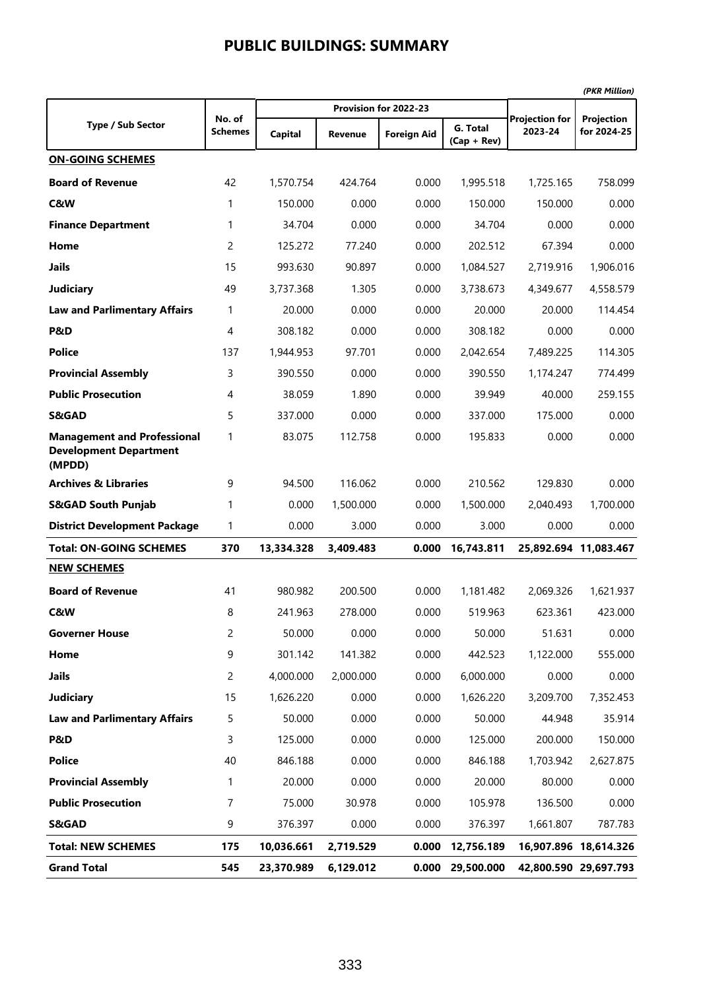| <b>Type / Sub Sector</b>                                                      | No. of         |                |                | Provision for 2022-23 |                           | <b>Projection for</b> | Projection            |
|-------------------------------------------------------------------------------|----------------|----------------|----------------|-----------------------|---------------------------|-----------------------|-----------------------|
|                                                                               | <b>Schemes</b> | <b>Capital</b> | <b>Revenue</b> | <b>Foreign Aid</b>    | G. Total<br>$(Cap + Rev)$ | 2023-24               | for 2024-25           |
| <b>ON-GOING SCHEMES</b>                                                       |                |                |                |                       |                           |                       |                       |
| <b>Board of Revenue</b>                                                       | 42             | 1,570.754      | 424.764        | 0.000                 | 1,995.518                 | 1,725.165             | 758.099               |
| C&W                                                                           | 1              | 150.000        | 0.000          | 0.000                 | 150.000                   | 150.000               | 0.000                 |
| <b>Finance Department</b>                                                     | 1              | 34.704         | 0.000          | 0.000                 | 34.704                    | 0.000                 | 0.000                 |
| Home                                                                          | 2              | 125.272        | 77.240         | 0.000                 | 202.512                   | 67.394                | 0.000                 |
| <b>Jails</b>                                                                  | 15             | 993.630        | 90.897         | 0.000                 | 1,084.527                 | 2,719.916             | 1,906.016             |
| <b>Judiciary</b>                                                              | 49             | 3,737.368      | 1.305          | 0.000                 | 3,738.673                 | 4,349.677             | 4,558.579             |
| <b>Law and Parlimentary Affairs</b>                                           | 1              | 20.000         | 0.000          | 0.000                 | 20.000                    | 20.000                | 114.454               |
| P&D                                                                           | 4              | 308.182        | 0.000          | 0.000                 | 308.182                   | 0.000                 | 0.000                 |
| <b>Police</b>                                                                 | 137            | 1,944.953      | 97.701         | 0.000                 | 2,042.654                 | 7,489.225             | 114.305               |
| <b>Provincial Assembly</b>                                                    | 3              | 390.550        | 0.000          | 0.000                 | 390.550                   | 1,174.247             | 774.499               |
| <b>Public Prosecution</b>                                                     | 4              | 38.059         | 1.890          | 0.000                 | 39.949                    | 40.000                | 259.155               |
| <b>S&amp;GAD</b>                                                              | 5              | 337.000        | 0.000          | 0.000                 | 337.000                   | 175.000               | 0.000                 |
| <b>Management and Professional</b><br><b>Development Department</b><br>(MPDD) | 1              | 83.075         | 112.758        | 0.000                 | 195.833                   | 0.000                 | 0.000                 |
| <b>Archives &amp; Libraries</b>                                               | 9              | 94.500         | 116.062        | 0.000                 | 210.562                   | 129.830               | 0.000                 |
| <b>S&amp;GAD South Punjab</b>                                                 | 1              | 0.000          | 1,500.000      | 0.000                 | 1,500.000                 | 2,040.493             | 1,700.000             |
| <b>District Development Package</b>                                           | 1              | 0.000          | 3.000          | 0.000                 | 3.000                     | 0.000                 | 0.000                 |
| <b>Total: ON-GOING SCHEMES</b>                                                | 370            | 13,334.328     | 3,409.483      | 0.000                 | 16,743.811                |                       | 25,892.694 11,083.467 |
| <b>NEW SCHEMES</b>                                                            |                |                |                |                       |                           |                       |                       |
| <b>Board of Revenue</b>                                                       | 41             | 980.982        | 200.500        | 0.000                 | 1,181.482                 | 2,069.326             | 1,621.937             |
| C&W                                                                           | 8              | 241.963        | 278.000        | 0.000                 | 519.963                   | 623.361               | 423.000               |
| <b>Governer House</b>                                                         | 2              | 50.000         | 0.000          | 0.000                 | 50.000                    | 51.631                | 0.000                 |
| Home                                                                          | 9              | 301.142        | 141.382        | 0.000                 | 442.523                   | 1,122.000             | 555.000               |
| <b>Jails</b>                                                                  | 2              | 4,000.000      | 2,000.000      | 0.000                 | 6,000.000                 | 0.000                 | 0.000                 |
| <b>Judiciary</b>                                                              | 15             | 1,626.220      | 0.000          | 0.000                 | 1,626.220                 | 3,209.700             | 7,352.453             |
| <b>Law and Parlimentary Affairs</b>                                           | 5              | 50.000         | 0.000          | 0.000                 | 50.000                    | 44.948                | 35.914                |
| P&D                                                                           | 3              | 125.000        | 0.000          | 0.000                 | 125.000                   | 200.000               | 150.000               |
| <b>Police</b>                                                                 | 40             | 846.188        | 0.000          | 0.000                 | 846.188                   | 1,703.942             | 2,627.875             |
| <b>Provincial Assembly</b>                                                    | 1              | 20.000         | 0.000          | 0.000                 | 20.000                    | 80.000                | 0.000                 |
| <b>Public Prosecution</b>                                                     | 7              | 75.000         | 30.978         | 0.000                 | 105.978                   | 136.500               | 0.000                 |
| S&GAD                                                                         | 9              | 376.397        | 0.000          | 0.000                 | 376.397                   | 1,661.807             | 787.783               |
| <b>Total: NEW SCHEMES</b>                                                     | 175            | 10,036.661     | 2,719.529      | 0.000                 | 12,756.189                |                       | 16,907.896 18,614.326 |
| <b>Grand Total</b>                                                            | 545            | 23,370.989     | 6,129.012      | 0.000                 | 29,500.000                |                       | 42,800.590 29,697.793 |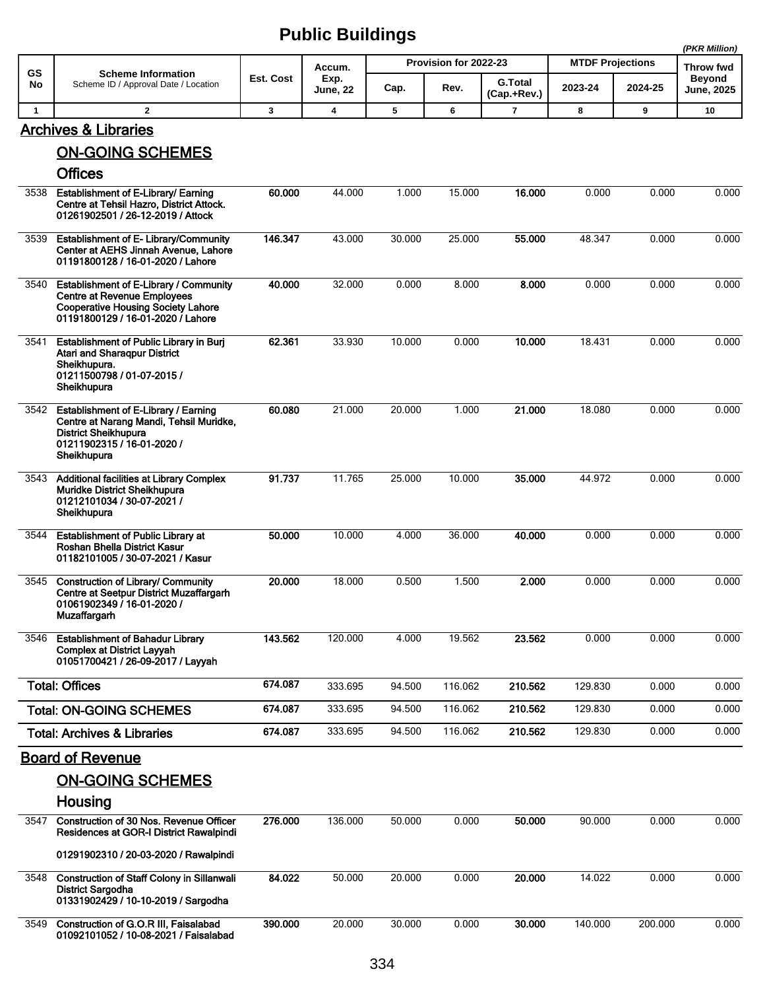|              |                                                                                                                                                                |           |                         |        |                       |                               |                         |         | (PKR Million)                      |
|--------------|----------------------------------------------------------------------------------------------------------------------------------------------------------------|-----------|-------------------------|--------|-----------------------|-------------------------------|-------------------------|---------|------------------------------------|
| <b>GS</b>    | <b>Scheme Information</b>                                                                                                                                      |           | Accum.                  |        | Provision for 2022-23 |                               | <b>MTDF Projections</b> |         | Throw fwd                          |
| No           | Scheme ID / Approval Date / Location                                                                                                                           | Est. Cost | Exp.<br><b>June, 22</b> | Cap.   | Rev.                  | <b>G.Total</b><br>(Cap.+Rev.) | 2023-24                 | 2024-25 | <b>Beyond</b><br><b>June, 2025</b> |
| $\mathbf{1}$ | $\mathbf{2}$                                                                                                                                                   | 3         | 4                       | 5      | 6                     | $\overline{7}$                | 8                       | 9       | 10                                 |
|              | <b>Archives &amp; Libraries</b>                                                                                                                                |           |                         |        |                       |                               |                         |         |                                    |
|              | <b>ON-GOING SCHEMES</b>                                                                                                                                        |           |                         |        |                       |                               |                         |         |                                    |
|              | <b>Offices</b>                                                                                                                                                 |           |                         |        |                       |                               |                         |         |                                    |
| 3538         | Establishment of E-Library/ Earning<br>Centre at Tehsil Hazro, District Attock.<br>01261902501 / 26-12-2019 / Attock                                           | 60.000    | 44.000                  | 1.000  | 15.000                | 16.000                        | 0.000                   | 0.000   | 0.000                              |
| 3539         | <b>Establishment of E- Library/Community</b><br>Center at AEHS Jinnah Avenue, Lahore<br>01191800128 / 16-01-2020 / Lahore                                      | 146.347   | 43.000                  | 30.000 | 25.000                | 55.000                        | 48.347                  | 0.000   | 0.000                              |
| 3540         | Establishment of E-Library / Community<br><b>Centre at Revenue Employees</b><br><b>Cooperative Housing Society Lahore</b><br>01191800129 / 16-01-2020 / Lahore | 40.000    | 32.000                  | 0.000  | 8.000                 | 8.000                         | 0.000                   | 0.000   | 0.000                              |
| 3541         | Establishment of Public Library in Burj<br><b>Atari and Sharaqpur District</b><br>Sheikhupura.<br>01211500798 / 01-07-2015 /<br>Sheikhupura                    | 62.361    | 33.930                  | 10.000 | 0.000                 | 10.000                        | 18.431                  | 0.000   | 0.000                              |
| 3542         | Establishment of E-Library / Earning<br>Centre at Narang Mandi, Tehsil Muridke,<br><b>District Sheikhupura</b><br>01211902315 / 16-01-2020 /<br>Sheikhupura    | 60.080    | 21.000                  | 20.000 | 1.000                 | 21.000                        | 18.080                  | 0.000   | 0.000                              |
| 3543         | Additional facilities at Library Complex<br>Muridke District Sheikhupura<br>01212101034 / 30-07-2021 /<br>Sheikhupura                                          | 91.737    | 11.765                  | 25.000 | 10.000                | 35,000                        | 44.972                  | 0.000   | 0.000                              |
| 3544         | <b>Establishment of Public Library at</b><br>Roshan Bhella District Kasur<br>01182101005 / 30-07-2021 / Kasur                                                  | 50.000    | 10.000                  | 4.000  | 36.000                | 40.000                        | 0.000                   | 0.000   | 0.000                              |
| 3545         | <b>Construction of Library/ Community</b><br>Centre at Seetpur District Muzaffargarh<br>01061902349 / 16-01-2020 /<br>Muzaffargarh                             | 20.000    | 18.000                  | 0.500  | 1.500                 | 2.000                         | 0.000                   | 0.000   | 0.000                              |
| 3546         | <b>Establishment of Bahadur Library</b><br><b>Complex at District Layyah</b><br>01051700421 / 26-09-2017 / Layyah                                              | 143.562   | 120.000                 | 4.000  | 19.562                | 23.562                        | 0.000                   | 0.000   | 0.000                              |
|              | <b>Total: Offices</b>                                                                                                                                          | 674.087   | 333.695                 | 94.500 | 116.062               | 210.562                       | 129.830                 | 0.000   | 0.000                              |
|              | <b>Total: ON-GOING SCHEMES</b>                                                                                                                                 | 674.087   | 333.695                 | 94.500 | 116.062               | 210.562                       | 129.830                 | 0.000   | 0.000                              |
|              | <b>Total: Archives &amp; Libraries</b>                                                                                                                         | 674.087   | 333.695                 | 94.500 | 116.062               | 210.562                       | 129.830                 | 0.000   | 0.000                              |
|              | <b>Board of Revenue</b>                                                                                                                                        |           |                         |        |                       |                               |                         |         |                                    |
|              | <b>ON-GOING SCHEMES</b>                                                                                                                                        |           |                         |        |                       |                               |                         |         |                                    |
|              | Housing                                                                                                                                                        |           |                         |        |                       |                               |                         |         |                                    |
| 3547         | Construction of 30 Nos. Revenue Officer<br>Residences at GOR-I District Rawalpindi                                                                             | 276.000   | 136.000                 | 50.000 | 0.000                 | 50.000                        | 90.000                  | 0.000   | 0.000                              |
|              | 01291902310 / 20-03-2020 / Rawalpindi                                                                                                                          |           |                         |        |                       |                               |                         |         |                                    |
| 3548         | <b>Construction of Staff Colony in Sillanwali</b><br>District Sargodha<br>01331902429 / 10-10-2019 / Sargodha                                                  | 84.022    | 50.000                  | 20.000 | 0.000                 | 20.000                        | 14.022                  | 0.000   | 0.000                              |
| 3549         | Construction of G.O.R III, Faisalabad<br>01092101052 / 10-08-2021 / Faisalabad                                                                                 | 390.000   | 20.000                  | 30.000 | 0.000                 | 30.000                        | 140.000                 | 200.000 | 0.000                              |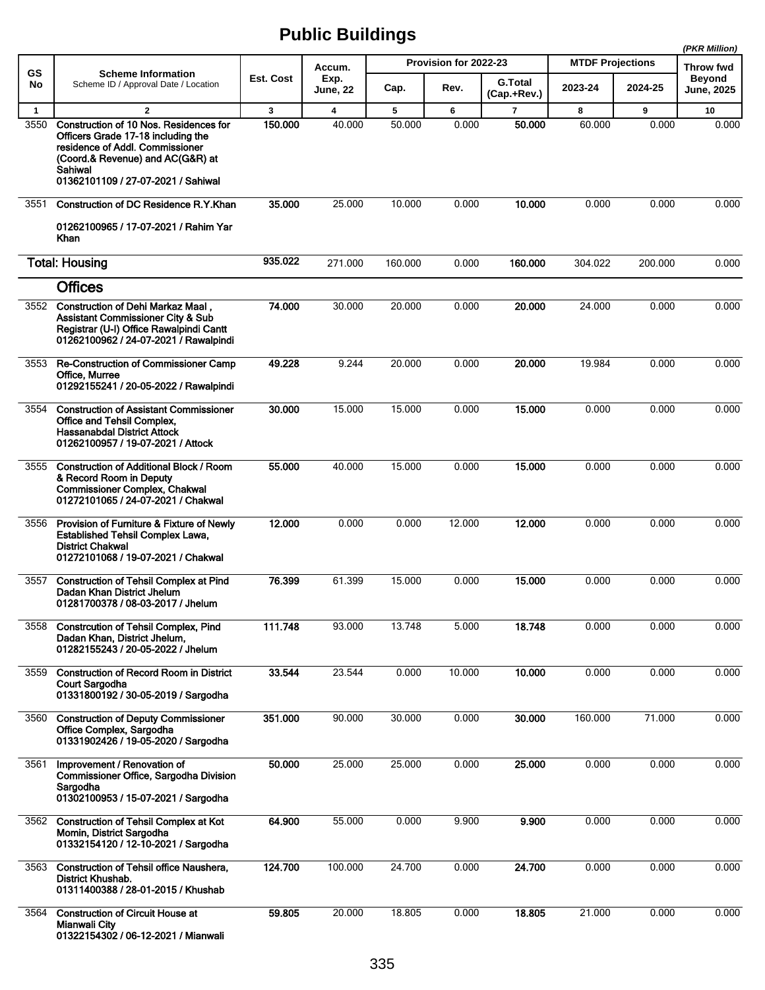**(PKR Million)**

|              |                                                                                                                                                                                                      |           |                         |         |                       |                               |                         |                  | (PKR Million)                      |
|--------------|------------------------------------------------------------------------------------------------------------------------------------------------------------------------------------------------------|-----------|-------------------------|---------|-----------------------|-------------------------------|-------------------------|------------------|------------------------------------|
| <b>GS</b>    | <b>Scheme Information</b>                                                                                                                                                                            |           | Accum.                  |         | Provision for 2022-23 |                               | <b>MTDF Projections</b> | <b>Throw fwd</b> |                                    |
| No           | Scheme ID / Approval Date / Location                                                                                                                                                                 | Est. Cost | Exp.<br><b>June, 22</b> | Cap.    | Rev.                  | <b>G.Total</b><br>(Cap.+Rev.) | 2023-24                 | 2024-25          | <b>Beyond</b><br><b>June, 2025</b> |
| $\mathbf{1}$ | $\overline{2}$                                                                                                                                                                                       | 3         | 4                       | 5       | 6                     | $\overline{7}$                | 8                       | 9                | 10                                 |
| 3550         | Construction of 10 Nos. Residences for<br>Officers Grade 17-18 including the<br>residence of Addl. Commissioner<br>(Coord.& Revenue) and AC(G&R) at<br>Sahiwal<br>01362101109 / 27-07-2021 / Sahiwal | 150,000   | 40.000                  | 50.000  | 0.000                 | 50.000                        | 60.000                  | 0.000            | 0.000                              |
| 3551         | Construction of DC Residence R.Y.Khan                                                                                                                                                                | 35,000    | 25.000                  | 10.000  | 0.000                 | 10.000                        | 0.000                   | 0.000            | 0.000                              |
|              | 01262100965 / 17-07-2021 / Rahim Yar<br>Khan                                                                                                                                                         |           |                         |         |                       |                               |                         |                  |                                    |
|              | <b>Total: Housing</b>                                                                                                                                                                                | 935.022   | 271.000                 | 160.000 | 0.000                 | 160.000                       | 304.022                 | 200.000          | 0.000                              |
|              | <b>Offices</b>                                                                                                                                                                                       |           |                         |         |                       |                               |                         |                  |                                    |
| 3552         | Construction of Dehi Markaz Maal,<br><b>Assistant Commissioner City &amp; Sub</b><br>Registrar (U-I) Office Rawalpindi Cantt<br>01262100962 / 24-07-2021 / Rawalpindi                                | 74.000    | 30.000                  | 20.000  | 0.000                 | 20.000                        | 24.000                  | 0.000            | 0.000                              |
| 3553         | Re-Construction of Commissioner Camp<br>Office, Murree<br>01292155241 / 20-05-2022 / Rawalpindi                                                                                                      | 49.228    | 9.244                   | 20.000  | 0.000                 | 20.000                        | 19.984                  | 0.000            | 0.000                              |
| 3554         | <b>Construction of Assistant Commissioner</b><br>Office and Tehsil Complex,<br><b>Hassanabdal District Attock</b><br>01262100957 / 19-07-2021 / Attock                                               | 30.000    | 15.000                  | 15.000  | 0.000                 | 15.000                        | 0.000                   | 0.000            | 0.000                              |
| 3555         | <b>Construction of Additional Block / Room</b><br>& Record Room in Deputy<br><b>Commissioner Complex, Chakwal</b><br>01272101065 / 24-07-2021 / Chakwal                                              | 55.000    | 40.000                  | 15.000  | 0.000                 | 15.000                        | 0.000                   | 0.000            | 0.000                              |
| 3556         | Provision of Furniture & Fixture of Newly<br><b>Established Tehsil Complex Lawa,</b><br><b>District Chakwal</b><br>01272101068 / 19-07-2021 / Chakwal                                                | 12.000    | 0.000                   | 0.000   | 12.000                | 12.000                        | 0.000                   | 0.000            | 0.000                              |
| 3557         | <b>Construction of Tehsil Complex at Pind</b><br>Dadan Khan District Jhelum<br>01281700378 / 08-03-2017 / Jhelum                                                                                     | 76.399    | 61.399                  | 15.000  | 0.000                 | 15.000                        | 0.000                   | 0.000            | 0.000                              |
| 3558         | <b>Constrcution of Tehsil Complex, Pind</b><br>Dadan Khan, District Jhelum,<br>01282155243 / 20-05-2022 / Jhelum                                                                                     | 111.748   | 93.000                  | 13.748  | 5.000                 | 18.748                        | 0.000                   | 0.000            | 0.000                              |
| 3559         | <b>Construction of Record Room in District</b><br><b>Court Sargodha</b><br>01331800192 / 30-05-2019 / Sargodha                                                                                       | 33.544    | 23.544                  | 0.000   | 10.000                | 10.000                        | 0.000                   | 0.000            | 0.000                              |
| 3560         | <b>Construction of Deputy Commissioner</b><br>Office Complex, Sargodha<br>01331902426 / 19-05-2020 / Sargodha                                                                                        | 351.000   | 90.000                  | 30.000  | 0.000                 | 30.000                        | 160.000                 | 71.000           | 0.000                              |
| 3561         | Improvement / Renovation of<br>Commissioner Office, Sargodha Division<br>Sargodha<br>01302100953 / 15-07-2021 / Sargodha                                                                             | 50.000    | 25.000                  | 25.000  | 0.000                 | 25.000                        | 0.000                   | 0.000            | 0.000                              |
| 3562         | <b>Construction of Tehsil Complex at Kot</b><br>Momin, District Sargodha<br>01332154120 / 12-10-2021 / Sargodha                                                                                      | 64.900    | 55.000                  | 0.000   | 9.900                 | 9.900                         | 0.000                   | 0.000            | 0.000                              |
| 3563         | Construction of Tehsil office Naushera,<br>District Khushab.<br>01311400388 / 28-01-2015 / Khushab                                                                                                   | 124.700   | 100.000                 | 24.700  | 0.000                 | 24.700                        | 0.000                   | 0.000            | 0.000                              |
| 3564         | <b>Construction of Circuit House at</b><br><b>Mianwali City</b><br>01322154302 / 06-12-2021 / Mianwali                                                                                               | 59.805    | 20.000                  | 18.805  | 0.000                 | 18.805                        | 21.000                  | 0.000            | 0.000                              |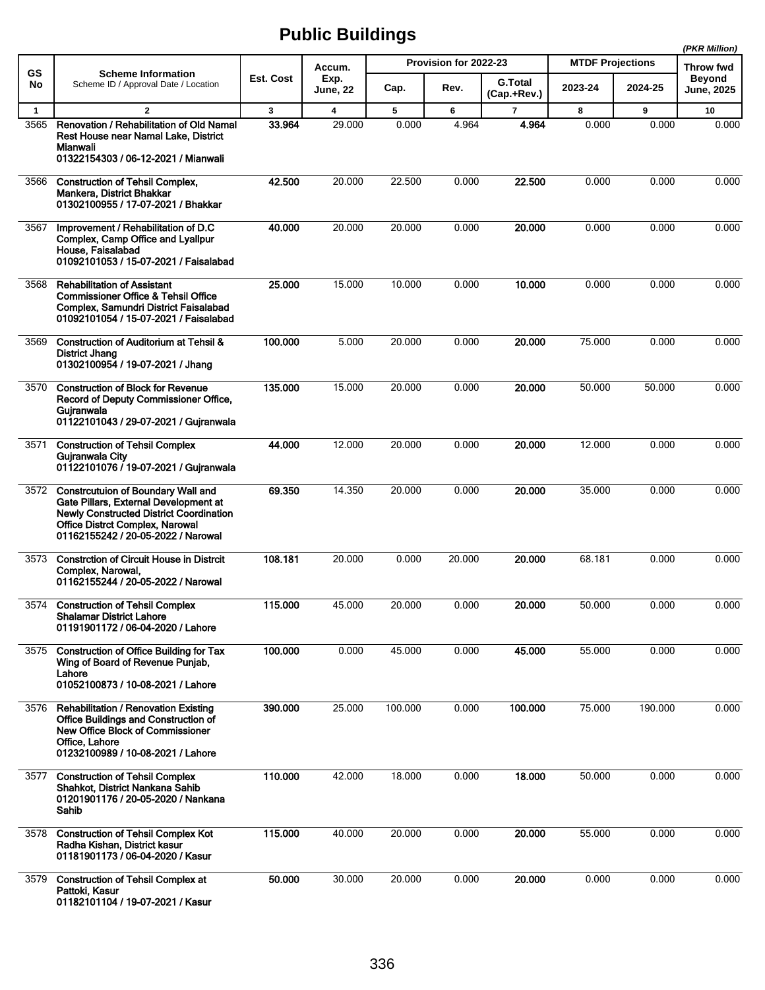|              |                                                                                                                                                                                                             |           |                         |         | (PKR Million)         |                               |                         |           |                                    |
|--------------|-------------------------------------------------------------------------------------------------------------------------------------------------------------------------------------------------------------|-----------|-------------------------|---------|-----------------------|-------------------------------|-------------------------|-----------|------------------------------------|
| GS           | <b>Scheme Information</b>                                                                                                                                                                                   |           | Accum.                  |         | Provision for 2022-23 |                               | <b>MTDF Projections</b> | Throw fwd |                                    |
| No           | Scheme ID / Approval Date / Location                                                                                                                                                                        | Est. Cost | Exp.<br><b>June, 22</b> | Cap.    | Rev.                  | <b>G.Total</b><br>(Cap.+Rev.) | 2023-24                 | 2024-25   | <b>Beyond</b><br><b>June, 2025</b> |
| $\mathbf{1}$ | $\overline{2}$                                                                                                                                                                                              | 3         | $\overline{\mathbf{4}}$ | 5       | 6                     | $\overline{7}$                | 8                       | 9         | 10                                 |
| 3565         | Renovation / Rehabilitation of Old Namal<br>Rest House near Namal Lake, District<br>Mianwali<br>01322154303 / 06-12-2021 / Mianwali                                                                         | 33.964    | 29.000                  | 0.000   | 4.964                 | 4.964                         | 0.000                   | 0.000     | 0.000                              |
| 3566         | <b>Construction of Tehsil Complex,</b><br>Mankera, District Bhakkar<br>01302100955 / 17-07-2021 / Bhakkar                                                                                                   | 42.500    | 20.000                  | 22.500  | 0.000                 | 22.500                        | 0.000                   | 0.000     | 0.000                              |
| 3567         | Improvement / Rehabilitation of D.C<br>Complex, Camp Office and Lyallpur<br>House, Faisalabad<br>01092101053 / 15-07-2021 / Faisalabad                                                                      | 40.000    | 20.000                  | 20.000  | 0.000                 | 20.000                        | 0.000                   | 0.000     | 0.000                              |
| 3568         | <b>Rehabilitation of Assistant</b><br><b>Commissioner Office &amp; Tehsil Office</b><br>Complex, Samundri District Faisalabad<br>01092101054 / 15-07-2021 / Faisalabad                                      | 25.000    | 15.000                  | 10.000  | 0.000                 | 10.000                        | 0.000                   | 0.000     | 0.000                              |
| 3569         | <b>Construction of Auditorium at Tehsil &amp;</b><br>District Jhang<br>01302100954 / 19-07-2021 / Jhang                                                                                                     | 100.000   | 5.000                   | 20.000  | 0.000                 | 20.000                        | 75.000                  | 0.000     | 0.000                              |
| 3570         | <b>Construction of Block for Revenue</b><br>Record of Deputy Commissioner Office,<br>Guiranwala<br>01122101043 / 29-07-2021 / Gujranwala                                                                    | 135.000   | 15.000                  | 20.000  | 0.000                 | 20.000                        | 50.000                  | 50.000    | 0.000                              |
| 3571         | <b>Construction of Tehsil Complex</b><br>Gujranwala City<br>01122101076 / 19-07-2021 / Gujranwala                                                                                                           | 44.000    | 12.000                  | 20.000  | 0.000                 | 20.000                        | 12.000                  | 0.000     | 0.000                              |
|              | 3572 Constrcutuion of Boundary Wall and<br>Gate Pillars, External Development at<br><b>Newly Constructed District Coordination</b><br>Office Distrct Complex, Narowal<br>01162155242 / 20-05-2022 / Narowal | 69.350    | 14.350                  | 20.000  | 0.000                 | 20.000                        | 35.000                  | 0.000     | 0.000                              |
| 3573         | <b>Constrction of Circuit House in Distrcit</b><br>Complex, Narowal,<br>01162155244 / 20-05-2022 / Narowal                                                                                                  | 108.181   | 20.000                  | 0.000   | 20.000                | 20,000                        | 68.181                  | 0.000     | 0.000                              |
| 3574         | <b>Construction of Tehsil Complex</b><br><b>Shalamar District Lahore</b><br>01191901172 / 06-04-2020 / Lahore                                                                                               | 115.000   | 45.000                  | 20.000  | 0.000                 | 20.000                        | 50.000                  | 0.000     | 0.000                              |
| 3575         | <b>Construction of Office Building for Tax</b><br>Wing of Board of Revenue Puniab,<br>Lahore<br>01052100873 / 10-08-2021 / Lahore                                                                           | 100.000   | 0.000                   | 45.000  | 0.000                 | 45.000                        | 55.000                  | 0.000     | 0.000                              |
| 3576         | <b>Rehabilitation / Renovation Existing</b><br>Office Buildings and Construction of<br>New Office Block of Commissioner<br>Office, Lahore<br>01232100989 / 10-08-2021 / Lahore                              | 390.000   | 25.000                  | 100.000 | 0.000                 | 100.000                       | 75.000                  | 190.000   | 0.000                              |
| 3577         | <b>Construction of Tehsil Complex</b><br>Shahkot, District Nankana Sahib<br>01201901176 / 20-05-2020 / Nankana<br>Sahib                                                                                     | 110.000   | 42.000                  | 18.000  | 0.000                 | 18.000                        | 50.000                  | 0.000     | 0.000                              |
| 3578         | <b>Construction of Tehsil Complex Kot</b><br>Radha Kishan, District kasur<br>01181901173 / 06-04-2020 / Kasur                                                                                               | 115.000   | 40.000                  | 20.000  | 0.000                 | 20.000                        | 55.000                  | 0.000     | 0.000                              |
| 3579         | <b>Construction of Tehsil Complex at</b><br>Pattoki, Kasur<br>01182101104 / 19-07-2021 / Kasur                                                                                                              | 50.000    | 30.000                  | 20.000  | 0.000                 | 20.000                        | 0.000                   | 0.000     | 0.000                              |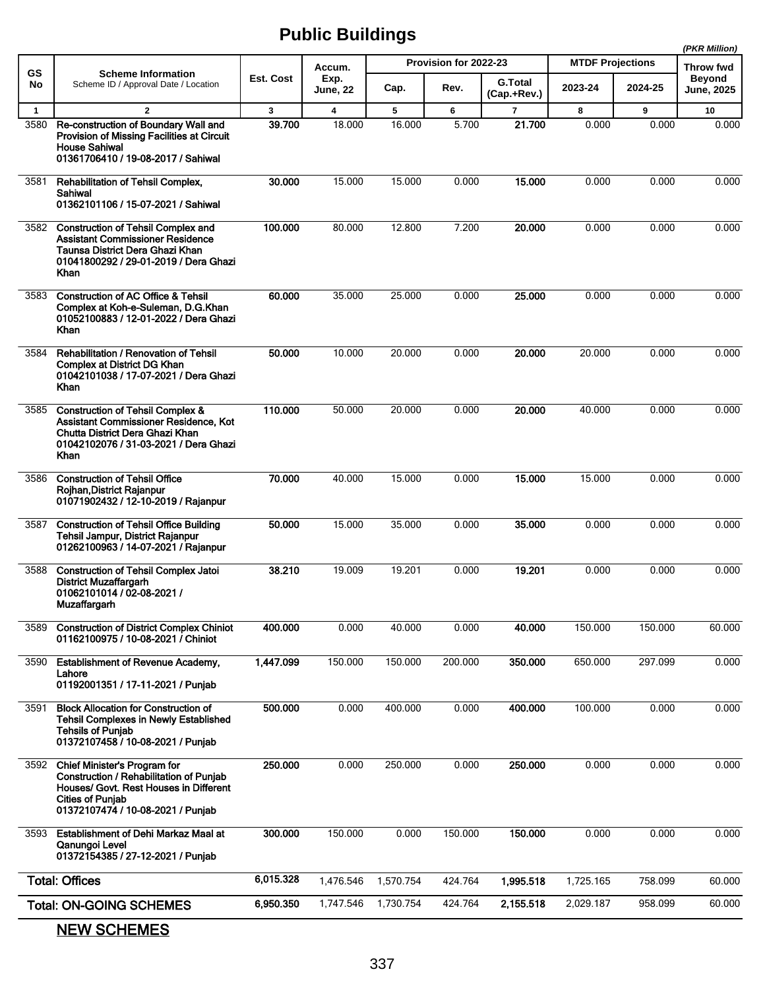|                      |                                                                                                                                                                                   |             |                                   |             |                       |                               |                         |            | (PKR Million)                     |
|----------------------|-----------------------------------------------------------------------------------------------------------------------------------------------------------------------------------|-------------|-----------------------------------|-------------|-----------------------|-------------------------------|-------------------------|------------|-----------------------------------|
| GS                   | <b>Scheme Information</b>                                                                                                                                                         | Est. Cost   | Accum.<br>Exp.                    |             | Provision for 2022-23 |                               | <b>MTDF Projections</b> |            | <b>Throw fwd</b><br><b>Beyond</b> |
| No                   | Scheme ID / Approval Date / Location                                                                                                                                              |             | June, 22                          | Cap.        | Rev.                  | <b>G.Total</b><br>(Cap.+Rev.) | 2023-24                 | 2024-25    | <b>June, 2025</b>                 |
| $\mathbf{1}$<br>3580 | $\overline{2}$<br>Re-construction of Boundary Wall and<br>Provision of Missing Facilities at Circuit<br><b>House Sahiwal</b><br>01361706410 / 19-08-2017 / Sahiwal                | 3<br>39.700 | $\overline{\mathbf{4}}$<br>18.000 | 5<br>16.000 | 6<br>5.700            | $\overline{7}$<br>21.700      | 8<br>0.000              | 9<br>0.000 | 10<br>0.000                       |
| 3581                 | <b>Rehabilitation of Tehsil Complex,</b><br>Sahiwal<br>01362101106 / 15-07-2021 / Sahiwal                                                                                         | 30.000      | 15.000                            | 15.000      | 0.000                 | 15.000                        | 0.000                   | 0.000      | 0.000                             |
| 3582                 | <b>Construction of Tehsil Complex and</b><br>Assistant Commissioner Residence<br>Taunsa District Dera Ghazi Khan<br>01041800292 / 29-01-2019 / Dera Ghazi<br>Khan                 | 100.000     | 80.000                            | 12.800      | 7.200                 | 20.000                        | 0.000                   | 0.000      | 0.000                             |
| 3583                 | <b>Construction of AC Office &amp; Tehsil</b><br>Complex at Koh-e-Suleman, D.G.Khan<br>01052100883 / 12-01-2022 / Dera Ghazi<br>Khan                                              | 60.000      | 35.000                            | 25.000      | 0.000                 | 25.000                        | 0.000                   | 0.000      | 0.000                             |
| 3584                 | <b>Rehabilitation / Renovation of Tehsil</b><br>Complex at District DG Khan<br>01042101038 / 17-07-2021 / Dera Ghazi<br>Khan                                                      | 50.000      | 10.000                            | 20.000      | 0.000                 | 20.000                        | 20.000                  | 0.000      | 0.000                             |
| 3585                 | <b>Construction of Tehsil Complex &amp;</b><br>Assistant Commissioner Residence, Kot<br>Chutta District Dera Ghazi Khan<br>01042102076 / 31-03-2021 / Dera Ghazi<br>Khan          | 110.000     | 50.000                            | 20.000      | 0.000                 | 20.000                        | 40.000                  | 0.000      | 0.000                             |
| 3586                 | <b>Construction of Tehsil Office</b><br>Rojhan, District Rajanpur<br>01071902432 / 12-10-2019 / Rajanpur                                                                          | 70.000      | 40.000                            | 15.000      | 0.000                 | 15,000                        | 15.000                  | 0.000      | 0.000                             |
| 3587                 | <b>Construction of Tehsil Office Building</b><br>Tehsil Jampur, District Rajanpur<br>01262100963 / 14-07-2021 / Rajanpur                                                          | 50.000      | 15.000                            | 35.000      | 0.000                 | 35.000                        | 0.000                   | 0.000      | 0.000                             |
| 3588                 | <b>Construction of Tehsil Complex Jatoi</b><br><b>District Muzaffargarh</b><br>01062101014 / 02-08-2021 /<br><b>Muzaffargarh</b>                                                  | 38.210      | 19.009                            | 19.201      | 0.000                 | 19.201                        | 0.000                   | 0.000      | 0.000                             |
| 3589                 | <b>Construction of District Complex Chiniot</b><br>01162100975 / 10-08-2021 / Chiniot                                                                                             | 400.000     | 0.000                             | 40.000      | 0.000                 | 40.000                        | 150.000                 | 150.000    | 60.000                            |
| 3590                 | <b>Establishment of Revenue Academy,</b><br>Lahore<br>01192001351 / 17-11-2021 / Punjab                                                                                           | 1,447.099   | 150.000                           | 150.000     | 200.000               | 350.000                       | 650.000                 | 297.099    | 0.000                             |
| 3591                 | <b>Block Allocation for Construction of</b><br><b>Tehsil Complexes in Newly Established</b><br><b>Tehsils of Punjab</b><br>01372107458 / 10-08-2021 / Punjab                      | 500.000     | 0.000                             | 400.000     | 0.000                 | 400.000                       | 100.000                 | 0.000      | 0.000                             |
| 3592                 | Chief Minister's Program for<br>Construction / Rehabilitation of Punjab<br>Houses/ Govt. Rest Houses in Different<br><b>Cities of Punjab</b><br>01372107474 / 10-08-2021 / Punjab | 250.000     | 0.000                             | 250.000     | 0.000                 | 250.000                       | 0.000                   | 0.000      | 0.000                             |
| 3593                 | <b>Establishment of Dehi Markaz Maal at</b><br>Qanungoi Level<br>01372154385 / 27-12-2021 / Punjab                                                                                | 300.000     | 150.000                           | 0.000       | 150.000               | 150.000                       | 0.000                   | 0.000      | 0.000                             |
|                      | <b>Total: Offices</b>                                                                                                                                                             | 6,015.328   | 1,476.546                         | 1,570.754   | 424.764               | 1,995.518                     | 1,725.165               | 758.099    | 60.000                            |
|                      | <b>Total: ON-GOING SCHEMES</b>                                                                                                                                                    | 6,950.350   | 1,747.546                         | 1,730.754   | 424.764               | 2,155.518                     | 2,029.187               | 958.099    | 60.000                            |

NEW SCHEMES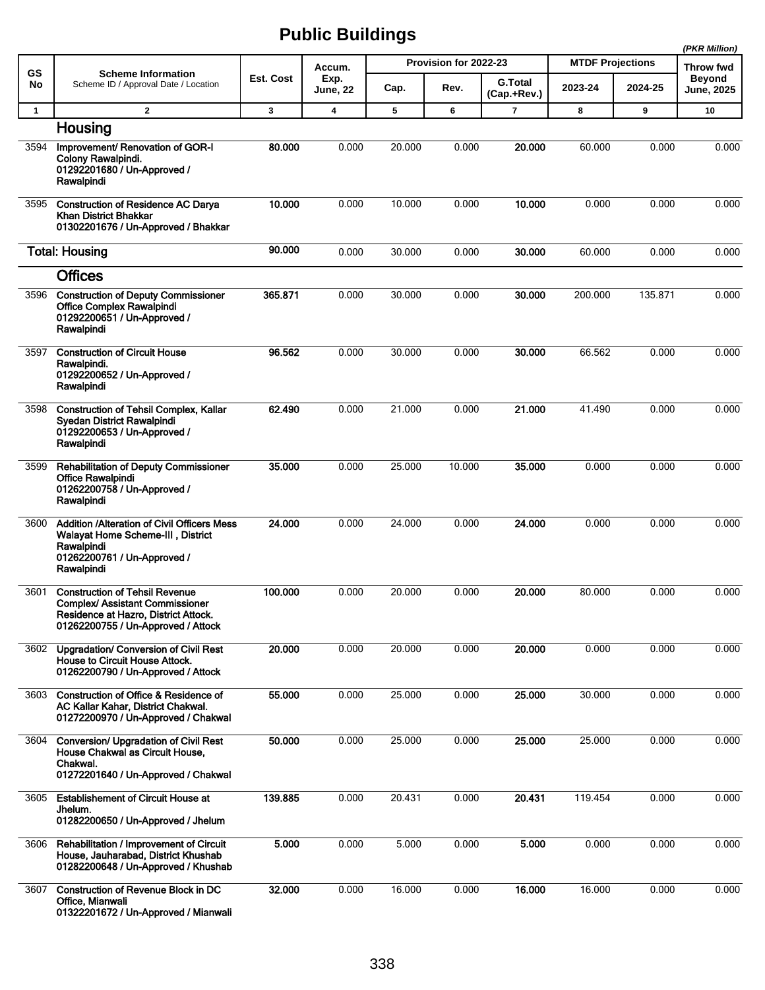|              |                                                                                                                                                        |           |                  |        | (PKR Million)         |                               |                         |         |                                    |
|--------------|--------------------------------------------------------------------------------------------------------------------------------------------------------|-----------|------------------|--------|-----------------------|-------------------------------|-------------------------|---------|------------------------------------|
| GS           | <b>Scheme Information</b>                                                                                                                              |           | Accum.           |        | Provision for 2022-23 |                               | <b>MTDF Projections</b> |         | <b>Throw fwd</b>                   |
| No           | Scheme ID / Approval Date / Location                                                                                                                   | Est. Cost | Exp.<br>June, 22 | Cap.   | Rev.                  | <b>G.Total</b><br>(Cap.+Rev.) | 2023-24                 | 2024-25 | <b>Beyond</b><br><b>June, 2025</b> |
| $\mathbf{1}$ | $\overline{2}$                                                                                                                                         | 3         | 4                | 5      | 6                     | $\overline{\phantom{a}}$      | 8                       | 9       | 10                                 |
|              | Housing                                                                                                                                                |           |                  |        |                       |                               |                         |         |                                    |
| 3594         | Improvement/ Renovation of GOR-I<br>Colony Rawalpindi.<br>01292201680 / Un-Approved /<br>Rawalpindi                                                    | 80.000    | 0.000            | 20.000 | 0.000                 | 20,000                        | 60.000                  | 0.000   | 0.000                              |
| 3595         | <b>Construction of Residence AC Darya</b><br>Khan District Bhakkar<br>01302201676 / Un-Approved / Bhakkar                                              | 10.000    | 0.000            | 10.000 | 0.000                 | 10.000                        | 0.000                   | 0.000   | 0.000                              |
|              | <b>Total: Housing</b>                                                                                                                                  | 90.000    | 0.000            | 30.000 | 0.000                 | 30.000                        | 60.000                  | 0.000   | 0.000                              |
|              | <b>Offices</b>                                                                                                                                         |           |                  |        |                       |                               |                         |         |                                    |
| 3596         | <b>Construction of Deputy Commissioner</b><br><b>Office Complex Rawalpindi</b><br>01292200651 / Un-Approved /<br>Rawalpindi                            | 365.871   | 0.000            | 30.000 | 0.000                 | 30.000                        | 200.000                 | 135.871 | 0.000                              |
| 3597         | <b>Construction of Circuit House</b><br>Rawalpindi.<br>01292200652 / Un-Approved /<br>Rawalpindi                                                       | 96.562    | 0.000            | 30.000 | 0.000                 | 30.000                        | 66.562                  | 0.000   | 0.000                              |
| 3598         | <b>Construction of Tehsil Complex, Kallar</b><br><b>Syedan District Rawalpindi</b><br>01292200653 / Un-Approved /<br>Rawalpindi                        | 62.490    | 0.000            | 21.000 | 0.000                 | 21.000                        | 41.490                  | 0.000   | 0.000                              |
| 3599         | <b>Rehabilitation of Deputy Commissioner</b><br>Office Rawalpindi<br>01262200758 / Un-Approved /<br>Rawalpindi                                         | 35.000    | 0.000            | 25.000 | 10.000                | 35.000                        | 0.000                   | 0.000   | 0.000                              |
| 3600         | <b>Addition /Alteration of Civil Officers Mess</b><br>Walayat Home Scheme-III, District<br>Rawalpindi<br>01262200761 / Un-Approved /<br>Rawalpindi     | 24.000    | 0.000            | 24.000 | 0.000                 | 24.000                        | 0.000                   | 0.000   | 0.000                              |
| 3601         | <b>Construction of Tehsil Revenue</b><br>Complex/ Assistant Commissioner<br>Residence at Hazro, District Attock.<br>01262200755 / Un-Approved / Attock | 100.000   | 0.000            | 20.000 | 0.000                 | 20.000                        | 80.000                  | 0.000   | 0.000                              |
| 3602         | Upgradation/ Conversion of Civil Rest<br>House to Circuit House Attock.<br>01262200790 / Un-Approved / Attock                                          | 20.000    | 0.000            | 20.000 | 0.000                 | 20.000                        | 0.000                   | 0.000   | 0.000                              |
| 3603         | Construction of Office & Residence of<br>AC Kallar Kahar, District Chakwal.<br>01272200970 / Un-Approved / Chakwal                                     | 55.000    | 0.000            | 25.000 | 0.000                 | 25.000                        | 30.000                  | 0.000   | 0.000                              |
| 3604         | <b>Conversion/ Upgradation of Civil Rest</b><br>House Chakwal as Circuit House,<br>Chakwal.<br>01272201640 / Un-Approved / Chakwal                     | 50.000    | 0.000            | 25.000 | 0.000                 | 25.000                        | 25.000                  | 0.000   | 0.000                              |
| 3605         | <b>Establishement of Circuit House at</b><br>Jhelum.<br>01282200650 / Un-Approved / Jhelum                                                             | 139.885   | 0.000            | 20.431 | 0.000                 | 20.431                        | 119.454                 | 0.000   | 0.000                              |
| 3606         | <b>Rehabilitation / Improvement of Circuit</b><br>House, Jauharabad, District Khushab<br>01282200648 / Un-Approved / Khushab                           | 5.000     | 0.000            | 5.000  | 0.000                 | 5.000                         | 0.000                   | 0.000   | 0.000                              |
| 3607         | <b>Construction of Revenue Block in DC</b><br>Office, Mianwali<br>01322201672 / Un-Approved / Mianwali                                                 | 32.000    | 0.000            | 16.000 | 0.000                 | 16.000                        | 16.000                  | 0.000   | 0.000                              |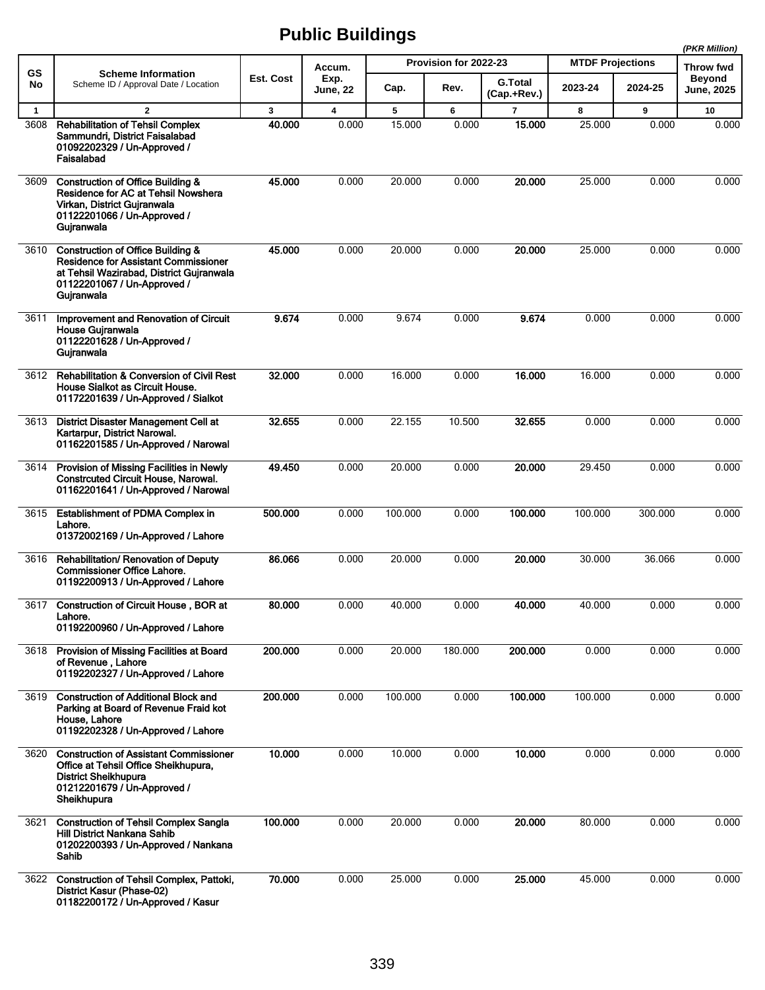|              |                                                                                                                                                                                      |           |                  |         |                       |                               |                         |                  | (PKR Million)                      |
|--------------|--------------------------------------------------------------------------------------------------------------------------------------------------------------------------------------|-----------|------------------|---------|-----------------------|-------------------------------|-------------------------|------------------|------------------------------------|
| GS           | <b>Scheme Information</b>                                                                                                                                                            |           | Accum.           |         | Provision for 2022-23 |                               | <b>MTDF Projections</b> | <b>Throw fwd</b> |                                    |
| No           | Scheme ID / Approval Date / Location                                                                                                                                                 | Est. Cost | Exp.<br>June, 22 | Cap.    | Rev.                  | <b>G.Total</b><br>(Cap.+Rev.) | 2023-24                 | 2024-25          | <b>Beyond</b><br><b>June, 2025</b> |
| $\mathbf{1}$ | $\overline{2}$                                                                                                                                                                       | 3         | 4                | 5       | 6                     | $\overline{\phantom{a}}$      | 8                       | 9                | 10                                 |
| 3608         | <b>Rehabilitation of Tehsil Complex</b><br>Sammundri, District Faisalabad<br>01092202329 / Un-Approved /<br>Faisalabad                                                               | 40.000    | 0.000            | 15.000  | 0.000                 | 15.000                        | 25.000                  | 0.000            | 0.000                              |
| 3609         | <b>Construction of Office Building &amp;</b><br>Residence for AC at Tehsil Nowshera<br>Virkan, District Gujranwala<br>01122201066 / Un-Approved /<br>Gujranwala                      | 45.000    | 0.000            | 20.000  | 0.000                 | 20,000                        | 25.000                  | 0.000            | 0.000                              |
| 3610         | <b>Construction of Office Building &amp;</b><br><b>Residence for Assistant Commissioner</b><br>at Tehsil Wazirabad, District Gujranwala<br>01122201067 / Un-Approved /<br>Gujranwala | 45.000    | 0.000            | 20.000  | 0.000                 | 20.000                        | 25.000                  | 0.000            | 0.000                              |
| 3611         | Improvement and Renovation of Circuit<br><b>House Guiranwala</b><br>01122201628 / Un-Approved /<br>Gujranwala                                                                        | 9.674     | 0.000            | 9.674   | 0.000                 | 9.674                         | 0.000                   | 0.000            | 0.000                              |
| 3612         | <b>Rehabilitation &amp; Conversion of Civil Rest</b><br>House Sialkot as Circuit House.<br>01172201639 / Un-Approved / Sialkot                                                       | 32.000    | 0.000            | 16.000  | 0.000                 | 16.000                        | 16.000                  | 0.000            | 0.000                              |
| 3613         | <b>District Disaster Management Cell at</b><br>Kartarpur, District Narowal.<br>01162201585 / Un-Approved / Narowal                                                                   | 32.655    | 0.000            | 22.155  | 10.500                | 32.655                        | 0.000                   | 0.000            | 0.000                              |
| 3614         | Provision of Missing Facilities in Newly<br><b>Constrcuted Circuit House, Narowal.</b><br>01162201641 / Un-Approved / Narowal                                                        | 49.450    | 0.000            | 20.000  | 0.000                 | 20.000                        | 29.450                  | 0.000            | 0.000                              |
| 3615         | <b>Establishment of PDMA Complex in</b><br>Lahore.<br>01372002169 / Un-Approved / Lahore                                                                                             | 500.000   | 0.000            | 100.000 | 0.000                 | 100.000                       | 100.000                 | 300.000          | 0.000                              |
| 3616         | Rehabilitation/ Renovation of Deputy<br><b>Commissioner Office Lahore.</b><br>01192200913 / Un-Approved / Lahore                                                                     | 86.066    | 0.000            | 20.000  | 0.000                 | 20,000                        | 30.000                  | 36.066           | 0.000                              |
|              | 3617 Construction of Circuit House, BOR at<br>Lahore.<br>01192200960 / Un-Approved / Lahore                                                                                          | 80.000    | 0.000            | 40.000  | 0.000                 | 40.000                        | 40.000                  | 0.000            | 0.000                              |
| 3618         | Provision of Missing Facilities at Board<br>of Revenue, Lahore<br>01192202327 / Un-Approved / Lahore                                                                                 | 200.000   | 0.000            | 20.000  | 180.000               | 200.000                       | 0.000                   | 0.000            | 0.000                              |
| 3619         | <b>Construction of Additional Block and</b><br>Parking at Board of Revenue Fraid kot<br>House, Lahore<br>01192202328 / Un-Approved / Lahore                                          | 200.000   | 0.000            | 100.000 | 0.000                 | 100.000                       | 100.000                 | 0.000            | 0.000                              |
| 3620         | <b>Construction of Assistant Commissioner</b><br>Office at Tehsil Office Sheikhupura,<br><b>District Sheikhupura</b><br>01212201679 / Un-Approved /<br>Sheikhupura                   | 10.000    | 0.000            | 10.000  | 0.000                 | 10.000                        | 0.000                   | 0.000            | 0.000                              |
| 3621         | <b>Construction of Tehsil Complex Sangla</b><br>Hill District Nankana Sahib<br>01202200393 / Un-Approved / Nankana<br>Sahib                                                          | 100.000   | 0.000            | 20.000  | 0.000                 | 20.000                        | 80.000                  | 0.000            | 0.000                              |
| 3622         | Construction of Tehsil Complex, Pattoki,<br>District Kasur (Phase-02)<br>01182200172 / Un-Approved / Kasur                                                                           | 70.000    | 0.000            | 25.000  | 0.000                 | 25.000                        | 45.000                  | 0.000            | 0.000                              |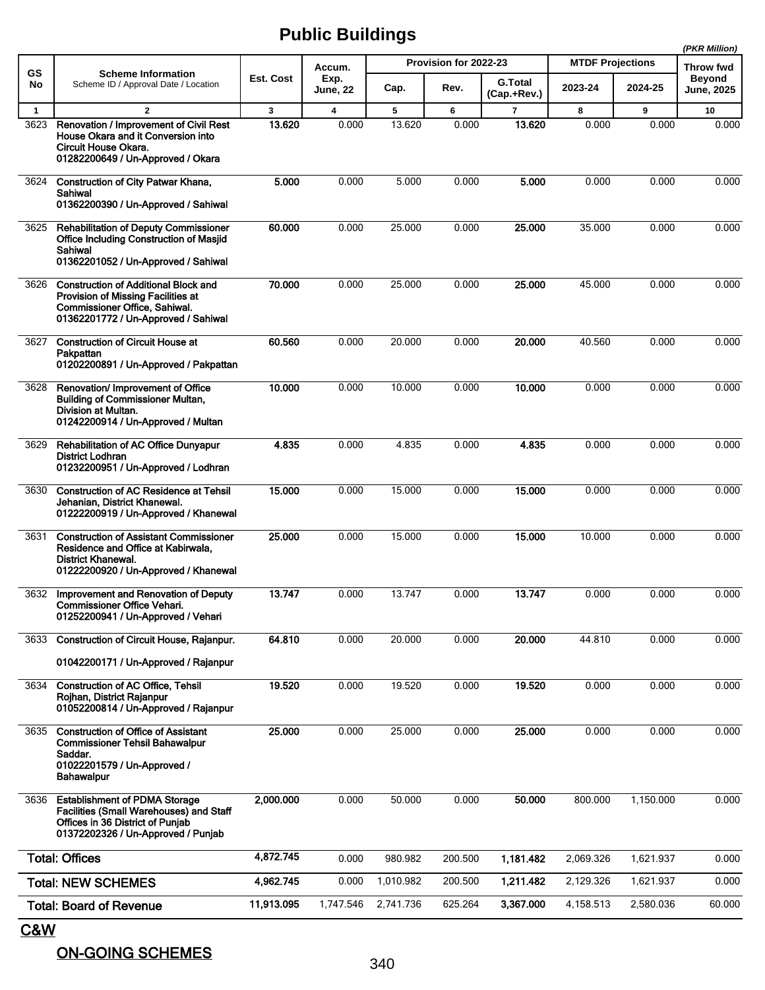|              |                                                                                                                                                                  |              |                         |           |                       |                               | (PKR Million)           |           |                                    |
|--------------|------------------------------------------------------------------------------------------------------------------------------------------------------------------|--------------|-------------------------|-----------|-----------------------|-------------------------------|-------------------------|-----------|------------------------------------|
| GS           | <b>Scheme Information</b>                                                                                                                                        |              | Accum.                  |           | Provision for 2022-23 |                               | <b>MTDF Projections</b> |           | Throw fwd                          |
| No           | Scheme ID / Approval Date / Location                                                                                                                             | Est. Cost    | Exp.<br><b>June, 22</b> | Cap.      | Rev.                  | <b>G.Total</b><br>(Cap.+Rev.) | 2023-24                 | 2024-25   | <b>Beyond</b><br><b>June, 2025</b> |
| $\mathbf{1}$ | $\overline{2}$                                                                                                                                                   | $\mathbf{3}$ | $\overline{\mathbf{4}}$ | 5         | 6                     | $\overline{7}$                | 8                       | 9         | 10                                 |
| 3623         | Renovation / Improvement of Civil Rest<br>House Okara and it Conversion into<br>Circuit House Okara.<br>01282200649 / Un-Approved / Okara                        | 13.620       | 0.000                   | 13.620    | 0.000                 | 13.620                        | 0.000                   | 0.000     | 0.000                              |
| 3624         | <b>Construction of City Patwar Khana,</b><br>Sahiwal<br>01362200390 / Un-Approved / Sahiwal                                                                      | 5.000        | 0.000                   | 5.000     | 0.000                 | 5.000                         | 0.000                   | 0.000     | 0.000                              |
| 3625         | <b>Rehabilitation of Deputy Commissioner</b><br><b>Office Including Construction of Masjid</b><br>Sahiwal<br>01362201052 / Un-Approved / Sahiwal                 | 60.000       | 0.000                   | 25.000    | 0.000                 | 25.000                        | 35.000                  | 0.000     | 0.000                              |
| 3626         | <b>Construction of Additional Block and</b><br>Provision of Missing Facilities at<br>Commissioner Office, Sahiwal.<br>01362201772 / Un-Approved / Sahiwal        | 70.000       | 0.000                   | 25.000    | 0.000                 | 25.000                        | 45.000                  | 0.000     | 0.000                              |
| 3627         | <b>Construction of Circuit House at</b><br>Pakpattan<br>01202200891 / Un-Approved / Pakpattan                                                                    | 60.560       | 0.000                   | 20.000    | 0.000                 | 20.000                        | 40.560                  | 0.000     | 0.000                              |
| 3628         | Renovation/ Improvement of Office<br><b>Building of Commissioner Multan.</b><br>Division at Multan.<br>01242200914 / Un-Approved / Multan                        | 10.000       | 0.000                   | 10.000    | 0.000                 | 10.000                        | 0.000                   | 0.000     | 0.000                              |
| 3629         | <b>Rehabilitation of AC Office Dunyapur</b><br><b>District Lodhran</b><br>01232200951 / Un-Approved / Lodhran                                                    | 4.835        | 0.000                   | 4.835     | 0.000                 | 4.835                         | 0.000                   | 0.000     | 0.000                              |
| 3630         | <b>Construction of AC Residence at Tehsil</b><br>Jehanian, District Khanewal.<br>01222200919 / Un-Approved / Khanewal                                            | 15.000       | 0.000                   | 15.000    | 0.000                 | 15.000                        | 0.000                   | 0.000     | 0.000                              |
| 3631         | <b>Construction of Assistant Commissioner</b><br>Residence and Office at Kabirwala,<br><b>District Khanewal.</b><br>01222200920 / Un-Approved / Khanewal         | 25.000       | 0.000                   | 15.000    | 0.000                 | 15.000                        | 10.000                  | 0.000     | 0.000                              |
| 3632         | Improvement and Renovation of Deputy<br><b>Commissioner Office Vehari.</b><br>01252200941 / Un-Approved / Vehari                                                 | 13.747       | 0.000                   | 13.747    | 0.000                 | 13.747                        | 0.000                   | 0.000     | 0.000                              |
| 3633         | <b>Construction of Circuit House, Raianpur.</b><br>01042200171 / Un-Approved / Rajanpur                                                                          | 64.810       | 0.000                   | 20.000    | 0.000                 | 20.000                        | 44.810                  | 0.000     | 0.000                              |
| 3634         | <b>Construction of AC Office, Tehsil</b><br>Roihan, District Raianpur<br>01052200814 / Un-Approved / Rajanpur                                                    | 19.520       | 0.000                   | 19.520    | 0.000                 | 19.520                        | 0.000                   | 0.000     | 0.000                              |
| 3635         | <b>Construction of Office of Assistant</b><br><b>Commissioner Tehsil Bahawalpur</b><br>Saddar.<br>01022201579 / Un-Approved /<br>Bahawalpur                      | 25.000       | 0.000                   | 25.000    | 0.000                 | 25.000                        | 0.000                   | 0.000     | 0.000                              |
| 3636         | <b>Establishment of PDMA Storage</b><br><b>Facilities (Small Warehouses) and Staff</b><br>Offices in 36 District of Punjab<br>01372202326 / Un-Approved / Punjab | 2,000.000    | 0.000                   | 50.000    | 0.000                 | 50.000                        | 800.000                 | 1,150.000 | 0.000                              |
|              | <b>Total: Offices</b>                                                                                                                                            | 4,872.745    | 0.000                   | 980.982   | 200.500               | 1,181.482                     | 2,069.326               | 1,621.937 | 0.000                              |
|              | <b>Total: NEW SCHEMES</b>                                                                                                                                        | 4,962.745    | 0.000                   | 1,010.982 | 200.500               | 1,211.482                     | 2,129.326               | 1,621.937 | 0.000                              |
|              | <b>Total: Board of Revenue</b>                                                                                                                                   | 11,913.095   | 1,747.546               | 2,741.736 | 625.264               | 3,367.000                     | 4,158.513               | 2,580.036 | 60.000                             |

C&W

ON-GOING SCHEMES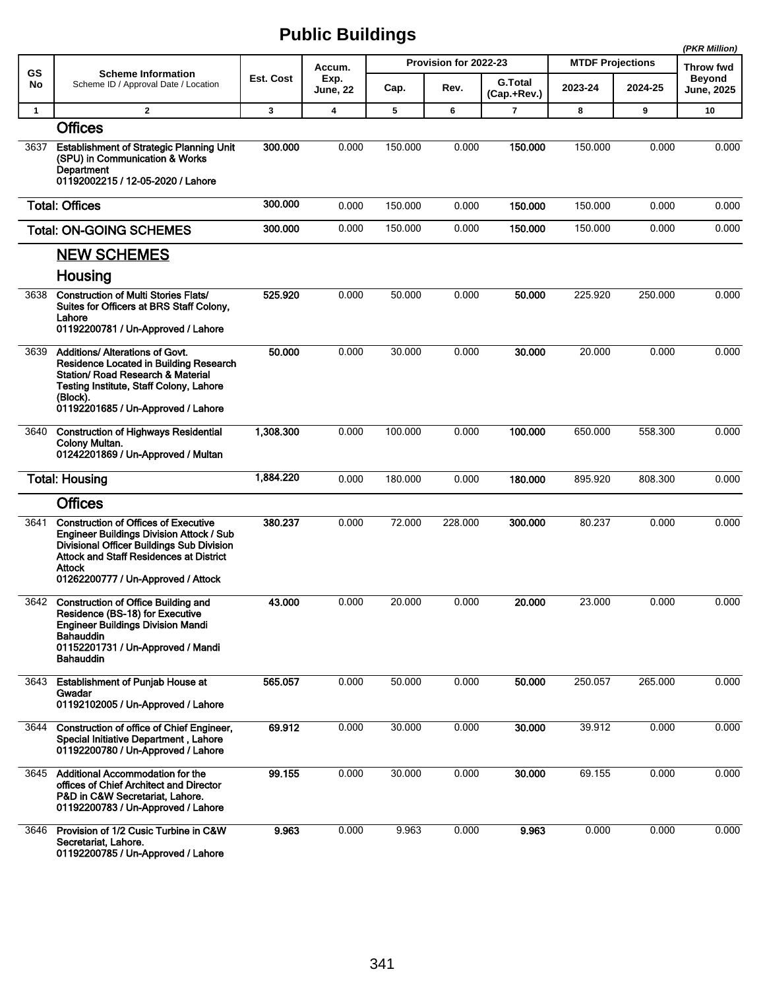|              |                                                                                                                                                                                                                                                      |                  |                         |         |                       |                               |                         |         | (PKR Million)                      |
|--------------|------------------------------------------------------------------------------------------------------------------------------------------------------------------------------------------------------------------------------------------------------|------------------|-------------------------|---------|-----------------------|-------------------------------|-------------------------|---------|------------------------------------|
| GS           | <b>Scheme Information</b>                                                                                                                                                                                                                            |                  | Accum.                  |         | Provision for 2022-23 |                               | <b>MTDF Projections</b> |         | <b>Throw fwd</b>                   |
| No           | Scheme ID / Approval Date / Location                                                                                                                                                                                                                 | <b>Est. Cost</b> | Exp.<br><b>June, 22</b> | Cap.    | Rev.                  | <b>G.Total</b><br>(Cap.+Rev.) | 2023-24                 | 2024-25 | <b>Beyond</b><br><b>June, 2025</b> |
| $\mathbf{1}$ | $\overline{2}$                                                                                                                                                                                                                                       | 3                | $\overline{\mathbf{4}}$ | 5       | 6                     | 7                             | 8                       | 9       | 10                                 |
|              | <b>Offices</b>                                                                                                                                                                                                                                       |                  |                         |         |                       |                               |                         |         |                                    |
| 3637         | <b>Establishment of Strategic Planning Unit</b><br>(SPU) in Communication & Works<br>Department<br>01192002215 / 12-05-2020 / Lahore                                                                                                                 | 300.000          | 0.000                   | 150.000 | 0.000                 | 150.000                       | 150.000                 | 0.000   | 0.000                              |
|              | <b>Total: Offices</b>                                                                                                                                                                                                                                | 300.000          | 0.000                   | 150.000 | 0.000                 | 150.000                       | 150.000                 | 0.000   | 0.000                              |
|              | <b>Total: ON-GOING SCHEMES</b>                                                                                                                                                                                                                       | 300.000          | 0.000                   | 150.000 | 0.000                 | 150.000                       | 150.000                 | 0.000   | 0.000                              |
|              | <b>NEW SCHEMES</b>                                                                                                                                                                                                                                   |                  |                         |         |                       |                               |                         |         |                                    |
|              | Housing                                                                                                                                                                                                                                              |                  |                         |         |                       |                               |                         |         |                                    |
| 3638         | <b>Construction of Multi Stories Flats/</b><br>Suites for Officers at BRS Staff Colony,<br>Lahore<br>01192200781 / Un-Approved / Lahore                                                                                                              | 525.920          | 0.000                   | 50.000  | 0.000                 | 50.000                        | 225.920                 | 250.000 | 0.000                              |
| 3639         | Additions/ Alterations of Govt.<br>Residence Located in Building Research<br>Station/ Road Research & Material<br><b>Testing Institute, Staff Colony, Lahore</b><br>(Block).<br>01192201685 / Un-Approved / Lahore                                   | 50.000           | 0.000                   | 30.000  | 0.000                 | 30.000                        | 20.000                  | 0.000   | 0.000                              |
| 3640         | <b>Construction of Highways Residential</b><br>Colony Multan.<br>01242201869 / Un-Approved / Multan                                                                                                                                                  | 1,308.300        | 0.000                   | 100.000 | 0.000                 | 100.000                       | 650.000                 | 558.300 | 0.000                              |
|              | <b>Total: Housing</b>                                                                                                                                                                                                                                | 1,884.220        | 0.000                   | 180.000 | 0.000                 | 180.000                       | 895.920                 | 808.300 | 0.000                              |
|              | <b>Offices</b>                                                                                                                                                                                                                                       |                  |                         |         |                       |                               |                         |         |                                    |
| 3641         | <b>Construction of Offices of Executive</b><br><b>Engineer Buildings Division Attock / Sub</b><br><b>Divisional Officer Buildings Sub Division</b><br><b>Attock and Staff Residences at District</b><br>Attock<br>01262200777 / Un-Approved / Attock | 380.237          | 0.000                   | 72.000  | 228.000               | 300.000                       | 80.237                  | 0.000   | 0.000                              |
| 3642         | <b>Construction of Office Building and</b><br>Residence (BS-18) for Executive<br><b>Engineer Buildings Division Mandi</b><br><b>Bahauddin</b><br>01152201731 / Un-Approved / Mandi<br>Bahauddin                                                      | 43.000           | 0.000                   | 20.000  | 0.000                 | 20.000                        | 23.000                  | 0.000   | 0.000                              |
| 3643         | <b>Establishment of Puniab House at</b><br>Gwadar<br>01192102005 / Un-Approved / Lahore                                                                                                                                                              | 565.057          | 0.000                   | 50.000  | 0.000                 | 50.000                        | 250.057                 | 265.000 | 0.000                              |
| 3644         | Construction of office of Chief Engineer,<br>Special Initiative Department, Lahore<br>01192200780 / Un-Approved / Lahore                                                                                                                             | 69.912           | 0.000                   | 30.000  | 0.000                 | 30.000                        | 39.912                  | 0.000   | 0.000                              |
|              | 3645 Additional Accommodation for the<br>offices of Chief Architect and Director<br>P&D in C&W Secretariat, Lahore.<br>01192200783 / Un-Approved / Lahore                                                                                            | 99.155           | 0.000                   | 30.000  | 0.000                 | 30.000                        | 69.155                  | 0.000   | 0.000                              |
| 3646         | Provision of 1/2 Cusic Turbine in C&W<br>Secretariat, Lahore.<br>01192200785 / Un-Approved / Lahore                                                                                                                                                  | 9.963            | 0.000                   | 9.963   | 0.000                 | 9.963                         | 0.000                   | 0.000   | 0.000                              |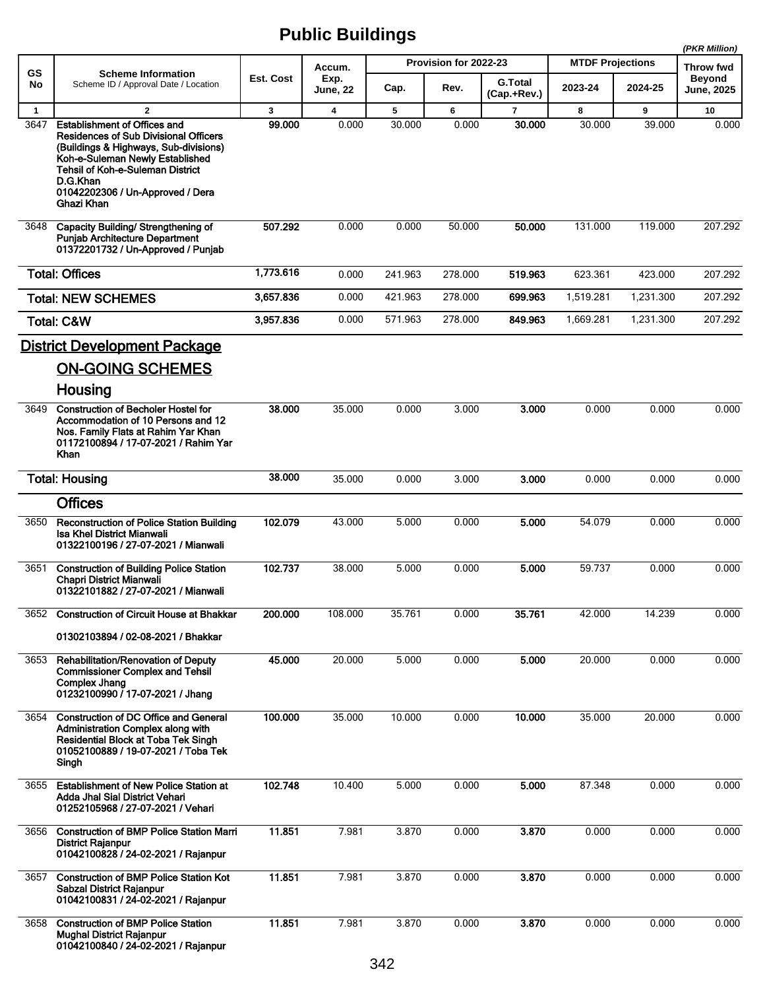|                      |                                                                                                                                                                                                                                   |             |                                  |             |                       |                               |                         |             | (PKR Million)                     |
|----------------------|-----------------------------------------------------------------------------------------------------------------------------------------------------------------------------------------------------------------------------------|-------------|----------------------------------|-------------|-----------------------|-------------------------------|-------------------------|-------------|-----------------------------------|
| GS                   | <b>Scheme Information</b>                                                                                                                                                                                                         | Est. Cost   | Accum.<br>Exp.                   |             | Provision for 2022-23 |                               | <b>MTDF Projections</b> |             | <b>Throw fwd</b><br><b>Beyond</b> |
| No                   | Scheme ID / Approval Date / Location                                                                                                                                                                                              |             | June, 22                         | Cap.        | Rev.                  | <b>G.Total</b><br>(Cap.+Rev.) | 2023-24                 | 2024-25     | <b>June, 2025</b>                 |
| $\mathbf{1}$<br>3647 | $\mathbf{2}$<br><b>Establishment of Offices and</b>                                                                                                                                                                               | 3<br>99.000 | $\overline{\mathbf{4}}$<br>0.000 | 5<br>30.000 | 6<br>0.000            | $\overline{7}$<br>30,000      | 8<br>30.000             | 9<br>39.000 | 10<br>0.000                       |
|                      | <b>Residences of Sub Divisional Officers</b><br>(Buildings & Highways, Sub-divisions)<br>Koh-e-Suleman Newly Established<br><b>Tehsil of Koh-e-Suleman District</b><br>D.G.Khan<br>01042202306 / Un-Approved / Dera<br>Ghazi Khan |             |                                  |             |                       |                               |                         |             |                                   |
| 3648                 | Capacity Building/ Strengthening of<br><b>Punjab Architecture Department</b><br>01372201732 / Un-Approved / Punjab                                                                                                                | 507.292     | 0.000                            | 0.000       | 50.000                | 50.000                        | 131.000                 | 119.000     | 207.292                           |
|                      | <b>Total: Offices</b>                                                                                                                                                                                                             | 1,773.616   | 0.000                            | 241.963     | 278.000               | 519.963                       | 623.361                 | 423.000     | 207.292                           |
|                      | <b>Total: NEW SCHEMES</b>                                                                                                                                                                                                         | 3,657.836   | 0.000                            | 421.963     | 278.000               | 699.963                       | 1,519.281               | 1.231.300   | 207.292                           |
|                      | <b>Total: C&amp;W</b>                                                                                                                                                                                                             | 3,957.836   | 0.000                            | 571.963     | 278.000               | 849.963                       | 1,669.281               | 1,231.300   | 207.292                           |
|                      | <b>District Development Package</b>                                                                                                                                                                                               |             |                                  |             |                       |                               |                         |             |                                   |
|                      | <b>ON-GOING SCHEMES</b>                                                                                                                                                                                                           |             |                                  |             |                       |                               |                         |             |                                   |
|                      | Housing<br><b>Construction of Becholer Hostel for</b>                                                                                                                                                                             | 38.000      |                                  |             |                       |                               |                         |             |                                   |
| 3649                 | Accommodation of 10 Persons and 12<br>Nos. Family Flats at Rahim Yar Khan<br>01172100894 / 17-07-2021 / Rahim Yar<br>Khan                                                                                                         |             | 35.000                           | 0.000       | 3.000                 | 3.000                         | 0.000                   | 0.000       | 0.000                             |
|                      | <b>Total: Housing</b>                                                                                                                                                                                                             | 38,000      | 35.000                           | 0.000       | 3.000                 | 3.000                         | 0.000                   | 0.000       | 0.000                             |
|                      | <b>Offices</b>                                                                                                                                                                                                                    |             |                                  |             |                       |                               |                         |             |                                   |
| 3650                 | <b>Reconstruction of Police Station Building</b><br><b>Isa Khel District Mianwali</b><br>01322100196 / 27-07-2021 / Mianwali                                                                                                      | 102.079     | 43.000                           | 5.000       | 0.000                 | 5.000                         | 54.079                  | 0.000       | 0.000                             |
| 3651                 | <b>Construction of Building Police Station</b><br><b>Chapri District Mianwali</b><br>01322101882 / 27-07-2021 / Mianwali                                                                                                          | 102.737     | 38.000                           | 5.000       | 0.000                 | 5.000                         | 59.737                  | 0.000       | 0.000                             |
|                      | 3652 Construction of Circuit House at Bhakkar                                                                                                                                                                                     | 200.000     | 108.000                          | 35.761      | 0.000                 | 35.761                        | 42.000                  | 14.239      | 0.000                             |
|                      | 01302103894 / 02-08-2021 / Bhakkar                                                                                                                                                                                                |             |                                  |             |                       |                               |                         |             |                                   |
| 3653                 | <b>Rehabilitation/Renovation of Deputy</b><br><b>Commissioner Complex and Tehsil</b><br><b>Complex Jhang</b><br>01232100990 / 17-07-2021 / Jhang                                                                                  | 45.000      | 20.000                           | 5.000       | 0.000                 | 5.000                         | 20.000                  | 0.000       | 0.000                             |
| 3654                 | <b>Construction of DC Office and General</b><br><b>Administration Complex along with</b><br>Residential Block at Toba Tek Singh<br>01052100889 / 19-07-2021 / Toba Tek<br>Singh                                                   | 100.000     | 35.000                           | 10.000      | 0.000                 | 10.000                        | 35.000                  | 20.000      | 0.000                             |
| 3655                 | <b>Establishment of New Police Station at</b><br>Adda Jhal Sial District Vehari<br>01252105968 / 27-07-2021 / Vehari                                                                                                              | 102.748     | 10.400                           | 5.000       | 0.000                 | 5.000                         | 87.348                  | 0.000       | 0.000                             |
| 3656                 | <b>Construction of BMP Police Station Marri</b><br><b>District Rajanpur</b><br>01042100828 / 24-02-2021 / Rajanpur                                                                                                                | 11.851      | 7.981                            | 3.870       | 0.000                 | 3.870                         | 0.000                   | 0.000       | 0.000                             |
| 3657                 | <b>Construction of BMP Police Station Kot</b><br>Sabzal District Rajanpur<br>01042100831 / 24-02-2021 / Rajanpur                                                                                                                  | 11.851      | 7.981                            | 3.870       | 0.000                 | 3.870                         | 0.000                   | 0.000       | 0.000                             |
| 3658                 | <b>Construction of BMP Police Station</b><br><b>Mughal District Rajanpur</b><br>01042100840 / 24-02-2021 / Rajanpur                                                                                                               | 11.851      | 7.981                            | 3.870       | 0.000                 | 3.870                         | 0.000                   | 0.000       | 0.000                             |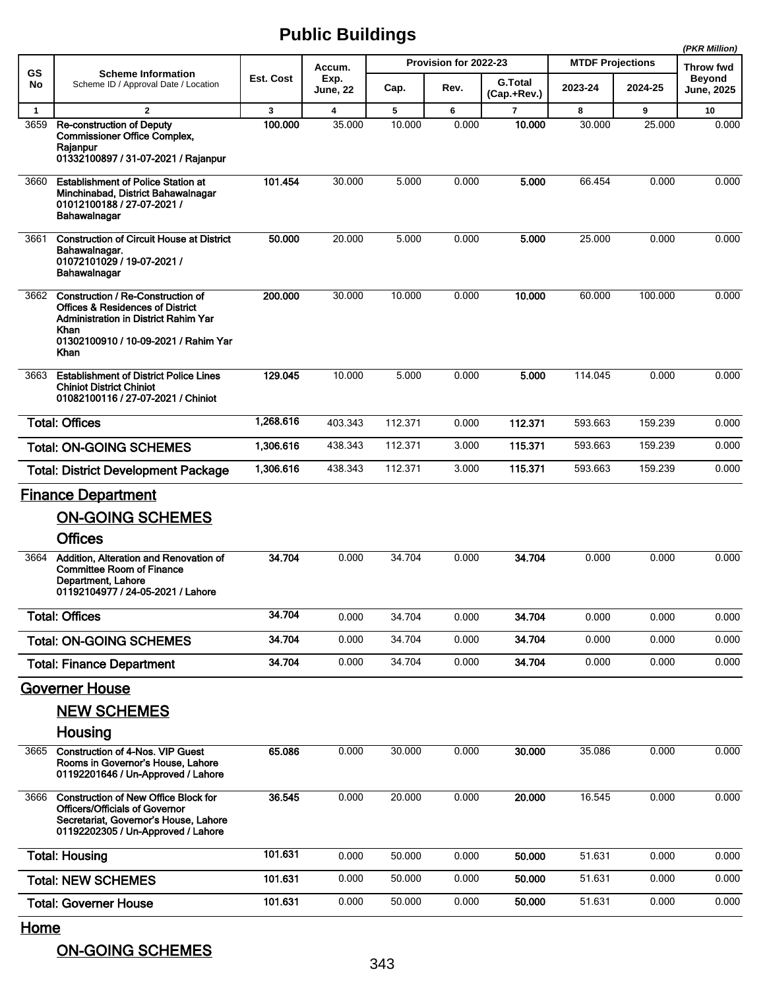|              |                                                                                                                                                                                  |                  |                  |         |                       |                               |                         |         | (PKR Million)               |
|--------------|----------------------------------------------------------------------------------------------------------------------------------------------------------------------------------|------------------|------------------|---------|-----------------------|-------------------------------|-------------------------|---------|-----------------------------|
| GS           | <b>Scheme Information</b>                                                                                                                                                        |                  | Accum.           |         | Provision for 2022-23 |                               | <b>MTDF Projections</b> |         | <b>Throw fwd</b>            |
| No           | Scheme ID / Approval Date / Location                                                                                                                                             | <b>Est. Cost</b> | Exp.<br>June, 22 | Cap.    | Rev.                  | <b>G.Total</b><br>(Cap.+Rev.) | 2023-24                 | 2024-25 | <b>Beyond</b><br>June, 2025 |
| $\mathbf{1}$ | $\overline{2}$                                                                                                                                                                   | 3                | 4                | 5       | 6                     | $\overline{7}$                | 8                       | 9       | 10                          |
| 3659         | <b>Re-construction of Deputy</b><br><b>Commissioner Office Complex,</b><br>Rajanpur<br>01332100897 / 31-07-2021 / Rajanpur                                                       | 100.000          | 35.000           | 10.000  | 0.000                 | 10.000                        | 30.000                  | 25.000  | 0.000                       |
| 3660         | <b>Establishment of Police Station at</b><br>Minchinabad, District Bahawalnagar<br>01012100188 / 27-07-2021 /<br>Bahawalnagar                                                    | 101.454          | 30.000           | 5.000   | 0.000                 | 5.000                         | 66.454                  | 0.000   | 0.000                       |
| 3661         | <b>Construction of Circuit House at District</b><br>Bahawalnagar.<br>01072101029 / 19-07-2021 /<br>Bahawalnagar                                                                  | 50.000           | 20.000           | 5.000   | 0.000                 | 5.000                         | 25.000                  | 0.000   | 0.000                       |
| 3662         | Construction / Re-Construction of<br><b>Offices &amp; Residences of District</b><br>Administration in District Rahim Yar<br>Khan<br>01302100910 / 10-09-2021 / Rahim Yar<br>Khan | 200.000          | 30.000           | 10.000  | 0.000                 | 10.000                        | 60.000                  | 100.000 | 0.000                       |
| 3663         | <b>Establishment of District Police Lines</b><br><b>Chiniot District Chiniot</b><br>01082100116 / 27-07-2021 / Chiniot                                                           | 129.045          | 10.000           | 5.000   | 0.000                 | 5.000                         | 114.045                 | 0.000   | 0.000                       |
|              | <b>Total: Offices</b>                                                                                                                                                            | 1,268.616        | 403.343          | 112.371 | 0.000                 | 112.371                       | 593.663                 | 159.239 | 0.000                       |
|              | <b>Total: ON-GOING SCHEMES</b>                                                                                                                                                   | 1,306.616        | 438.343          | 112.371 | 3.000                 | 115.371                       | 593.663                 | 159.239 | 0.000                       |
|              | <b>Total: District Development Package</b>                                                                                                                                       | 1,306.616        | 438.343          | 112.371 | 3.000                 | 115.371                       | 593.663                 | 159.239 | 0.000                       |
|              | <b>Finance Department</b>                                                                                                                                                        |                  |                  |         |                       |                               |                         |         |                             |
|              | <b>ON-GOING SCHEMES</b>                                                                                                                                                          |                  |                  |         |                       |                               |                         |         |                             |
|              | <b>Offices</b>                                                                                                                                                                   |                  |                  |         |                       |                               |                         |         |                             |
| 3664         | Addition. Alteration and Renovation of<br><b>Committee Room of Finance</b><br>Department, Lahore<br>01192104977 / 24-05-2021 / Lahore                                            | 34.704           | 0.000            | 34.704  | 0.000                 | 34.704                        | 0.000                   | 0.000   | 0.000                       |
|              | <b>Total: Offices</b>                                                                                                                                                            | 34.704           | 0.000            | 34.704  | 0.000                 | 34.704                        | 0.000                   | 0.000   | 0.000                       |
|              | <b>Total: ON-GOING SCHEMES</b>                                                                                                                                                   | 34.704           | 0.000            | 34.704  | 0.000                 | 34.704                        | 0.000                   | 0.000   | 0.000                       |
|              | <b>Total: Finance Department</b>                                                                                                                                                 | 34.704           | 0.000            | 34.704  | 0.000                 | 34.704                        | 0.000                   | 0.000   | 0.000                       |
|              | <b>Governer House</b>                                                                                                                                                            |                  |                  |         |                       |                               |                         |         |                             |
|              | <b>NEW SCHEMES</b>                                                                                                                                                               |                  |                  |         |                       |                               |                         |         |                             |
|              | Housing                                                                                                                                                                          |                  |                  |         |                       |                               |                         |         |                             |
| 3665         | <b>Construction of 4-Nos. VIP Guest</b><br>Rooms in Governor's House, Lahore<br>01192201646 / Un-Approved / Lahore                                                               | 65.086           | 0.000            | 30.000  | 0.000                 | 30.000                        | 35.086                  | 0.000   | 0.000                       |
| 3666         | <b>Construction of New Office Block for</b><br><b>Officers/Officials of Governor</b><br>Secretariat, Governor's House, Lahore<br>01192202305 / Un-Approved / Lahore              | 36.545           | 0.000            | 20.000  | 0.000                 | 20.000                        | 16.545                  | 0.000   | 0.000                       |
|              | <b>Total: Housing</b>                                                                                                                                                            | 101.631          | 0.000            | 50.000  | 0.000                 | 50.000                        | 51.631                  | 0.000   | 0.000                       |
|              | <b>Total: NEW SCHEMES</b>                                                                                                                                                        | 101.631          | 0.000            | 50.000  | 0.000                 | 50.000                        | 51.631                  | 0.000   | 0.000                       |
|              | <b>Total: Governer House</b>                                                                                                                                                     | 101.631          | 0.000            | 50.000  | 0.000                 | 50.000                        | 51.631                  | 0.000   | 0.000                       |
|              |                                                                                                                                                                                  |                  |                  |         |                       |                               |                         |         |                             |

**Home** 

ON-GOING SCHEMES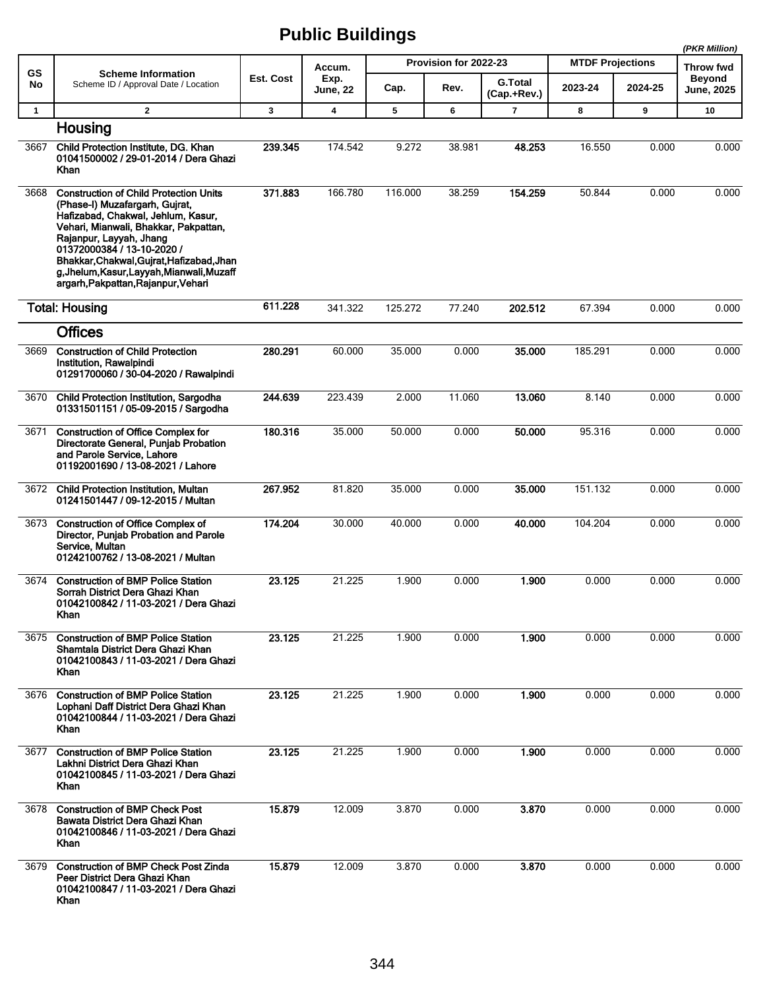|              |                                                                                                                                                                                                                                                                                                                                                           |           |                         |         |                       |                               |                         |         | (PKR Million)               |
|--------------|-----------------------------------------------------------------------------------------------------------------------------------------------------------------------------------------------------------------------------------------------------------------------------------------------------------------------------------------------------------|-----------|-------------------------|---------|-----------------------|-------------------------------|-------------------------|---------|-----------------------------|
| <b>GS</b>    | <b>Scheme Information</b>                                                                                                                                                                                                                                                                                                                                 |           | Accum.                  |         | Provision for 2022-23 |                               | <b>MTDF Projections</b> |         | Throw fwd                   |
| No           | Scheme ID / Approval Date / Location                                                                                                                                                                                                                                                                                                                      | Est. Cost | Exp.<br><b>June, 22</b> | Cap.    | Rev.                  | <b>G.Total</b><br>(Cap.+Rev.) | 2023-24                 | 2024-25 | <b>Beyond</b><br>June, 2025 |
| $\mathbf{1}$ | $\overline{2}$                                                                                                                                                                                                                                                                                                                                            | 3         | 4                       | 5       | 6                     | $\overline{7}$                | 8                       | 9       | 10                          |
|              | Housing                                                                                                                                                                                                                                                                                                                                                   |           |                         |         |                       |                               |                         |         |                             |
| 3667         | Child Protection Institute, DG. Khan<br>01041500002 / 29-01-2014 / Dera Ghazi<br><b>Khan</b>                                                                                                                                                                                                                                                              | 239.345   | 174.542                 | 9.272   | 38.981                | 48.253                        | 16.550                  | 0.000   | 0.000                       |
| 3668         | <b>Construction of Child Protection Units</b><br>(Phase-I) Muzafargarh, Gujrat,<br>Hafizabad, Chakwal, Jehlum, Kasur,<br>Vehari, Mianwali, Bhakkar, Pakpattan,<br>Rajanpur, Layyah, Jhang<br>01372000384 / 13-10-2020 /<br>Bhakkar, Chakwal, Gujrat, Hafizabad, Jhan<br>g, Jhelum, Kasur, Layyah, Mianwali, Muzaff<br>argarh, Pakpattan, Rajanpur, Vehari | 371.883   | 166.780                 | 116.000 | 38.259                | 154.259                       | 50.844                  | 0.000   | 0.000                       |
|              | <b>Total: Housing</b>                                                                                                                                                                                                                                                                                                                                     | 611.228   | 341.322                 | 125.272 | 77.240                | 202.512                       | 67.394                  | 0.000   | 0.000                       |
|              | <b>Offices</b>                                                                                                                                                                                                                                                                                                                                            |           |                         |         |                       |                               |                         |         |                             |
| 3669         | <b>Construction of Child Protection</b><br>Institution, Rawalpindi<br>01291700060 / 30-04-2020 / Rawalpindi                                                                                                                                                                                                                                               | 280.291   | 60.000                  | 35.000  | 0.000                 | 35.000                        | 185.291                 | 0.000   | 0.000                       |
| 3670         | <b>Child Protection Institution, Sargodha</b><br>01331501151 / 05-09-2015 / Sargodha                                                                                                                                                                                                                                                                      | 244.639   | 223.439                 | 2.000   | 11.060                | 13.060                        | 8.140                   | 0.000   | 0.000                       |
| 3671         | <b>Construction of Office Complex for</b><br>Directorate General, Punjab Probation<br>and Parole Service, Lahore<br>01192001690 / 13-08-2021 / Lahore                                                                                                                                                                                                     | 180.316   | 35.000                  | 50.000  | 0.000                 | 50.000                        | 95.316                  | 0.000   | 0.000                       |
| 3672         | <b>Child Protection Institution, Multan</b><br>01241501447 / 09-12-2015 / Multan                                                                                                                                                                                                                                                                          | 267.952   | 81.820                  | 35.000  | 0.000                 | 35.000                        | 151.132                 | 0.000   | 0.000                       |
| 3673         | <b>Construction of Office Complex of</b><br>Director, Punjab Probation and Parole<br>Service, Multan<br>01242100762 / 13-08-2021 / Multan                                                                                                                                                                                                                 | 174.204   | 30.000                  | 40.000  | 0.000                 | 40.000                        | 104.204                 | 0.000   | 0.000                       |
| 3674         | <b>Construction of BMP Police Station</b><br>Sorrah District Dera Ghazi Khan<br>01042100842 / 11-03-2021 / Dera Ghazi<br><b>Khan</b>                                                                                                                                                                                                                      | 23.125    | 21.225                  | 1.900   | 0.000                 | 1.900                         | 0.000                   | 0.000   | 0.000                       |
| 3675         | <b>Construction of BMP Police Station</b><br>Shamtala District Dera Ghazi Khan<br>01042100843 / 11-03-2021 / Dera Ghazi<br>Khan                                                                                                                                                                                                                           | 23.125    | 21.225                  | 1.900   | 0.000                 | 1.900                         | 0.000                   | 0.000   | 0.000                       |
| 3676         | <b>Construction of BMP Police Station</b><br>Lophani Daff District Dera Ghazi Khan<br>01042100844 / 11-03-2021 / Dera Ghazi<br>Khan                                                                                                                                                                                                                       | 23.125    | 21.225                  | 1.900   | 0.000                 | 1.900                         | 0.000                   | 0.000   | 0.000                       |
| 3677         | <b>Construction of BMP Police Station</b><br>Lakhni District Dera Ghazi Khan<br>01042100845 / 11-03-2021 / Dera Ghazi<br>Khan                                                                                                                                                                                                                             | 23.125    | 21.225                  | 1.900   | 0.000                 | 1.900                         | 0.000                   | 0.000   | 0.000                       |
| 3678         | <b>Construction of BMP Check Post</b><br>Bawata District Dera Ghazi Khan<br>01042100846 / 11-03-2021 / Dera Ghazi<br>Khan                                                                                                                                                                                                                                 | 15.879    | 12.009                  | 3.870   | 0.000                 | 3.870                         | 0.000                   | 0.000   | 0.000                       |
| 3679         | <b>Construction of BMP Check Post Zinda</b><br>Peer District Dera Ghazi Khan<br>01042100847 / 11-03-2021 / Dera Ghazi<br>Khan                                                                                                                                                                                                                             | 15.879    | 12.009                  | 3.870   | 0.000                 | 3.870                         | 0.000                   | 0.000   | 0.000                       |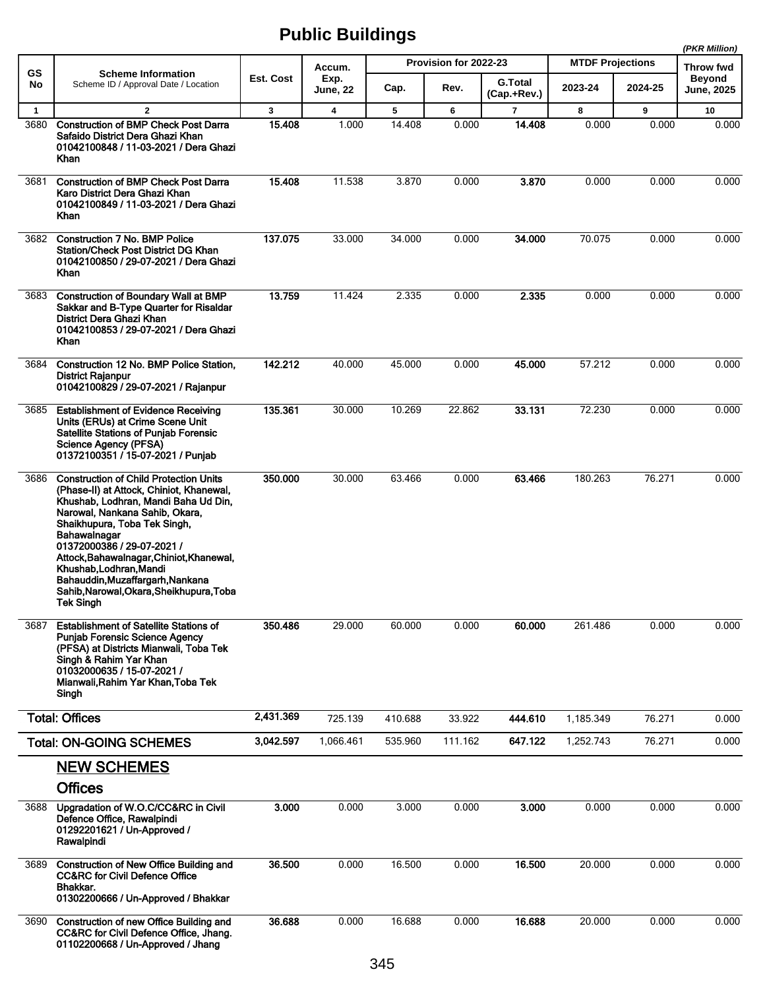|              |                                                                                                                                                                                                                                                                                                                                                                                                                              |              |                         |         |                       |                               |                         |         | (PKR Million)                      |
|--------------|------------------------------------------------------------------------------------------------------------------------------------------------------------------------------------------------------------------------------------------------------------------------------------------------------------------------------------------------------------------------------------------------------------------------------|--------------|-------------------------|---------|-----------------------|-------------------------------|-------------------------|---------|------------------------------------|
| <b>GS</b>    | <b>Scheme Information</b>                                                                                                                                                                                                                                                                                                                                                                                                    |              | Accum.                  |         | Provision for 2022-23 |                               | <b>MTDF Projections</b> |         | <b>Throw fwd</b>                   |
| No           | Scheme ID / Approval Date / Location                                                                                                                                                                                                                                                                                                                                                                                         | Est. Cost    | Exp.<br><b>June, 22</b> | Cap.    | Rev.                  | <b>G.Total</b><br>(Cap.+Rev.) | 2023-24                 | 2024-25 | <b>Beyond</b><br><b>June, 2025</b> |
| $\mathbf{1}$ | $\mathbf{2}$                                                                                                                                                                                                                                                                                                                                                                                                                 | $\mathbf{3}$ | 4                       | 5       | 6                     | $\overline{7}$                | 8                       | 9       | 10                                 |
| 3680         | <b>Construction of BMP Check Post Darra</b><br>Safaido District Dera Ghazi Khan<br>01042100848 / 11-03-2021 / Dera Ghazi<br>Khan                                                                                                                                                                                                                                                                                             | 15.408       | 1.000                   | 14.408  | 0.000                 | 14.408                        | 0.000                   | 0.000   | 0.000                              |
| 3681         | <b>Construction of BMP Check Post Darra</b><br>Karo District Dera Ghazi Khan<br>01042100849 / 11-03-2021 / Dera Ghazi<br>Khan                                                                                                                                                                                                                                                                                                | 15.408       | 11.538                  | 3.870   | 0.000                 | 3.870                         | 0.000                   | 0.000   | 0.000                              |
| 3682         | <b>Construction 7 No. BMP Police</b><br>Station/Check Post District DG Khan<br>01042100850 / 29-07-2021 / Dera Ghazi<br>Khan                                                                                                                                                                                                                                                                                                 | 137.075      | 33.000                  | 34.000  | 0.000                 | 34.000                        | 70.075                  | 0.000   | 0.000                              |
| 3683         | Construction of Boundary Wall at BMP<br>Sakkar and B-Type Quarter for Risaldar<br>District Dera Ghazi Khan<br>01042100853 / 29-07-2021 / Dera Ghazi<br>Khan                                                                                                                                                                                                                                                                  | 13.759       | 11.424                  | 2.335   | 0.000                 | 2.335                         | 0.000                   | 0.000   | 0.000                              |
| 3684         | Construction 12 No. BMP Police Station,<br><b>District Rajanpur</b><br>01042100829 / 29-07-2021 / Rajanpur                                                                                                                                                                                                                                                                                                                   | 142.212      | 40.000                  | 45.000  | 0.000                 | 45.000                        | 57.212                  | 0.000   | 0.000                              |
| 3685         | <b>Establishment of Evidence Receiving</b><br>Units (ERUs) at Crime Scene Unit<br><b>Satellite Stations of Punjab Forensic</b><br>Science Agency (PFSA)<br>01372100351 / 15-07-2021 / Punjab                                                                                                                                                                                                                                 | 135.361      | 30.000                  | 10.269  | 22.862                | 33.131                        | 72.230                  | 0.000   | 0.000                              |
| 3686         | <b>Construction of Child Protection Units</b><br>(Phase-II) at Attock, Chiniot, Khanewal,<br>Khushab, Lodhran, Mandi Baha Ud Din,<br>Narowal, Nankana Sahib, Okara,<br>Shaikhupura, Toba Tek Singh,<br>Bahawalnagar<br>01372000386 / 29-07-2021 /<br>Attock, Bahawalnagar, Chiniot, Khanewal,<br>Khushab, Lodhran, Mandi<br>Bahauddin, Muzaffargarh, Nankana<br>Sahib, Narowal, Okara, Sheikhupura, Toba<br><b>Tek Singh</b> | 350.000      | 30.000                  | 63.466  | 0.000                 | 63.466                        | 180.263                 | 76.271  | 0.000                              |
| 3687         | <b>Establishment of Satellite Stations of</b><br><b>Punjab Forensic Science Agency</b><br>(PFSA) at Districts Mianwali, Toba Tek<br>Singh & Rahim Yar Khan<br>01032000635 / 15-07-2021 /<br>Mianwali, Rahim Yar Khan, Toba Tek<br>Singh                                                                                                                                                                                      | 350.486      | 29.000                  | 60.000  | 0.000                 | 60.000                        | 261.486                 | 0.000   | 0.000                              |
|              | <b>Total: Offices</b>                                                                                                                                                                                                                                                                                                                                                                                                        | 2,431.369    | 725.139                 | 410.688 | 33.922                | 444.610                       | 1,185.349               | 76.271  | 0.000                              |
|              | <b>Total: ON-GOING SCHEMES</b>                                                                                                                                                                                                                                                                                                                                                                                               | 3,042.597    | 1,066.461               | 535.960 | 111.162               | 647.122                       | 1,252.743               | 76.271  | 0.000                              |
|              | <b>NEW SCHEMES</b><br><b>Offices</b>                                                                                                                                                                                                                                                                                                                                                                                         |              |                         |         |                       |                               |                         |         |                                    |
| 3688         | Upgradation of W.O.C/CC&RC in Civil<br>Defence Office, Rawalpindi<br>01292201621 / Un-Approved /<br>Rawalpindi                                                                                                                                                                                                                                                                                                               | 3.000        | 0.000                   | 3.000   | 0.000                 | 3.000                         | 0.000                   | 0.000   | 0.000                              |
| 3689         | <b>Construction of New Office Building and</b><br><b>CC&amp;RC for Civil Defence Office</b><br>Bhakkar.<br>01302200666 / Un-Approved / Bhakkar                                                                                                                                                                                                                                                                               | 36.500       | 0.000                   | 16.500  | 0.000                 | 16.500                        | 20.000                  | 0.000   | 0.000                              |
| 3690         | Construction of new Office Building and<br>CC&RC for Civil Defence Office, Jhang.<br>01102200668 / Un-Approved / Jhang                                                                                                                                                                                                                                                                                                       | 36.688       | 0.000                   | 16.688  | 0.000                 | 16.688                        | 20.000                  | 0.000   | 0.000                              |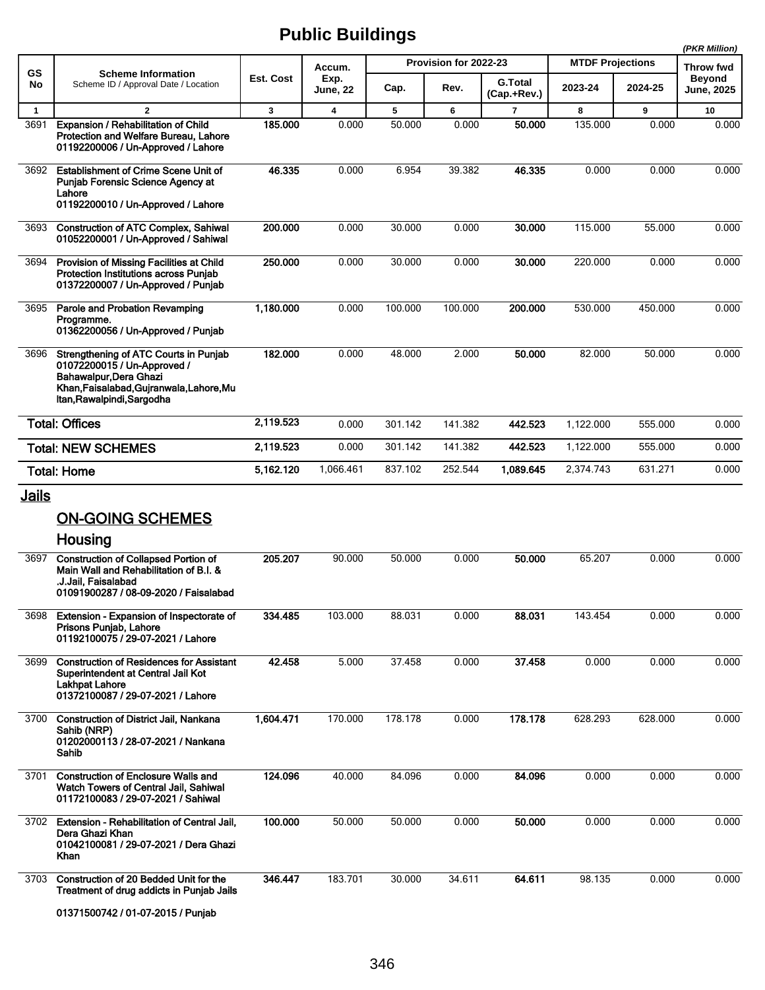|                      |                                                                                                                                                                                   |           |                         |         |                       |                               |                         |         | (PKR Million)               |
|----------------------|-----------------------------------------------------------------------------------------------------------------------------------------------------------------------------------|-----------|-------------------------|---------|-----------------------|-------------------------------|-------------------------|---------|-----------------------------|
| <b>GS</b>            | <b>Scheme Information</b>                                                                                                                                                         |           | Accum.                  |         | Provision for 2022-23 |                               | <b>MTDF Projections</b> |         | <b>Throw fwd</b>            |
| No                   | Scheme ID / Approval Date / Location                                                                                                                                              | Est. Cost | Exp.<br><b>June, 22</b> | Cap.    | Rev.                  | <b>G.Total</b><br>(Cap.+Rev.) | 2023-24                 | 2024-25 | <b>Beyond</b><br>June, 2025 |
| $\mathbf{1}$         | $\overline{2}$                                                                                                                                                                    | 3         | $\overline{\mathbf{4}}$ | 5       | 6                     | $\overline{7}$                | 8                       | 9       | 10                          |
| 3691                 | Expansion / Rehabilitation of Child<br>Protection and Welfare Bureau, Lahore<br>01192200006 / Un-Approved / Lahore                                                                | 185.000   | 0.000                   | 50.000  | 0.000                 | 50,000                        | 135.000                 | 0.000   | 0.000                       |
| 3692                 | <b>Establishment of Crime Scene Unit of</b><br>Punjab Forensic Science Agency at<br>Lahore<br>01192200010 / Un-Approved / Lahore                                                  | 46.335    | 0.000                   | 6.954   | 39.382                | 46.335                        | 0.000                   | 0.000   | 0.000                       |
| 3693                 | <b>Construction of ATC Complex, Sahiwal</b><br>01052200001 / Un-Approved / Sahiwal                                                                                                | 200.000   | 0.000                   | 30.000  | 0.000                 | 30.000                        | 115.000                 | 55.000  | 0.000                       |
| 3694                 | Provision of Missing Facilities at Child<br>Protection Institutions across Punjab<br>01372200007 / Un-Approved / Punjab                                                           | 250.000   | 0.000                   | 30.000  | 0.000                 | 30.000                        | 220.000                 | 0.000   | 0.000                       |
| 3695                 | Parole and Probation Revamping<br>Programme.<br>01362200056 / Un-Approved / Punjab                                                                                                | 1,180.000 | 0.000                   | 100.000 | 100.000               | 200.000                       | 530.000                 | 450.000 | 0.000                       |
| 3696                 | Strengthening of ATC Courts in Punjab<br>01072200015 / Un-Approved /<br>Bahawalpur Dera Ghazi<br>Khan, Faisalabad, Gujranwala, Lahore, Mu<br>Itan, Rawalpindi, Sargodha           | 182.000   | 0.000                   | 48.000  | 2.000                 | 50.000                        | 82.000                  | 50.000  | 0.000                       |
|                      | <b>Total: Offices</b>                                                                                                                                                             | 2,119.523 | 0.000                   | 301.142 | 141.382               | 442.523                       | 1,122.000               | 555.000 | 0.000                       |
|                      | <b>Total: NEW SCHEMES</b>                                                                                                                                                         | 2,119.523 | 0.000                   | 301.142 | 141.382               | 442.523                       | 1,122.000               | 555.000 | 0.000                       |
|                      | <b>Total: Home</b>                                                                                                                                                                | 5,162.120 | 1,066.461               | 837.102 | 252.544               | 1,089.645                     | 2,374.743               | 631.271 | 0.000                       |
| <u>Jails</u><br>3697 | <b>ON-GOING SCHEMES</b><br>Housing<br><b>Construction of Collapsed Portion of</b><br>Main Wall and Rehabilitation of B.I. &<br>.J.Jail, Faisalabad                                | 205.207   | 90.000                  | 50.000  | 0.000                 | 50.000                        | 65.207                  | 0.000   | 0.000                       |
| 3698                 | 01091900287 / 08-09-2020 / Faisalabad<br>Extension - Expansion of Inspectorate of<br>Prisons Punjab, Lahore                                                                       | 334.485   | 103.000                 | 88.031  | 0.000                 | 88.031                        | 143.454                 | 0.000   | 0.000                       |
| 3699                 | 01192100075 / 29-07-2021 / Lahore<br><b>Construction of Residences for Assistant</b><br>Superintendent at Central Jail Kot<br>Lakhpat Lahore<br>01372100087 / 29-07-2021 / Lahore | 42.458    | 5.000                   | 37.458  | 0.000                 | 37.458                        | 0.000                   | 0.000   | 0.000                       |
| 3700                 | <b>Construction of District Jail, Nankana</b><br>Sahib (NRP)<br>01202000113 / 28-07-2021 / Nankana<br>Sahib                                                                       | 1,604.471 | 170.000                 | 178.178 | 0.000                 | 178.178                       | 628.293                 | 628.000 | 0.000                       |
| 3701                 | <b>Construction of Enclosure Walls and</b><br>Watch Towers of Central Jail, Sahiwal<br>01172100083 / 29-07-2021 / Sahiwal                                                         | 124.096   | 40.000                  | 84.096  | 0.000                 | 84.096                        | 0.000                   | 0.000   | 0.000                       |
| 3702                 | Extension - Rehabilitation of Central Jail,<br>Dera Ghazi Khan<br>01042100081 / 29-07-2021 / Dera Ghazi<br>Khan                                                                   | 100.000   | 50.000                  | 50.000  | 0.000                 | 50.000                        | 0.000                   | 0.000   | 0.000                       |
| 3703                 | Construction of 20 Bedded Unit for the<br>Treatment of drug addicts in Punjab Jails<br>01371500742 / 01-07-2015 / Punjab                                                          | 346.447   | 183.701                 | 30.000  | 34.611                | 64.611                        | 98.135                  | 0.000   | 0.000                       |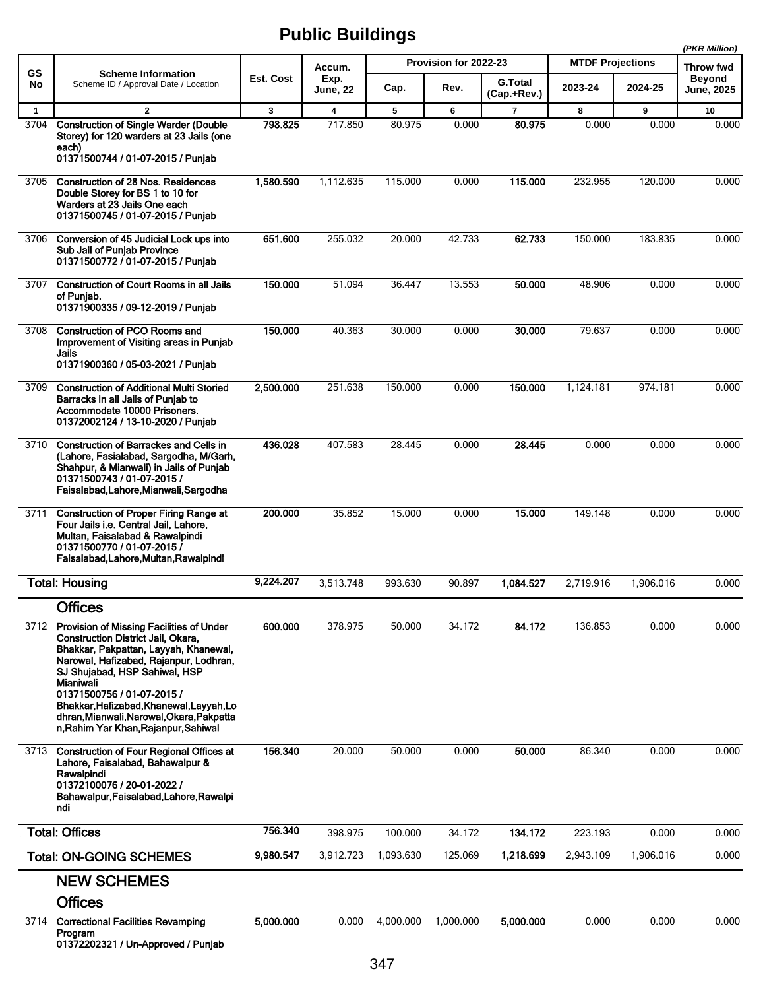|              |                                                                                                                                                                                                                                                                                                                                                                                       |           |                         |           |                       |                               |                         |           | (PKR Million)               |
|--------------|---------------------------------------------------------------------------------------------------------------------------------------------------------------------------------------------------------------------------------------------------------------------------------------------------------------------------------------------------------------------------------------|-----------|-------------------------|-----------|-----------------------|-------------------------------|-------------------------|-----------|-----------------------------|
| GS           | <b>Scheme Information</b>                                                                                                                                                                                                                                                                                                                                                             | Est. Cost | Accum.                  |           | Provision for 2022-23 |                               | <b>MTDF Projections</b> |           | Throw fwd                   |
| No           | Scheme ID / Approval Date / Location                                                                                                                                                                                                                                                                                                                                                  |           | Exp.<br><b>June, 22</b> | Cap.      | Rev.                  | <b>G.Total</b><br>(Cap.+Rev.) | 2023-24                 | 2024-25   | Beyond<br><b>June, 2025</b> |
| $\mathbf{1}$ | $\overline{2}$                                                                                                                                                                                                                                                                                                                                                                        | 3         | $\overline{\mathbf{4}}$ | 5         | 6                     | $\overline{7}$                | 8                       | 9         | 10                          |
| 3704         | <b>Construction of Single Warder (Double</b><br>Storey) for 120 warders at 23 Jails (one<br>each)<br>01371500744 / 01-07-2015 / Punjab                                                                                                                                                                                                                                                | 798.825   | 717.850                 | 80.975    | 0.000                 | 80.975                        | 0.000                   | 0.000     | 0.000                       |
| 3705         | <b>Construction of 28 Nos. Residences</b><br>Double Storey for BS 1 to 10 for<br>Warders at 23 Jails One each<br>01371500745 / 01-07-2015 / Punjab                                                                                                                                                                                                                                    | 1,580.590 | 1,112.635               | 115.000   | 0.000                 | 115.000                       | 232.955                 | 120.000   | 0.000                       |
| 3706         | Conversion of 45 Judicial Lock ups into<br>Sub Jail of Punjab Province<br>01371500772 / 01-07-2015 / Punjab                                                                                                                                                                                                                                                                           | 651.600   | 255.032                 | 20.000    | 42.733                | 62.733                        | 150.000                 | 183.835   | 0.000                       |
| 3707         | <b>Construction of Court Rooms in all Jails</b><br>of Puniab.<br>01371900335 / 09-12-2019 / Punjab                                                                                                                                                                                                                                                                                    | 150.000   | 51.094                  | 36.447    | 13.553                | 50.000                        | 48.906                  | 0.000     | 0.000                       |
| 3708         | <b>Construction of PCO Rooms and</b><br>Improvement of Visiting areas in Punjab<br>Jails<br>01371900360 / 05-03-2021 / Punjab                                                                                                                                                                                                                                                         | 150.000   | 40.363                  | 30.000    | 0.000                 | 30.000                        | 79.637                  | 0.000     | 0.000                       |
| 3709         | <b>Construction of Additional Multi Storied</b><br>Barracks in all Jails of Punjab to<br>Accommodate 10000 Prisoners.<br>01372002124 / 13-10-2020 / Punjab                                                                                                                                                                                                                            | 2,500.000 | 251.638                 | 150.000   | 0.000                 | 150.000                       | 1,124.181               | 974.181   | 0.000                       |
| 3710         | <b>Construction of Barrackes and Cells in</b><br>(Lahore, Fasialabad, Sargodha, M/Garh,<br>Shahpur, & Mianwali) in Jails of Punjab<br>01371500743 / 01-07-2015 /<br>Faisalabad, Lahore, Mianwali, Sargodha                                                                                                                                                                            | 436.028   | 407.583                 | 28.445    | 0.000                 | 28.445                        | 0.000                   | 0.000     | 0.000                       |
| 3711         | <b>Construction of Proper Firing Range at</b><br>Four Jails i.e. Central Jail, Lahore,<br>Multan, Faisalabad & Rawalpindi<br>01371500770 / 01-07-2015 /<br>Faisalabad, Lahore, Multan, Rawalpindi                                                                                                                                                                                     | 200,000   | 35.852                  | 15.000    | 0.000                 | 15.000                        | 149.148                 | 0.000     | 0.000                       |
|              | <b>Total: Housing</b>                                                                                                                                                                                                                                                                                                                                                                 | 9,224.207 | 3,513.748               | 993.630   | 90.897                | 1.084.527                     | 2,719.916               | 1,906.016 | 0.000                       |
|              | <b>Offices</b>                                                                                                                                                                                                                                                                                                                                                                        |           |                         |           |                       |                               |                         |           |                             |
| 3712         | Provision of Missing Facilities of Under<br><b>Construction District Jail, Okara,</b><br>Bhakkar, Pakpattan, Layyah, Khanewal,<br>Narowal, Hafizabad, Rajanpur, Lodhran,<br>SJ Shuiabad, HSP Sahiwal, HSP<br>Mianiwali<br>01371500756 / 01-07-2015 /<br>Bhakkar, Hafizabad, Khanewal, Layyah, Lo<br>dhran, Mianwali, Narowal, Okara, Pakpatta<br>n, Rahim Yar Khan, Rajanpur, Sahiwal | 600.000   | 378.975                 | 50.000    | 34.172                | 84.172                        | 136.853                 | 0.000     | 0.000                       |
| 3713         | <b>Construction of Four Regional Offices at</b><br>Lahore, Faisalabad, Bahawalpur &<br>Rawalpindi<br>01372100076 / 20-01-2022 /<br>Bahawalpur, Faisalabad, Lahore, Rawalpi<br>ndi                                                                                                                                                                                                     | 156.340   | 20.000                  | 50.000    | 0.000                 | 50.000                        | 86.340                  | 0.000     | 0.000                       |
|              | <b>Total: Offices</b>                                                                                                                                                                                                                                                                                                                                                                 | 756.340   | 398.975                 | 100.000   | 34.172                | 134.172                       | 223.193                 | 0.000     | 0.000                       |
|              | <b>Total: ON-GOING SCHEMES</b>                                                                                                                                                                                                                                                                                                                                                        | 9,980.547 | 3,912.723               | 1,093.630 | 125.069               | 1,218.699                     | 2,943.109               | 1,906.016 | 0.000                       |
|              | <b>NEW SCHEMES</b><br><b>Offices</b>                                                                                                                                                                                                                                                                                                                                                  |           |                         |           |                       |                               |                         |           |                             |
| 3714         | <b>Correctional Facilities Revamping</b><br>Program<br>01372202321 / Un-Approved / Punjab                                                                                                                                                                                                                                                                                             | 5,000.000 | 0.000                   | 4,000.000 | 1,000.000             | 5,000.000                     | 0.000                   | 0.000     | 0.000                       |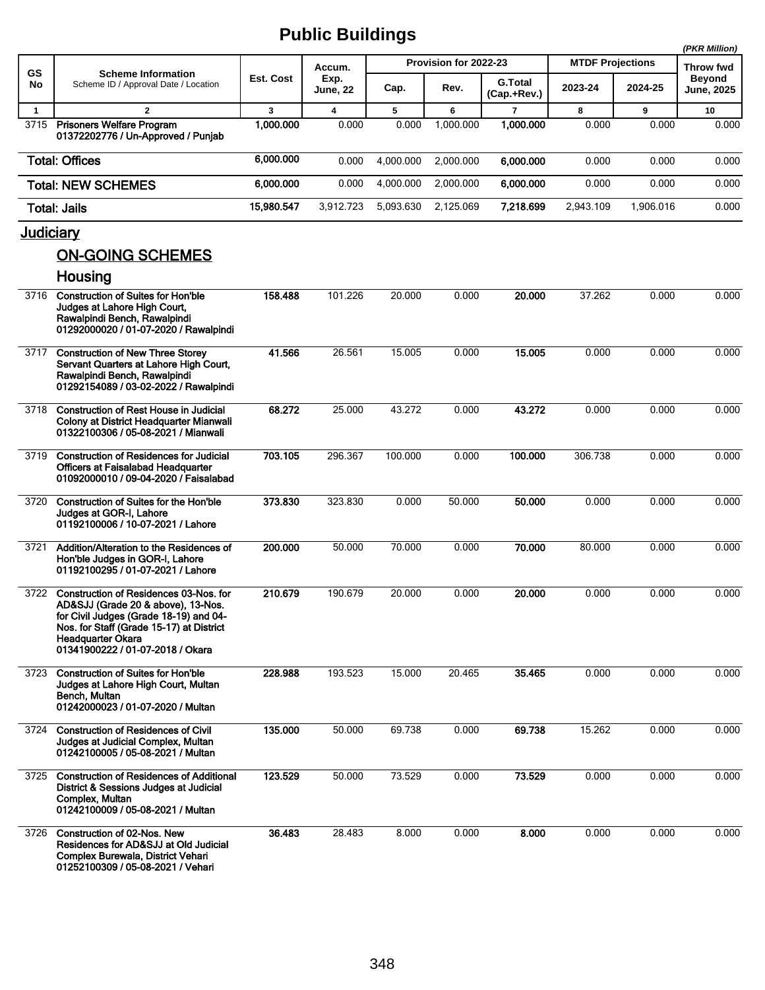|                  |                                                                                                                                                                                                                                    |                  |                         |           |                       |                               |                         |           | (PKR Million)                      |
|------------------|------------------------------------------------------------------------------------------------------------------------------------------------------------------------------------------------------------------------------------|------------------|-------------------------|-----------|-----------------------|-------------------------------|-------------------------|-----------|------------------------------------|
| GS               | <b>Scheme Information</b>                                                                                                                                                                                                          |                  | Accum.                  |           | Provision for 2022-23 |                               | <b>MTDF Projections</b> |           | Throw fwd                          |
| No               | Scheme ID / Approval Date / Location                                                                                                                                                                                               | <b>Est. Cost</b> | Exp.<br><b>June, 22</b> | Cap.      | Rev.                  | <b>G.Total</b><br>(Cap.+Rev.) | 2023-24                 | 2024-25   | <b>Beyond</b><br><b>June, 2025</b> |
| $\mathbf{1}$     | $\mathbf{2}$                                                                                                                                                                                                                       | 3                | $\overline{\mathbf{4}}$ | 5         | 6                     | $\overline{7}$                | 8                       | 9         | 10                                 |
|                  | 3715 Prisoners Welfare Program<br>01372202776 / Un-Approved / Punjab                                                                                                                                                               | 1.000.000        | 0.000                   | 0.000     | 1,000.000             | 1,000.000                     | 0.000                   | 0.000     | 0.000                              |
|                  | <b>Total: Offices</b>                                                                                                                                                                                                              | 6,000.000        | 0.000                   | 4,000.000 | 2,000.000             | 6,000.000                     | 0.000                   | 0.000     | 0.000                              |
|                  | <b>Total: NEW SCHEMES</b>                                                                                                                                                                                                          | 6.000.000        | 0.000                   | 4,000.000 | 2,000.000             | 6,000.000                     | 0.000                   | 0.000     | 0.000                              |
|                  | <b>Total: Jails</b>                                                                                                                                                                                                                | 15,980.547       | 3,912.723               | 5,093.630 | 2,125.069             | 7,218.699                     | 2,943.109               | 1,906.016 | 0.000                              |
| <u>Judiciary</u> |                                                                                                                                                                                                                                    |                  |                         |           |                       |                               |                         |           |                                    |
|                  | <b>ON-GOING SCHEMES</b>                                                                                                                                                                                                            |                  |                         |           |                       |                               |                         |           |                                    |
|                  | Housing                                                                                                                                                                                                                            |                  |                         |           |                       |                               |                         |           |                                    |
| 3716             | <b>Construction of Suites for Hon'ble</b><br>Judges at Lahore High Court,<br>Rawalpindi Bench, Rawalpindi<br>01292000020 / 01-07-2020 / Rawalpindi                                                                                 | 158.488          | 101.226                 | 20.000    | 0.000                 | 20,000                        | 37.262                  | 0.000     | 0.000                              |
| 3717             | <b>Construction of New Three Storey</b><br>Servant Quarters at Lahore High Court,<br>Rawalpindi Bench, Rawalpindi<br>01292154089 / 03-02-2022 / Rawalpindi                                                                         | 41.566           | 26.561                  | 15.005    | 0.000                 | 15.005                        | 0.000                   | 0.000     | 0.000                              |
| 3718             | <b>Construction of Rest House in Judicial</b><br>Colony at District Headquarter Mianwali<br>01322100306 / 05-08-2021 / Mianwali                                                                                                    | 68.272           | 25.000                  | 43.272    | 0.000                 | 43.272                        | 0.000                   | 0.000     | 0.000                              |
| 3719             | <b>Construction of Residences for Judicial</b><br>Officers at Faisalabad Headquarter<br>01092000010 / 09-04-2020 / Faisalabad                                                                                                      | 703.105          | 296.367                 | 100.000   | 0.000                 | 100.000                       | 306.738                 | 0.000     | 0.000                              |
| 3720             | <b>Construction of Suites for the Hon'ble</b><br>Judges at GOR-I, Lahore<br>01192100006 / 10-07-2021 / Lahore                                                                                                                      | 373.830          | 323.830                 | 0.000     | 50.000                | 50.000                        | 0.000                   | 0.000     | 0.000                              |
| 3721             | Addition/Alteration to the Residences of<br>Hon'ble Judges in GOR-I, Lahore<br>01192100295 / 01-07-2021 / Lahore                                                                                                                   | 200.000          | 50.000                  | 70.000    | 0.000                 | 70.000                        | 80.000                  | 0.000     | 0.000                              |
| 3722             | <b>Construction of Residences 03-Nos. for</b><br>AD&SJJ (Grade 20 & above), 13-Nos.<br>for Civil Judges (Grade 18-19) and 04-<br>Nos. for Staff (Grade 15-17) at District<br>Headquarter Okara<br>01341900222 / 01-07-2018 / Okara | 210.679          | 190.679                 | 20.000    | 0.000                 | 20.000                        | 0.000                   | 0.000     | 0.000                              |
| 3723             | <b>Construction of Suites for Hon'ble</b><br>Judges at Lahore High Court, Multan<br>Bench, Multan<br>01242000023 / 01-07-2020 / Multan                                                                                             | 228.988          | 193.523                 | 15.000    | 20.465                | 35.465                        | 0.000                   | 0.000     | 0.000                              |
| 3724             | <b>Construction of Residences of Civil</b><br>Judges at Judicial Complex, Multan<br>01242100005 / 05-08-2021 / Multan                                                                                                              | 135.000          | 50.000                  | 69.738    | 0.000                 | 69.738                        | 15.262                  | 0.000     | 0.000                              |
| 3725             | <b>Construction of Residences of Additional</b><br>District & Sessions Judges at Judicial<br>Complex, Multan<br>01242100009 / 05-08-2021 / Multan                                                                                  | 123.529          | 50.000                  | 73.529    | 0.000                 | 73.529                        | 0.000                   | 0.000     | 0.000                              |
| 3726             | <b>Construction of 02-Nos. New</b><br>Residences for AD&SJJ at Old Judicial<br>Complex Burewala, District Vehari<br>01252100309 / 05-08-2021 / Vehari                                                                              | 36.483           | 28.483                  | 8.000     | 0.000                 | 8.000                         | 0.000                   | 0.000     | 0.000                              |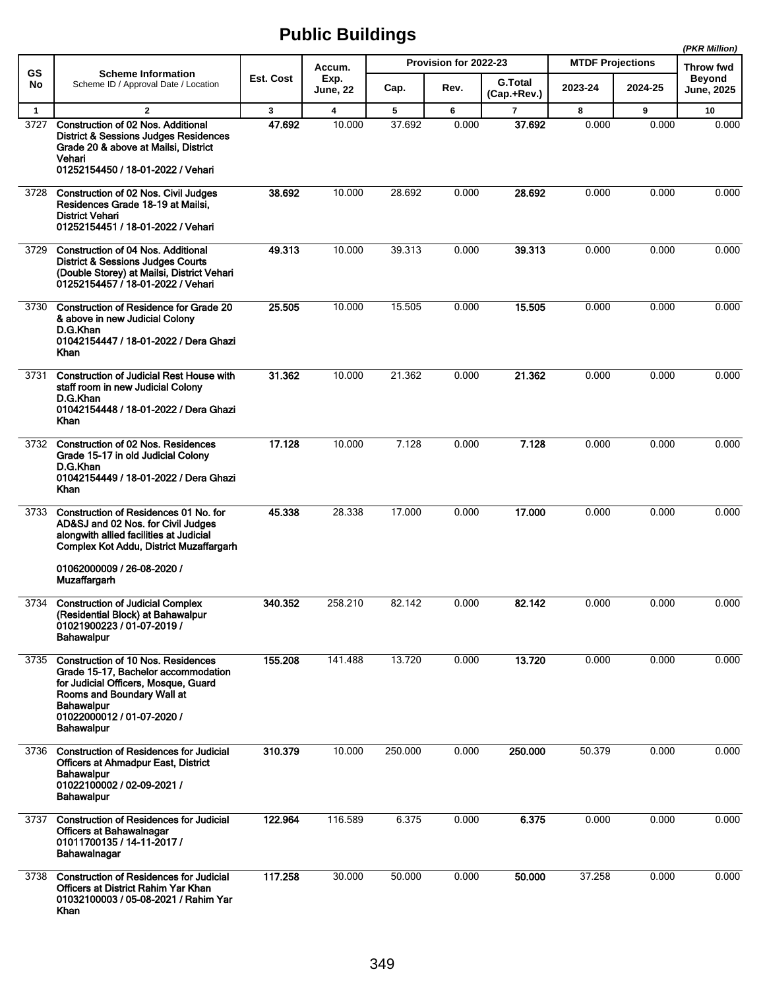|              |                                                                                                                                                                                                                         |           |                         |         |                       |                               |                         |         | (PKR Million)                      |
|--------------|-------------------------------------------------------------------------------------------------------------------------------------------------------------------------------------------------------------------------|-----------|-------------------------|---------|-----------------------|-------------------------------|-------------------------|---------|------------------------------------|
| GS           | <b>Scheme Information</b>                                                                                                                                                                                               |           | Accum.                  |         | Provision for 2022-23 |                               | <b>MTDF Projections</b> |         | Throw fwd                          |
| No           | Scheme ID / Approval Date / Location                                                                                                                                                                                    | Est. Cost | Exp.<br><b>June, 22</b> | Cap.    | Rev.                  | <b>G.Total</b><br>(Cap.+Rev.) | 2023-24                 | 2024-25 | <b>Beyond</b><br><b>June, 2025</b> |
| $\mathbf{1}$ | $\overline{2}$                                                                                                                                                                                                          | 3         | $\overline{\mathbf{4}}$ | 5       | 6                     | $\overline{7}$                | 8                       | 9       | 10                                 |
| 3727         | Construction of 02 Nos. Additional<br><b>District &amp; Sessions Judges Residences</b><br>Grade 20 & above at Mailsi, District<br>Vehari<br>01252154450 / 18-01-2022 / Vehari                                           | 47.692    | 10.000                  | 37.692  | 0.000                 | 37.692                        | 0.000                   | 0.000   | 0.000                              |
| 3728         | <b>Construction of 02 Nos. Civil Judges</b><br>Residences Grade 18-19 at Mailsi,<br><b>District Vehari</b><br>01252154451 / 18-01-2022 / Vehari                                                                         | 38.692    | 10.000                  | 28.692  | 0.000                 | 28.692                        | 0.000                   | 0.000   | 0.000                              |
| 3729         | <b>Construction of 04 Nos. Additional</b><br><b>District &amp; Sessions Judges Courts</b><br>(Double Storey) at Mailsi, District Vehari<br>01252154457 / 18-01-2022 / Vehari                                            | 49.313    | 10.000                  | 39.313  | 0.000                 | 39.313                        | 0.000                   | 0.000   | 0.000                              |
| 3730         | Construction of Residence for Grade 20<br>& above in new Judicial Colony<br>D.G.Khan<br>01042154447 / 18-01-2022 / Dera Ghazi<br>Khan                                                                                   | 25.505    | 10.000                  | 15.505  | 0.000                 | 15.505                        | 0.000                   | 0.000   | 0.000                              |
| 3731         | <b>Construction of Judicial Rest House with</b><br>staff room in new Judicial Colony<br>D.G.Khan<br>01042154448 / 18-01-2022 / Dera Ghazi<br>Khan                                                                       | 31.362    | 10.000                  | 21.362  | 0.000                 | 21.362                        | 0.000                   | 0.000   | 0.000                              |
| 3732         | <b>Construction of 02 Nos. Residences</b><br>Grade 15-17 in old Judicial Colony<br>D.G.Khan<br>01042154449 / 18-01-2022 / Dera Ghazi<br>Khan                                                                            | 17.128    | 10.000                  | 7.128   | 0.000                 | 7.128                         | 0.000                   | 0.000   | 0.000                              |
| 3733         | Construction of Residences 01 No. for<br>AD&SJ and 02 Nos. for Civil Judges<br>alongwith allied facilities at Judicial<br>Complex Kot Addu, District Muzaffargarh<br>01062000009 / 26-08-2020 /<br><b>Muzaffargarh</b>  | 45.338    | 28.338                  | 17.000  | 0.000                 | 17.000                        | 0.000                   | 0.000   | 0.000                              |
| 3734         | <b>Construction of Judicial Complex</b><br>(Residential Block) at Bahawalpur<br>01021900223 / 01-07-2019 /<br><b>Bahawalpur</b>                                                                                         | 340.352   | 258.210                 | 82.142  | 0.000                 | 82.142                        | 0.000                   | 0.000   | 0.000                              |
| 3735         | <b>Construction of 10 Nos. Residences</b><br>Grade 15-17, Bachelor accommodation<br>for Judicial Officers, Mosque, Guard<br>Rooms and Boundary Wall at<br>Bahawalpur<br>01022000012 / 01-07-2020 /<br><b>Bahawalpur</b> | 155.208   | 141.488                 | 13.720  | 0.000                 | 13.720                        | 0.000                   | 0.000   | 0.000                              |
| 3736         | <b>Construction of Residences for Judicial</b><br><b>Officers at Ahmadpur East, District</b><br><b>Bahawalpur</b><br>01022100002 / 02-09-2021 /<br><b>Bahawalpur</b>                                                    | 310.379   | 10.000                  | 250.000 | 0.000                 | 250.000                       | 50.379                  | 0.000   | 0.000                              |
| 3737         | <b>Construction of Residences for Judicial</b><br>Officers at Bahawalnagar<br>01011700135 / 14-11-2017 /<br>Bahawalnagar                                                                                                | 122.964   | 116.589                 | 6.375   | 0.000                 | 6.375                         | 0.000                   | 0.000   | 0.000                              |
| 3738         | <b>Construction of Residences for Judicial</b><br>Officers at District Rahim Yar Khan<br>01032100003 / 05-08-2021 / Rahim Yar<br>Khan                                                                                   | 117.258   | 30.000                  | 50.000  | 0.000                 | 50.000                        | 37.258                  | 0.000   | 0.000                              |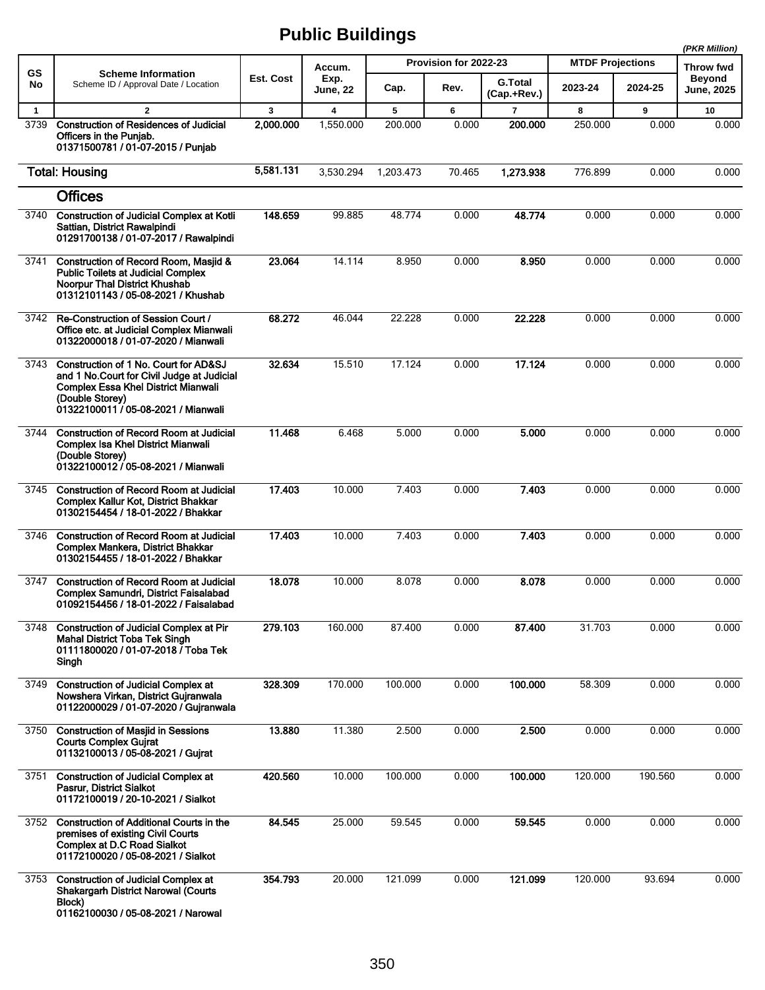|              |                                                                                                                                                                                              |           |                         |           |                       |                               |                         |         | (PKR Million)                      |
|--------------|----------------------------------------------------------------------------------------------------------------------------------------------------------------------------------------------|-----------|-------------------------|-----------|-----------------------|-------------------------------|-------------------------|---------|------------------------------------|
| <b>GS</b>    | <b>Scheme Information</b>                                                                                                                                                                    |           | Accum.                  |           | Provision for 2022-23 |                               | <b>MTDF Projections</b> |         | Throw fwd                          |
| No           | Scheme ID / Approval Date / Location                                                                                                                                                         | Est. Cost | Exp.<br>June, 22        | Cap.      | Rev.                  | <b>G.Total</b><br>(Cap.+Rev.) | 2023-24                 | 2024-25 | <b>Beyond</b><br><b>June, 2025</b> |
| $\mathbf{1}$ | $\overline{2}$                                                                                                                                                                               | 3         | $\overline{\mathbf{4}}$ | 5         | 6                     | $\overline{7}$                | 8                       | 9       | 10                                 |
| 3739         | <b>Construction of Residences of Judicial</b><br>Officers in the Punjab.<br>01371500781 / 01-07-2015 / Punjab                                                                                | 2,000.000 | 1,550.000               | 200.000   | 0.000                 | 200.000                       | 250.000                 | 0.000   | 0.000                              |
|              | <b>Total: Housing</b>                                                                                                                                                                        | 5,581.131 | 3,530.294               | 1,203.473 | 70.465                | 1,273.938                     | 776.899                 | 0.000   | 0.000                              |
|              | <b>Offices</b>                                                                                                                                                                               |           |                         |           |                       |                               |                         |         |                                    |
| 3740         | <b>Construction of Judicial Complex at Kotli</b><br>Sattian, District Rawalpindi<br>01291700138 / 01-07-2017 / Rawalpindi                                                                    | 148.659   | 99.885                  | 48.774    | 0.000                 | 48.774                        | 0.000                   | 0.000   | 0.000                              |
| 3741         | Construction of Record Room, Masjid &<br><b>Public Toilets at Judicial Complex</b><br><b>Noorpur Thal District Khushab</b><br>01312101143 / 05-08-2021 / Khushab                             | 23.064    | 14.114                  | 8.950     | 0.000                 | 8.950                         | 0.000                   | 0.000   | 0.000                              |
| 3742         | Re-Construction of Session Court /<br>Office etc. at Judicial Complex Mianwali<br>01322000018 / 01-07-2020 / Mianwali                                                                        | 68.272    | 46.044                  | 22.228    | 0.000                 | 22.228                        | 0.000                   | 0.000   | 0.000                              |
| 3743         | Construction of 1 No. Court for AD&SJ<br>and 1 No. Court for Civil Judge at Judicial<br><b>Complex Essa Khel District Mianwali</b><br>(Double Storey)<br>01322100011 / 05-08-2021 / Mianwali | 32.634    | 15.510                  | 17.124    | 0.000                 | 17.124                        | 0.000                   | 0.000   | 0.000                              |
| 3744         | <b>Construction of Record Room at Judicial</b><br><b>Complex Isa Khel District Mianwali</b><br>(Double Storey)<br>01322100012 / 05-08-2021 / Mianwali                                        | 11.468    | 6.468                   | 5.000     | 0.000                 | 5.000                         | 0.000                   | 0.000   | 0.000                              |
| 3745         | <b>Construction of Record Room at Judicial</b><br>Complex Kallur Kot, District Bhakkar<br>01302154454 / 18-01-2022 / Bhakkar                                                                 | 17.403    | 10.000                  | 7.403     | 0.000                 | 7.403                         | 0.000                   | 0.000   | 0.000                              |
| 3746         | <b>Construction of Record Room at Judicial</b><br>Complex Mankera, District Bhakkar<br>01302154455 / 18-01-2022 / Bhakkar                                                                    | 17.403    | 10.000                  | 7.403     | 0.000                 | 7.403                         | 0.000                   | 0.000   | 0.000                              |
| 3747         | <b>Construction of Record Room at Judicial</b><br>Complex Samundri, District Faisalabad<br>01092154456 / 18-01-2022 / Faisalabad                                                             | 18.078    | 10.000                  | 8.078     | 0.000                 | 8.078                         | 0.000                   | 0.000   | 0.000                              |
| 3748         | <b>Construction of Judicial Complex at Pir</b><br><b>Mahal District Toba Tek Singh</b><br>01111800020 / 01-07-2018 / Toba Tek<br>Singh                                                       | 279.103   | 160.000                 | 87.400    | 0.000                 | 87.400                        | 31.703                  | 0.000   | 0.000                              |
| 3749         | <b>Construction of Judicial Complex at</b><br>Nowshera Virkan, District Gujranwala<br>01122000029 / 01-07-2020 / Gujranwala                                                                  | 328.309   | 170.000                 | 100.000   | 0.000                 | 100.000                       | 58.309                  | 0.000   | 0.000                              |
| 3750         | <b>Construction of Masjid in Sessions</b><br><b>Courts Complex Gujrat</b><br>01132100013 / 05-08-2021 / Gujrat                                                                               | 13.880    | 11.380                  | 2.500     | 0.000                 | 2.500                         | 0.000                   | 0.000   | 0.000                              |
| 3751         | <b>Construction of Judicial Complex at</b><br>Pasrur, District Sialkot<br>01172100019 / 20-10-2021 / Sialkot                                                                                 | 420.560   | 10.000                  | 100.000   | 0.000                 | 100.000                       | 120.000                 | 190.560 | 0.000                              |
| 3752         | <b>Construction of Additional Courts in the</b><br>premises of existing Civil Courts<br><b>Complex at D.C Road Sialkot</b><br>01172100020 / 05-08-2021 / Sialkot                             | 84.545    | 25.000                  | 59.545    | 0.000                 | 59.545                        | 0.000                   | 0.000   | 0.000                              |
| 3753         | <b>Construction of Judicial Complex at</b><br><b>Shakargarh District Narowal (Courts</b><br>Block)<br>01162100030 / 05-08-2021 / Narowal                                                     | 354.793   | 20.000                  | 121.099   | 0.000                 | 121.099                       | 120.000                 | 93.694  | 0.000                              |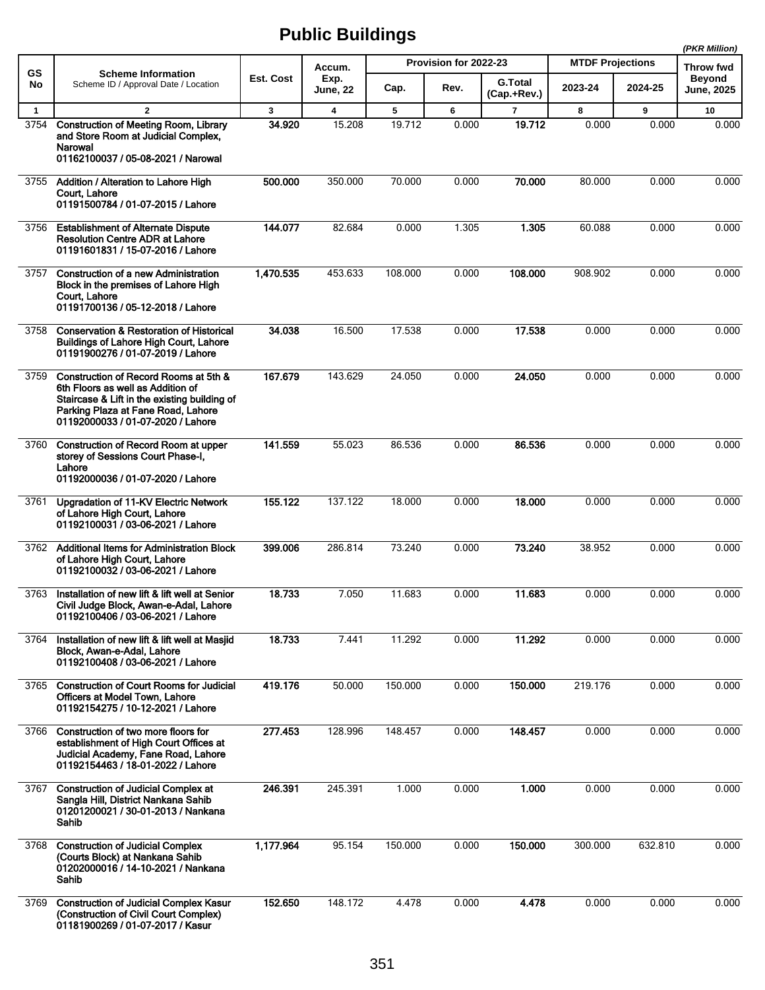|              |                                                                                                                                                                                                       |           |                  |         |                       |                               |                         |         | (PKR Million)               |
|--------------|-------------------------------------------------------------------------------------------------------------------------------------------------------------------------------------------------------|-----------|------------------|---------|-----------------------|-------------------------------|-------------------------|---------|-----------------------------|
| <b>GS</b>    | <b>Scheme Information</b>                                                                                                                                                                             |           | Accum.           |         | Provision for 2022-23 |                               | <b>MTDF Projections</b> |         | Throw fwd                   |
| No           | Scheme ID / Approval Date / Location                                                                                                                                                                  | Est. Cost | Exp.<br>June, 22 | Cap.    | Rev.                  | <b>G.Total</b><br>(Cap.+Rev.) | 2023-24                 | 2024-25 | <b>Beyond</b><br>June, 2025 |
| $\mathbf{1}$ | $\overline{2}$                                                                                                                                                                                        | 3         | 4                | 5       | 6                     | $\overline{7}$                | 8                       | 9       | 10                          |
| 3754         | <b>Construction of Meeting Room, Library</b><br>and Store Room at Judicial Complex,<br>Narowal<br>01162100037 / 05-08-2021 / Narowal                                                                  | 34.920    | 15.208           | 19.712  | 0.000                 | 19.712                        | 0.000                   | 0.000   | 0.000                       |
| 3755         | Addition / Alteration to Lahore High<br>Court. Lahore<br>01191500784 / 01-07-2015 / Lahore                                                                                                            | 500.000   | 350.000          | 70.000  | 0.000                 | 70.000                        | 80.000                  | 0.000   | 0.000                       |
| 3756         | <b>Establishment of Alternate Dispute</b><br><b>Resolution Centre ADR at Lahore</b><br>01191601831 / 15-07-2016 / Lahore                                                                              | 144.077   | 82.684           | 0.000   | 1.305                 | 1.305                         | 60.088                  | 0.000   | 0.000                       |
| 3757         | <b>Construction of a new Administration</b><br>Block in the premises of Lahore High<br>Court, Lahore<br>01191700136 / 05-12-2018 / Lahore                                                             | 1,470.535 | 453.633          | 108.000 | 0.000                 | 108.000                       | 908.902                 | 0.000   | 0.000                       |
| 3758         | <b>Conservation &amp; Restoration of Historical</b><br><b>Buildings of Lahore High Court, Lahore</b><br>01191900276 / 01-07-2019 / Lahore                                                             | 34.038    | 16.500           | 17.538  | 0.000                 | 17.538                        | 0.000                   | 0.000   | 0.000                       |
| 3759         | Construction of Record Rooms at 5th &<br>6th Floors as well as Addition of<br>Staircase & Lift in the existing building of<br>Parking Plaza at Fane Road, Lahore<br>01192000033 / 01-07-2020 / Lahore | 167.679   | 143.629          | 24.050  | 0.000                 | 24.050                        | 0.000                   | 0.000   | 0.000                       |
| 3760         | <b>Construction of Record Room at upper</b><br>storey of Sessions Court Phase-I,<br>Lahore<br>01192000036 / 01-07-2020 / Lahore                                                                       | 141.559   | 55.023           | 86.536  | 0.000                 | 86.536                        | 0.000                   | 0.000   | 0.000                       |
| 3761         | Upgradation of 11-KV Electric Network<br>of Lahore High Court, Lahore<br>01192100031 / 03-06-2021 / Lahore                                                                                            | 155.122   | 137.122          | 18.000  | 0.000                 | 18.000                        | 0.000                   | 0.000   | 0.000                       |
| 3762         | <b>Additional Items for Administration Block</b><br>of Lahore High Court, Lahore<br>01192100032 / 03-06-2021 / Lahore                                                                                 | 399.006   | 286.814          | 73.240  | 0.000                 | 73.240                        | 38.952                  | 0.000   | 0.000                       |
| 3763         | Installation of new lift & lift well at Senior<br>Civil Judge Block, Awan-e-Adal, Lahore<br>01192100406 / 03-06-2021 / Lahore                                                                         | 18.733    | 7.050            | 11.683  | 0.000                 | 11.683                        | 0.000                   | 0.000   | 0.000                       |
| 3764         | Installation of new lift & lift well at Masjid<br>Block, Awan-e-Adal, Lahore<br>01192100408 / 03-06-2021 / Lahore                                                                                     | 18.733    | 7.441            | 11.292  | 0.000                 | 11.292                        | 0.000                   | 0.000   | 0.000                       |
|              | 3765 Construction of Court Rooms for Judicial<br>Officers at Model Town, Lahore<br>01192154275 / 10-12-2021 / Lahore                                                                                  | 419.176   | 50.000           | 150.000 | 0.000                 | 150.000                       | 219.176                 | 0.000   | 0.000                       |
| 3766         | Construction of two more floors for<br>establishment of High Court Offices at<br>Judicial Academy, Fane Road, Lahore<br>01192154463 / 18-01-2022 / Lahore                                             | 277.453   | 128.996          | 148.457 | 0.000                 | 148.457                       | 0.000                   | 0.000   | 0.000                       |
| 3767         | <b>Construction of Judicial Complex at</b><br>Sangla Hill, District Nankana Sahib<br>01201200021 / 30-01-2013 / Nankana<br>Sahib                                                                      | 246.391   | 245.391          | 1.000   | 0.000                 | 1.000                         | 0.000                   | 0.000   | 0.000                       |
| 3768         | <b>Construction of Judicial Complex</b><br>(Courts Block) at Nankana Sahib<br>01202000016 / 14-10-2021 / Nankana<br>Sahib                                                                             | 1,177.964 | 95.154           | 150.000 | 0.000                 | 150.000                       | 300.000                 | 632.810 | 0.000                       |
| 3769         | <b>Construction of Judicial Complex Kasur</b><br>(Construction of Civil Court Complex)<br>01181900269 / 01-07-2017 / Kasur                                                                            | 152.650   | 148.172          | 4.478   | 0.000                 | 4.478                         | 0.000                   | 0.000   | 0.000                       |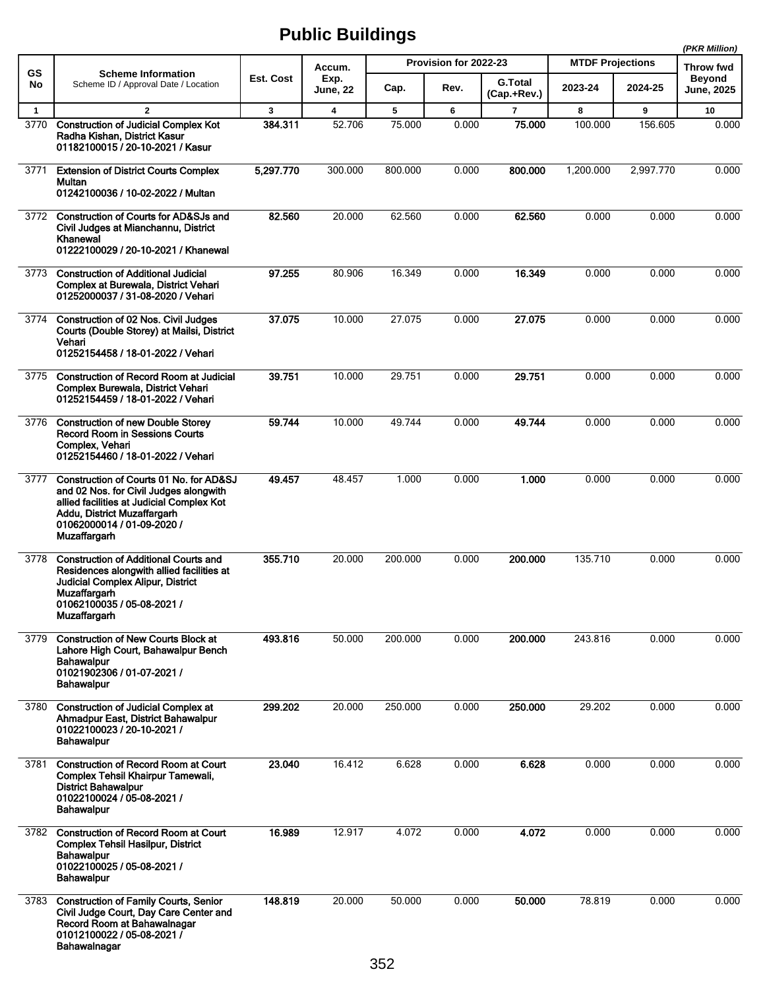|              |                                                                                                                                                                                                                    |           |                                   |         | Provision for 2022-23 |                               | <b>MTDF Projections</b> |           | (PKR Million)                                   |
|--------------|--------------------------------------------------------------------------------------------------------------------------------------------------------------------------------------------------------------------|-----------|-----------------------------------|---------|-----------------------|-------------------------------|-------------------------|-----------|-------------------------------------------------|
| GS<br>No     | <b>Scheme Information</b><br>Scheme ID / Approval Date / Location                                                                                                                                                  | Est. Cost | Accum.<br>Exp.<br><b>June, 22</b> | Cap.    | Rev.                  | <b>G.Total</b><br>(Cap.+Rev.) | 2023-24                 | 2024-25   | Throw fwd<br><b>Beyond</b><br><b>June, 2025</b> |
| $\mathbf{1}$ | $\overline{2}$                                                                                                                                                                                                     | 3         | $\overline{\mathbf{4}}$           | 5       | 6                     | $\overline{7}$                | 8                       | 9         | 10                                              |
| 3770         | <b>Construction of Judicial Complex Kot</b><br>Radha Kishan, District Kasur<br>01182100015 / 20-10-2021 / Kasur                                                                                                    | 384.311   | 52.706                            | 75.000  | 0.000                 | 75,000                        | 100.000                 | 156.605   | 0.000                                           |
| 3771         | <b>Extension of District Courts Complex</b><br>Multan<br>01242100036 / 10-02-2022 / Multan                                                                                                                         | 5,297.770 | 300.000                           | 800.000 | 0.000                 | 800.000                       | 1,200.000               | 2,997.770 | 0.000                                           |
| 3772         | <b>Construction of Courts for AD&amp;SJs and</b><br>Civil Judges at Mianchannu, District<br>Khanewal<br>01222100029 / 20-10-2021 / Khanewal                                                                        | 82.560    | 20.000                            | 62.560  | 0.000                 | 62.560                        | 0.000                   | 0.000     | 0.000                                           |
| 3773         | <b>Construction of Additional Judicial</b><br>Complex at Burewala, District Vehari<br>01252000037 / 31-08-2020 / Vehari                                                                                            | 97.255    | 80.906                            | 16.349  | 0.000                 | 16.349                        | 0.000                   | 0.000     | 0.000                                           |
| 3774         | <b>Construction of 02 Nos. Civil Judges</b><br>Courts (Double Storey) at Mailsi, District<br>Vehari<br>01252154458 / 18-01-2022 / Vehari                                                                           | 37.075    | 10.000                            | 27.075  | 0.000                 | 27.075                        | 0.000                   | 0.000     | 0.000                                           |
| 3775         | <b>Construction of Record Room at Judicial</b><br>Complex Burewala, District Vehari<br>01252154459 / 18-01-2022 / Vehari                                                                                           | 39.751    | 10.000                            | 29.751  | 0.000                 | 29.751                        | 0.000                   | 0.000     | 0.000                                           |
| 3776         | <b>Construction of new Double Storey</b><br>Record Room in Sessions Courts<br>Complex, Vehari<br>01252154460 / 18-01-2022 / Vehari                                                                                 | 59.744    | 10.000                            | 49.744  | 0.000                 | 49.744                        | 0.000                   | 0.000     | 0.000                                           |
| 3777         | Construction of Courts 01 No. for AD&SJ<br>and 02 Nos. for Civil Judges alongwith<br>allied facilities at Judicial Complex Kot<br>Addu, District Muzaffargarh<br>01062000014 / 01-09-2020 /<br><b>Muzaffargarh</b> | 49.457    | 48.457                            | 1.000   | 0.000                 | 1.000                         | 0.000                   | 0.000     | 0.000                                           |
| 3778         | <b>Construction of Additional Courts and</b><br>Residences alongwith allied facilities at<br>Judicial Complex Alipur, District<br><b>Muzaffargarh</b><br>01062100035 / 05-08-2021 /<br><b>Muzaffargarh</b>         | 355.710   | 20.000                            | 200.000 | 0.000                 | 200.000                       | 135.710                 | 0.000     | 0.000                                           |
| 3779         | <b>Construction of New Courts Block at</b><br>Lahore High Court, Bahawalpur Bench<br>Bahawalpur<br>01021902306 / 01-07-2021 /<br><b>Bahawalpur</b>                                                                 | 493.816   | 50.000                            | 200.000 | 0.000                 | 200.000                       | 243.816                 | 0.000     | 0.000                                           |
| 3780         | <b>Construction of Judicial Complex at</b><br>Ahmadpur East, District Bahawalpur<br>01022100023 / 20-10-2021 /<br><b>Bahawalpur</b>                                                                                | 299.202   | 20.000                            | 250.000 | 0.000                 | 250.000                       | 29.202                  | 0.000     | 0.000                                           |
| 3781         | <b>Construction of Record Room at Court</b><br>Complex Tehsil Khairpur Tamewali,<br><b>District Bahawalpur</b><br>01022100024 / 05-08-2021 /<br><b>Bahawalpur</b>                                                  | 23.040    | 16.412                            | 6.628   | 0.000                 | 6.628                         | 0.000                   | 0.000     | 0.000                                           |
|              | 3782 Construction of Record Room at Court<br><b>Complex Tehsil Hasilpur, District</b><br><b>Bahawalpur</b><br>01022100025 / 05-08-2021 /<br><b>Bahawalpur</b>                                                      | 16.989    | 12.917                            | 4.072   | 0.000                 | 4.072                         | 0.000                   | 0.000     | 0.000                                           |
| 3783         | <b>Construction of Family Courts, Senior</b><br>Civil Judge Court, Day Care Center and<br>Record Room at Bahawalnagar<br>01012100022 / 05-08-2021 /<br>Bahawalnagar                                                | 148.819   | 20.000                            | 50.000  | 0.000                 | 50.000                        | 78.819                  | 0.000     | 0.000                                           |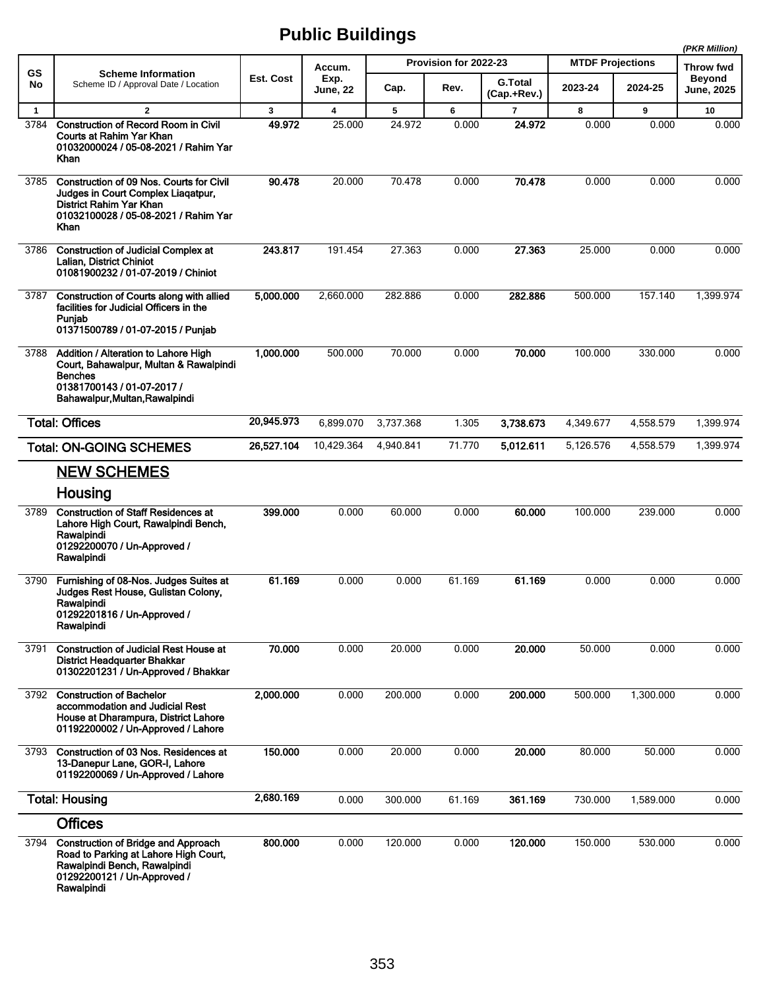|              |                                                                                                                                                                  |              |                         |           |                       |                               |                         |           | (PKR Million)                     |
|--------------|------------------------------------------------------------------------------------------------------------------------------------------------------------------|--------------|-------------------------|-----------|-----------------------|-------------------------------|-------------------------|-----------|-----------------------------------|
| GS           | <b>Scheme Information</b>                                                                                                                                        | Est. Cost    | Accum.                  |           | Provision for 2022-23 |                               | <b>MTDF Projections</b> |           | <b>Throw fwd</b><br><b>Beyond</b> |
| No           | Scheme ID / Approval Date / Location                                                                                                                             |              | Exp.<br><b>June, 22</b> | Cap.      | Rev.                  | <b>G.Total</b><br>(Cap.+Rev.) | 2023-24                 | 2024-25   | <b>June, 2025</b>                 |
| $\mathbf{1}$ | $\overline{2}$                                                                                                                                                   | $\mathbf{3}$ | 4                       | 5         | 6                     | $\overline{7}$                | 8                       | 9         | 10                                |
| 3784         | <b>Construction of Record Room in Civil</b><br>Courts at Rahim Yar Khan<br>01032000024 / 05-08-2021 / Rahim Yar<br>Khan                                          | 49.972       | 25.000                  | 24.972    | 0.000                 | 24.972                        | 0.000                   | 0.000     | 0.000                             |
| 3785         | Construction of 09 Nos. Courts for Civil<br>Judges in Court Complex Liagatpur,<br>District Rahim Yar Khan<br>01032100028 / 05-08-2021 / Rahim Yar<br>Khan        | 90.478       | 20.000                  | 70.478    | 0.000                 | 70.478                        | 0.000                   | 0.000     | 0.000                             |
| 3786         | <b>Construction of Judicial Complex at</b><br>Lalian, District Chiniot<br>01081900232 / 01-07-2019 / Chiniot                                                     | 243.817      | 191.454                 | 27.363    | 0.000                 | 27.363                        | 25.000                  | 0.000     | 0.000                             |
| 3787         | Construction of Courts along with allied<br>facilities for Judicial Officers in the<br>Punjab<br>01371500789 / 01-07-2015 / Punjab                               | 5,000.000    | 2,660.000               | 282.886   | 0.000                 | 282.886                       | 500.000                 | 157.140   | 1,399.974                         |
| 3788         | Addition / Alteration to Lahore High<br>Court, Bahawalpur, Multan & Rawalpindi<br><b>Benches</b><br>01381700143 / 01-07-2017 /<br>Bahawalpur, Multan, Rawalpindi | 1,000.000    | 500.000                 | 70.000    | 0.000                 | 70.000                        | 100.000                 | 330.000   | 0.000                             |
|              | <b>Total: Offices</b>                                                                                                                                            | 20,945.973   | 6,899.070               | 3,737.368 | 1.305                 | 3,738.673                     | 4,349.677               | 4,558.579 | 1,399.974                         |
|              | <b>Total: ON-GOING SCHEMES</b>                                                                                                                                   | 26,527.104   | 10,429.364              | 4,940.841 | 71.770                | 5,012.611                     | 5,126.576               | 4,558.579 | 1,399.974                         |
|              | <b>NEW SCHEMES</b>                                                                                                                                               |              |                         |           |                       |                               |                         |           |                                   |
|              | Housing                                                                                                                                                          |              |                         |           |                       |                               |                         |           |                                   |
| 3789         | <b>Construction of Staff Residences at</b><br>Lahore High Court, Rawalpindi Bench,<br>Rawalpindi<br>01292200070 / Un-Approved /<br>Rawalpindi                    | 399.000      | 0.000                   | 60.000    | 0.000                 | 60,000                        | 100.000                 | 239.000   | 0.000                             |
| 3790         | Furnishing of 08-Nos. Judges Suites at<br>Judges Rest House, Gulistan Colony,<br>Rawalpindi<br>01292201816 / Un-Approved /<br>Rawalpindi                         | 61.169       | 0.000                   | 0.000     | 61.169                | 61.169                        | 0.000                   | 0.000     | 0.000                             |
| 3791         | <b>Construction of Judicial Rest House at</b><br><b>District Headquarter Bhakkar</b><br>01302201231 / Un-Approved / Bhakkar                                      | 70.000       | 0.000                   | 20.000    | 0.000                 | 20.000                        | 50.000                  | 0.000     | 0.000                             |
| 3792         | <b>Construction of Bachelor</b><br>accommodation and Judicial Rest<br>House at Dharampura, District Lahore<br>01192200002 / Un-Approved / Lahore                 | 2,000.000    | 0.000                   | 200.000   | 0.000                 | 200.000                       | 500.000                 | 1,300.000 | 0.000                             |
| 3793         | Construction of 03 Nos. Residences at<br>13-Danepur Lane, GOR-I, Lahore<br>01192200069 / Un-Approved / Lahore                                                    | 150.000      | 0.000                   | 20.000    | 0.000                 | 20.000                        | 80.000                  | 50.000    | 0.000                             |
|              | <b>Total: Housing</b>                                                                                                                                            | 2,680.169    | 0.000                   | 300.000   | 61.169                | 361.169                       | 730.000                 | 1,589.000 | 0.000                             |
|              | <b>Offices</b>                                                                                                                                                   |              |                         |           |                       |                               |                         |           |                                   |
| 3794         | <b>Construction of Bridge and Approach</b><br>Road to Parking at Lahore High Court,<br>Rawalpindi Bench, Rawalpindi<br>01292200121 / Un-Approved /<br>Rawalpindi | 800.000      | 0.000                   | 120.000   | 0.000                 | 120.000                       | 150.000                 | 530.000   | 0.000                             |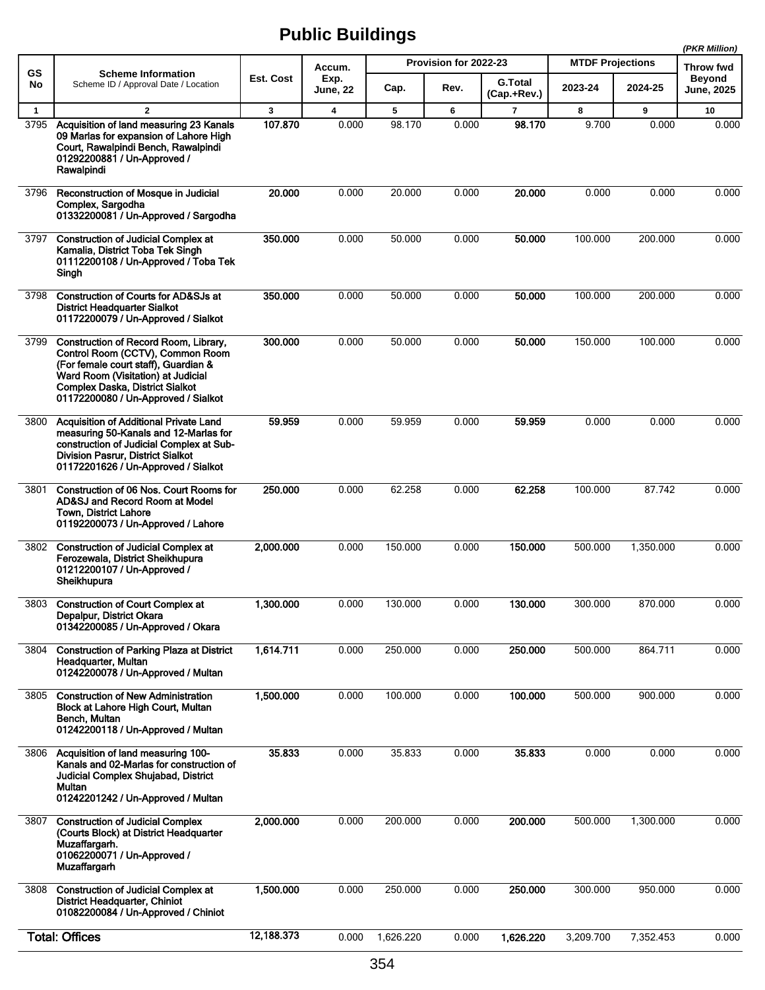|              |                                                                                                                                                                                                                                          |            |                |           |                       |                |                         |           | (PKR Million)              |
|--------------|------------------------------------------------------------------------------------------------------------------------------------------------------------------------------------------------------------------------------------------|------------|----------------|-----------|-----------------------|----------------|-------------------------|-----------|----------------------------|
| GS<br>No     | <b>Scheme Information</b><br>Scheme ID / Approval Date / Location                                                                                                                                                                        | Est. Cost  | Accum.<br>Exp. |           | Provision for 2022-23 | <b>G.Total</b> | <b>MTDF Projections</b> |           | Throw fwd<br><b>Beyond</b> |
|              |                                                                                                                                                                                                                                          |            | June, 22       | Cap.      | Rev.                  | (Cap.+Rev.)    | 2023-24                 | 2024-25   | <b>June, 2025</b>          |
| $\mathbf{1}$ | $\overline{2}$                                                                                                                                                                                                                           | 3          | 4              | 5         | 6                     | $\overline{7}$ | 8                       | 9         | 10                         |
| 3795         | Acquisition of land measuring 23 Kanals<br>09 Marlas for expansion of Lahore High<br>Court, Rawalpindi Bench, Rawalpindi<br>01292200881 / Un-Approved /<br>Rawalpindi                                                                    | 107.870    | 0.000          | 98.170    | 0.000                 | 98.170         | 9.700                   | 0.000     | 0.000                      |
| 3796         | Reconstruction of Mosque in Judicial<br>Complex, Sargodha<br>01332200081 / Un-Approved / Sargodha                                                                                                                                        | 20.000     | 0.000          | 20.000    | 0.000                 | 20.000         | 0.000                   | 0.000     | 0.000                      |
| 3797         | <b>Construction of Judicial Complex at</b><br>Kamalia, District Toba Tek Singh<br>01112200108 / Un-Approved / Toba Tek<br>Singh                                                                                                          | 350.000    | 0.000          | 50.000    | 0.000                 | 50.000         | 100.000                 | 200.000   | 0.000                      |
| 3798         | Construction of Courts for AD&SJs at<br><b>District Headquarter Sialkot</b><br>01172200079 / Un-Approved / Sialkot                                                                                                                       | 350.000    | 0.000          | 50.000    | 0.000                 | 50.000         | 100.000                 | 200.000   | 0.000                      |
| 3799         | Construction of Record Room, Library,<br>Control Room (CCTV), Common Room<br>(For female court staff), Guardian &<br>Ward Room (Visitation) at Judicial<br><b>Complex Daska, District Sialkot</b><br>01172200080 / Un-Approved / Sialkot | 300.000    | 0.000          | 50.000    | 0.000                 | 50.000         | 150.000                 | 100.000   | 0.000                      |
| 3800         | Acquisition of Additional Private Land<br>measuring 50-Kanals and 12-Marlas for<br>construction of Judicial Complex at Sub-<br><b>Division Pasrur, District Sialkot</b><br>01172201626 / Un-Approved / Sialkot                           | 59.959     | 0.000          | 59.959    | 0.000                 | 59.959         | 0.000                   | 0.000     | 0.000                      |
| 3801         | Construction of 06 Nos. Court Rooms for<br>AD&SJ and Record Room at Model<br><b>Town, District Lahore</b><br>01192200073 / Un-Approved / Lahore                                                                                          | 250.000    | 0.000          | 62.258    | 0.000                 | 62.258         | 100.000                 | 87.742    | 0.000                      |
| 3802         | <b>Construction of Judicial Complex at</b><br>Ferozewala, District Sheikhupura<br>01212200107 / Un-Approved /<br>Sheikhupura                                                                                                             | 2,000.000  | 0.000          | 150.000   | 0.000                 | 150.000        | 500.000                 | 1.350.000 | 0.000                      |
| 3803         | <b>Construction of Court Complex at</b><br>Depalpur, District Okara<br>01342200085 / Un-Approved / Okara                                                                                                                                 | 1,300.000  | 0.000          | 130.000   | 0.000                 | 130.000        | 300.000                 | 870.000   | 0.000                      |
| 3804         | <b>Construction of Parking Plaza at District</b><br>Headquarter, Multan<br>01242200078 / Un-Approved / Multan                                                                                                                            | 1,614.711  | 0.000          | 250.000   | 0.000                 | 250.000        | 500.000                 | 864.711   | 0.000                      |
| 3805         | <b>Construction of New Administration</b><br>Block at Lahore High Court, Multan<br>Bench, Multan<br>01242200118 / Un-Approved / Multan                                                                                                   | 1,500.000  | 0.000          | 100.000   | 0.000                 | 100.000        | 500.000                 | 900.000   | 0.000                      |
| 3806         | Acquisition of land measuring 100-<br>Kanals and 02-Marlas for construction of<br>Judicial Complex Shujabad, District<br>Multan<br>01242201242 / Un-Approved / Multan                                                                    | 35.833     | 0.000          | 35.833    | 0.000                 | 35.833         | 0.000                   | 0.000     | 0.000                      |
| 3807         | <b>Construction of Judicial Complex</b><br>(Courts Block) at District Headquarter<br>Muzaffargarh.<br>01062200071 / Un-Approved /<br><b>Muzaffargarh</b>                                                                                 | 2,000.000  | 0.000          | 200.000   | 0.000                 | 200.000        | 500.000                 | 1,300.000 | 0.000                      |
| 3808         | <b>Construction of Judicial Complex at</b><br><b>District Headquarter, Chiniot</b><br>01082200084 / Un-Approved / Chiniot                                                                                                                | 1,500.000  | 0.000          | 250.000   | 0.000                 | 250.000        | 300.000                 | 950.000   | 0.000                      |
|              | <b>Total: Offices</b>                                                                                                                                                                                                                    | 12,188.373 | 0.000          | 1,626.220 | 0.000                 | 1,626.220      | 3,209.700               | 7,352.453 | 0.000                      |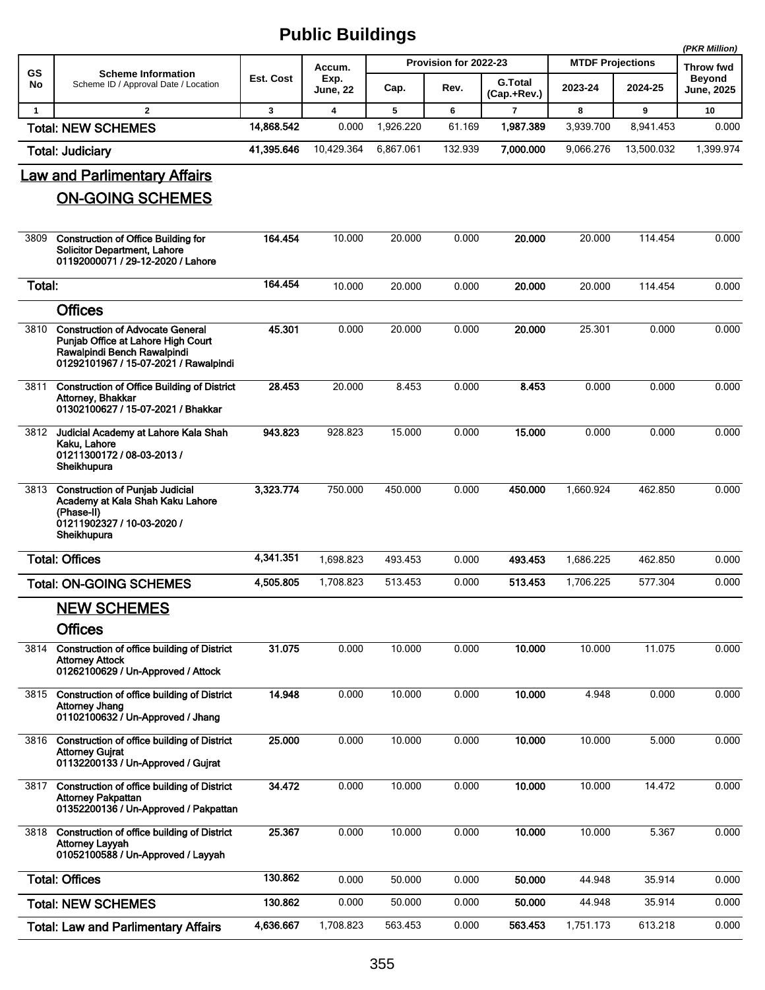|              |                                                                                                                                                       |            |                         |           |                       |                               |                         |            | (PKR Million)               |
|--------------|-------------------------------------------------------------------------------------------------------------------------------------------------------|------------|-------------------------|-----------|-----------------------|-------------------------------|-------------------------|------------|-----------------------------|
| GS           | <b>Scheme Information</b>                                                                                                                             |            | Accum.                  |           | Provision for 2022-23 |                               | <b>MTDF Projections</b> |            | Throw fwd                   |
| No           | Scheme ID / Approval Date / Location                                                                                                                  | Est. Cost  | Exp.<br>June, 22        | Cap.      | Rev.                  | <b>G.Total</b><br>(Cap.+Rev.) | 2023-24                 | 2024-25    | <b>Beyond</b><br>June, 2025 |
| $\mathbf{1}$ | $\overline{2}$                                                                                                                                        | 3          | $\overline{\mathbf{4}}$ | 5         | 6                     | $\overline{7}$                | 8                       | 9          | 10                          |
|              | <b>Total: NEW SCHEMES</b>                                                                                                                             | 14,868.542 | 0.000                   | 1,926.220 | 61.169                | 1,987.389                     | 3,939.700               | 8,941.453  | 0.000                       |
|              | <b>Total: Judiciary</b>                                                                                                                               | 41,395.646 | 10,429.364              | 6,867.061 | 132.939               | 7,000.000                     | 9,066.276               | 13,500.032 | 1,399.974                   |
|              | <b>Law and Parlimentary Affairs</b>                                                                                                                   |            |                         |           |                       |                               |                         |            |                             |
|              | <b>ON-GOING SCHEMES</b>                                                                                                                               |            |                         |           |                       |                               |                         |            |                             |
| 3809         | <b>Construction of Office Building for</b><br><b>Solicitor Department, Lahore</b><br>01192000071 / 29-12-2020 / Lahore                                | 164.454    | 10.000                  | 20.000    | 0.000                 | 20.000                        | 20.000                  | 114.454    | 0.000                       |
| Total:       |                                                                                                                                                       | 164.454    | 10.000                  | 20.000    | 0.000                 | 20.000                        | 20.000                  | 114.454    | 0.000                       |
|              | <b>Offices</b>                                                                                                                                        |            |                         |           |                       |                               |                         |            |                             |
| 3810         | <b>Construction of Advocate General</b><br>Punjab Office at Lahore High Court<br>Rawalpindi Bench Rawalpindi<br>01292101967 / 15-07-2021 / Rawalpindi | 45.301     | 0.000                   | 20.000    | 0.000                 | 20.000                        | 25.301                  | 0.000      | 0.000                       |
| 3811         | <b>Construction of Office Building of District</b><br>Attorney, Bhakkar<br>01302100627 / 15-07-2021 / Bhakkar                                         | 28.453     | 20.000                  | 8.453     | 0.000                 | 8.453                         | 0.000                   | 0.000      | 0.000                       |
| 3812         | Judicial Academy at Lahore Kala Shah<br>Kaku, Lahore<br>01211300172 / 08-03-2013 /<br>Sheikhupura                                                     | 943.823    | 928.823                 | 15.000    | 0.000                 | 15.000                        | 0.000                   | 0.000      | 0.000                       |
| 3813         | <b>Construction of Punjab Judicial</b><br>Academy at Kala Shah Kaku Lahore<br>(Phase-II)<br>01211902327 / 10-03-2020 /<br>Sheikhupura                 | 3,323.774  | 750.000                 | 450.000   | 0.000                 | 450.000                       | 1,660.924               | 462.850    | 0.000                       |
|              | <b>Total: Offices</b>                                                                                                                                 | 4,341.351  | 1,698.823               | 493.453   | 0.000                 | 493.453                       | 1,686.225               | 462.850    | 0.000                       |
|              | <b>Total: ON-GOING SCHEMES</b>                                                                                                                        | 4,505.805  | 1,708.823               | 513.453   | 0.000                 | 513.453                       | 1,706.225               | 577.304    | 0.000                       |
|              | <b>NEW SCHEMES</b><br><b>Offices</b>                                                                                                                  |            |                         |           |                       |                               |                         |            |                             |
| 3814         | Construction of office building of District<br><b>Attorney Attock</b><br>01262100629 / Un-Approved / Attock                                           | 31.075     | 0.000                   | 10.000    | 0.000                 | 10.000                        | 10.000                  | 11.075     | 0.000                       |
| 3815         | Construction of office building of District<br><b>Attorney Jhang</b><br>01102100632 / Un-Approved / Jhang                                             | 14.948     | 0.000                   | 10.000    | 0.000                 | 10.000                        | 4.948                   | 0.000      | 0.000                       |
| 3816         | Construction of office building of District<br><b>Attorney Gujrat</b><br>01132200133 / Un-Approved / Gujrat                                           | 25.000     | 0.000                   | 10.000    | 0.000                 | 10.000                        | 10.000                  | 5.000      | 0.000                       |
| 3817         | Construction of office building of District<br><b>Attorney Pakpattan</b><br>01352200136 / Un-Approved / Pakpattan                                     | 34.472     | 0.000                   | 10.000    | 0.000                 | 10.000                        | 10.000                  | 14.472     | 0.000                       |
| 3818         | Construction of office building of District<br><b>Attorney Layyah</b><br>01052100588 / Un-Approved / Layyah                                           | 25.367     | 0.000                   | 10.000    | 0.000                 | 10.000                        | 10.000                  | 5.367      | 0.000                       |
|              | <b>Total: Offices</b>                                                                                                                                 | 130.862    | 0.000                   | 50.000    | 0.000                 | 50.000                        | 44.948                  | 35.914     | 0.000                       |
|              | <b>Total: NEW SCHEMES</b>                                                                                                                             | 130.862    | 0.000                   | 50.000    | 0.000                 | 50.000                        | 44.948                  | 35.914     | 0.000                       |
|              | <b>Total: Law and Parlimentary Affairs</b>                                                                                                            | 4,636.667  | 1,708.823               | 563.453   | 0.000                 | 563.453                       | 1,751.173               | 613.218    | 0.000                       |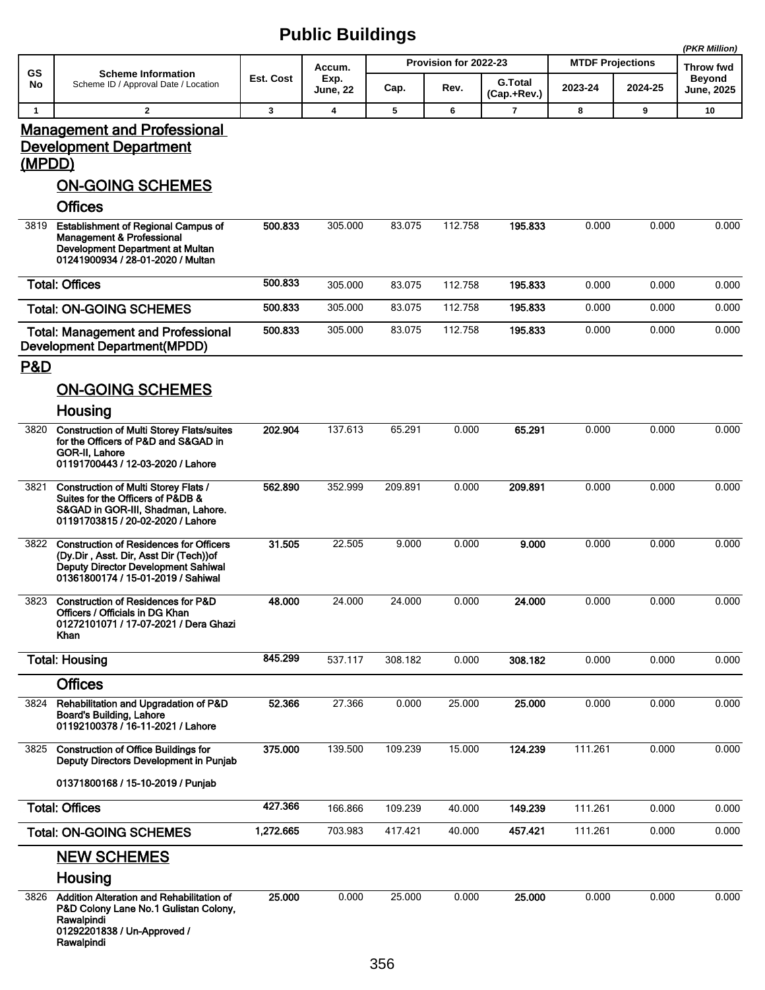|                |                                                                                                                                                                        |           |                 |         |                       |                               |                         |         | (PKR Million)              |
|----------------|------------------------------------------------------------------------------------------------------------------------------------------------------------------------|-----------|-----------------|---------|-----------------------|-------------------------------|-------------------------|---------|----------------------------|
| <b>GS</b>      | <b>Scheme Information</b>                                                                                                                                              | Est. Cost | Accum.<br>Exp.  |         | Provision for 2022-23 |                               | <b>MTDF Projections</b> |         | Throw fwd<br><b>Beyond</b> |
| No             | Scheme ID / Approval Date / Location                                                                                                                                   |           | <b>June, 22</b> | Cap.    | Rev.                  | <b>G.Total</b><br>(Cap.+Rev.) | 2023-24                 | 2024-25 | <b>June, 2025</b>          |
| $\mathbf{1}$   | $\mathbf{2}$                                                                                                                                                           | 3         | 4               | 5       | 6                     | $\overline{\mathbf{r}}$       | 8                       | 9       | 10                         |
| (MPDD)         | <b>Management and Professional</b><br><b>Development Department</b><br><b>ON-GOING SCHEMES</b>                                                                         |           |                 |         |                       |                               |                         |         |                            |
|                | <b>Offices</b>                                                                                                                                                         |           |                 |         |                       |                               |                         |         |                            |
| 3819           | <b>Establishment of Regional Campus of</b><br>Management & Professional<br>Development Department at Multan<br>01241900934 / 28-01-2020 / Multan                       | 500.833   | 305.000         | 83.075  | 112.758               | 195.833                       | 0.000                   | 0.000   | 0.000                      |
|                | <b>Total: Offices</b>                                                                                                                                                  | 500.833   | 305.000         | 83.075  | 112.758               | 195.833                       | 0.000                   | 0.000   | 0.000                      |
|                | <b>Total: ON-GOING SCHEMES</b>                                                                                                                                         | 500.833   | 305.000         | 83.075  | 112.758               | 195.833                       | 0.000                   | 0.000   | 0.000                      |
|                | <b>Total: Management and Professional</b><br><b>Development Department(MPDD)</b>                                                                                       | 500.833   | 305.000         | 83.075  | 112.758               | 195.833                       | 0.000                   | 0.000   | 0.000                      |
| <b>P&amp;D</b> |                                                                                                                                                                        |           |                 |         |                       |                               |                         |         |                            |
|                | <b>ON-GOING SCHEMES</b>                                                                                                                                                |           |                 |         |                       |                               |                         |         |                            |
|                | Housing                                                                                                                                                                |           |                 |         |                       |                               |                         |         |                            |
| 3820           | <b>Construction of Multi Storey Flats/suites</b><br>for the Officers of P&D and S&GAD in<br>GOR-II, Lahore<br>01191700443 / 12-03-2020 / Lahore                        | 202.904   | 137.613         | 65.291  | 0.000                 | 65.291                        | 0.000                   | 0.000   | 0.000                      |
| 3821           | <b>Construction of Multi Storey Flats /</b><br>Suites for the Officers of P&DB &<br>S&GAD in GOR-III, Shadman, Lahore.<br>01191703815 / 20-02-2020 / Lahore            | 562.890   | 352.999         | 209.891 | 0.000                 | 209.891                       | 0.000                   | 0.000   | 0.000                      |
| 3822           | <b>Construction of Residences for Officers</b><br>(Dy.Dir, Asst. Dir, Asst Dir (Tech)) of<br>Deputy Director Development Sahiwal<br>01361800174 / 15-01-2019 / Sahiwal | 31.505    | 22.505          | 9.000   | 0.000                 | 9.000                         | 0.000                   | 0.000   | 0.000                      |
| 3823           | Construction of Residences for P&D<br>Officers / Officials in DG Khan<br>01272101071 / 17-07-2021 / Dera Ghazi<br>Khan                                                 | 48.000    | 24.000          | 24.000  | 0.000                 | 24.000                        | 0.000                   | 0.000   | 0.000                      |
|                | <b>Total: Housing</b>                                                                                                                                                  | 845.299   | 537.117         | 308.182 | 0.000                 | 308.182                       | 0.000                   | 0.000   | 0.000                      |
|                | <b>Offices</b>                                                                                                                                                         |           |                 |         |                       |                               |                         |         |                            |
| 3824           | Rehabilitation and Upgradation of P&D<br>Board's Building, Lahore<br>01192100378 / 16-11-2021 / Lahore                                                                 | 52.366    | 27.366          | 0.000   | 25.000                | 25,000                        | 0.000                   | 0.000   | 0.000                      |
| 3825           | <b>Construction of Office Buildings for</b><br>Deputy Directors Development in Punjab                                                                                  | 375.000   | 139.500         | 109.239 | 15.000                | 124.239                       | 111.261                 | 0.000   | 0.000                      |
|                | 01371800168 / 15-10-2019 / Punjab                                                                                                                                      |           |                 |         |                       |                               |                         |         |                            |
|                | <b>Total: Offices</b>                                                                                                                                                  | 427.366   | 166.866         | 109.239 | 40.000                | 149.239                       | 111.261                 | 0.000   | 0.000                      |
|                | <b>Total: ON-GOING SCHEMES</b>                                                                                                                                         | 1,272.665 | 703.983         | 417.421 | 40.000                | 457.421                       | 111.261                 | 0.000   | 0.000                      |
|                | <b>NEW SCHEMES</b>                                                                                                                                                     |           |                 |         |                       |                               |                         |         |                            |
|                | Housing<br>3826 Addition Alteration and Rehabilitation of<br>P&D Colony Lane No.1 Gulistan Colony,<br>Rawalpindi<br>01292201838 / Un-Approved /<br>Rawalpindi          | 25.000    | 0.000           | 25.000  | 0.000                 | 25.000                        | 0.000                   | 0.000   | 0.000                      |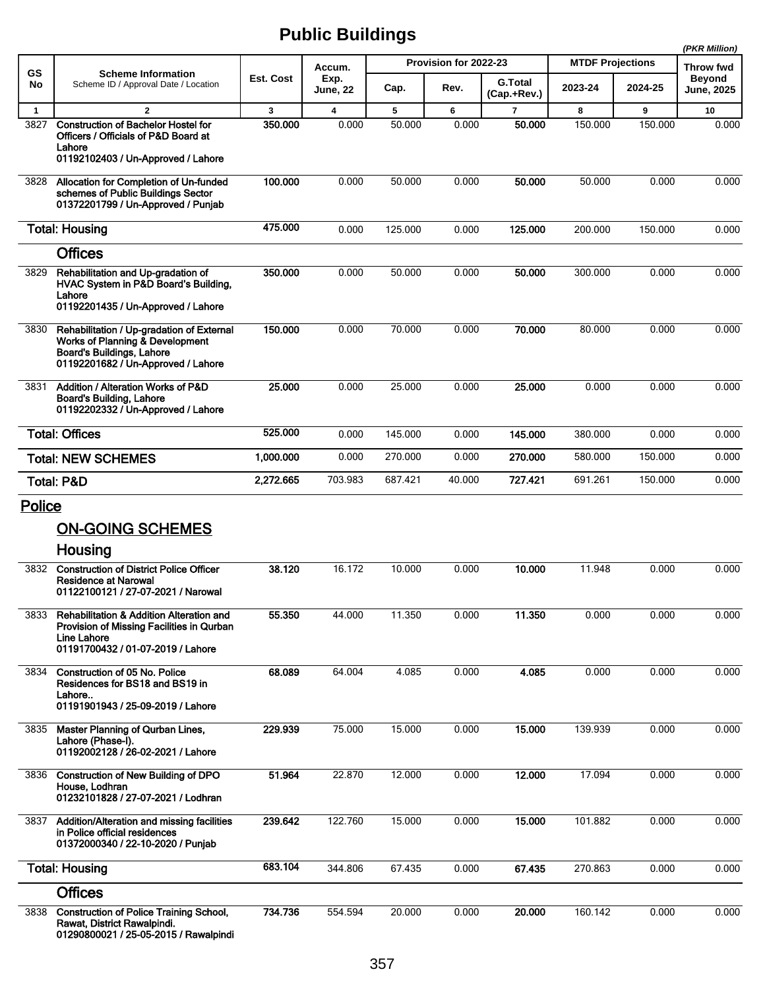|               |                                                                                                                                                        |           |                         |         |                       |                               |                         |         | (PKR Million)               |
|---------------|--------------------------------------------------------------------------------------------------------------------------------------------------------|-----------|-------------------------|---------|-----------------------|-------------------------------|-------------------------|---------|-----------------------------|
| GS            | <b>Scheme Information</b>                                                                                                                              |           | Accum.                  |         | Provision for 2022-23 |                               | <b>MTDF Projections</b> |         | <b>Throw fwd</b>            |
| No            | Scheme ID / Approval Date / Location                                                                                                                   | Est. Cost | Exp.<br>June, 22        | Cap.    | Rev.                  | <b>G.Total</b><br>(Cap.+Rev.) | 2023-24                 | 2024-25 | <b>Beyond</b><br>June, 2025 |
| $\mathbf{1}$  | $\overline{2}$                                                                                                                                         | 3         | $\overline{\mathbf{4}}$ | 5       | 6                     | $\overline{7}$                | 8                       | 9       | 10                          |
| 3827          | <b>Construction of Bachelor Hostel for</b><br>Officers / Officials of P&D Board at<br>Lahore<br>01192102403 / Un-Approved / Lahore                     | 350.000   | 0.000                   | 50.000  | 0.000                 | 50,000                        | 150.000                 | 150.000 | 0.000                       |
|               |                                                                                                                                                        |           |                         |         |                       |                               |                         |         |                             |
| 3828          | Allocation for Completion of Un-funded<br>schemes of Public Buildings Sector<br>01372201799 / Un-Approved / Punjab                                     | 100.000   | 0.000                   | 50.000  | 0.000                 | 50,000                        | 50.000                  | 0.000   | 0.000                       |
|               | <b>Total: Housing</b>                                                                                                                                  | 475.000   | 0.000                   | 125.000 | 0.000                 | 125.000                       | 200.000                 | 150.000 | 0.000                       |
|               | <b>Offices</b>                                                                                                                                         |           |                         |         |                       |                               |                         |         |                             |
| 3829          | Rehabilitation and Up-gradation of<br>HVAC System in P&D Board's Building,<br>Lahore<br>01192201435 / Un-Approved / Lahore                             | 350.000   | 0.000                   | 50.000  | 0.000                 | 50.000                        | 300.000                 | 0.000   | 0.000                       |
| 3830          | Rehabilitation / Up-gradation of External<br>Works of Planning & Development<br><b>Board's Buildings, Lahore</b><br>01192201682 / Un-Approved / Lahore | 150.000   | 0.000                   | 70.000  | 0.000                 | 70.000                        | 80.000                  | 0.000   | 0.000                       |
| 3831          | Addition / Alteration Works of P&D<br><b>Board's Building, Lahore</b><br>01192202332 / Un-Approved / Lahore                                            | 25.000    | 0.000                   | 25.000  | 0.000                 | 25.000                        | 0.000                   | 0.000   | 0.000                       |
|               | <b>Total: Offices</b>                                                                                                                                  | 525.000   | 0.000                   | 145.000 | 0.000                 | 145.000                       | 380.000                 | 0.000   | 0.000                       |
|               | <b>Total: NEW SCHEMES</b>                                                                                                                              | 1,000.000 | 0.000                   | 270.000 | 0.000                 | 270.000                       | 580.000                 | 150.000 | 0.000                       |
|               | <b>Total: P&amp;D</b>                                                                                                                                  | 2,272.665 | 703.983                 | 687.421 | 40.000                | 727.421                       | 691.261                 | 150.000 | 0.000                       |
| <b>Police</b> |                                                                                                                                                        |           |                         |         |                       |                               |                         |         |                             |
|               | <b>ON-GOING SCHEMES</b>                                                                                                                                |           |                         |         |                       |                               |                         |         |                             |
|               | Housing                                                                                                                                                |           |                         |         |                       |                               |                         |         |                             |
| 3832          | <b>Construction of District Police Officer</b><br><b>Residence at Narowal</b><br>01122100121 / 27-07-2021 / Narowal                                    | 38.120    | 16.172                  | 10.000  | 0.000                 | 10.000                        | 11.948                  | 0.000   | 0.000                       |
| 3833          | <b>Rehabilitation &amp; Addition Alteration and</b><br>Provision of Missing Facilities in Qurban<br>Line Lahore<br>01191700432 / 01-07-2019 / Lahore   | 55.350    | 44.000                  | 11.350  | 0.000                 | 11.350                        | 0.000                   | 0.000   | 0.000                       |
| 3834          | Construction of 05 No. Police<br>Residences for BS18 and BS19 in<br>Lahore<br>01191901943 / 25-09-2019 / Lahore                                        | 68.089    | 64.004                  | 4.085   | 0.000                 | 4.085                         | 0.000                   | 0.000   | 0.000                       |
| 3835          | Master Planning of Qurban Lines,<br>Lahore (Phase-I).<br>01192002128 / 26-02-2021 / Lahore                                                             | 229.939   | 75.000                  | 15.000  | 0.000                 | 15.000                        | 139.939                 | 0.000   | 0.000                       |
| 3836          | <b>Construction of New Building of DPO</b><br>House, Lodhran<br>01232101828 / 27-07-2021 / Lodhran                                                     | 51.964    | 22.870                  | 12.000  | 0.000                 | 12.000                        | 17.094                  | 0.000   | 0.000                       |
| 3837          | Addition/Alteration and missing facilities<br>in Police official residences<br>01372000340 / 22-10-2020 / Punjab                                       | 239.642   | 122.760                 | 15.000  | 0.000                 | 15.000                        | 101.882                 | 0.000   | 0.000                       |
|               | <b>Total: Housing</b>                                                                                                                                  | 683.104   | 344.806                 | 67.435  | 0.000                 | 67.435                        | 270.863                 | 0.000   | 0.000                       |
|               | <b>Offices</b>                                                                                                                                         |           |                         |         |                       |                               |                         |         |                             |
| 3838          | <b>Construction of Police Training School,</b><br>Rawat, District Rawalpindi.<br>01290800021 / 25-05-2015 / Rawalpindi                                 | 734.736   | 554.594                 | 20.000  | 0.000                 | 20.000                        | 160.142                 | 0.000   | 0.000                       |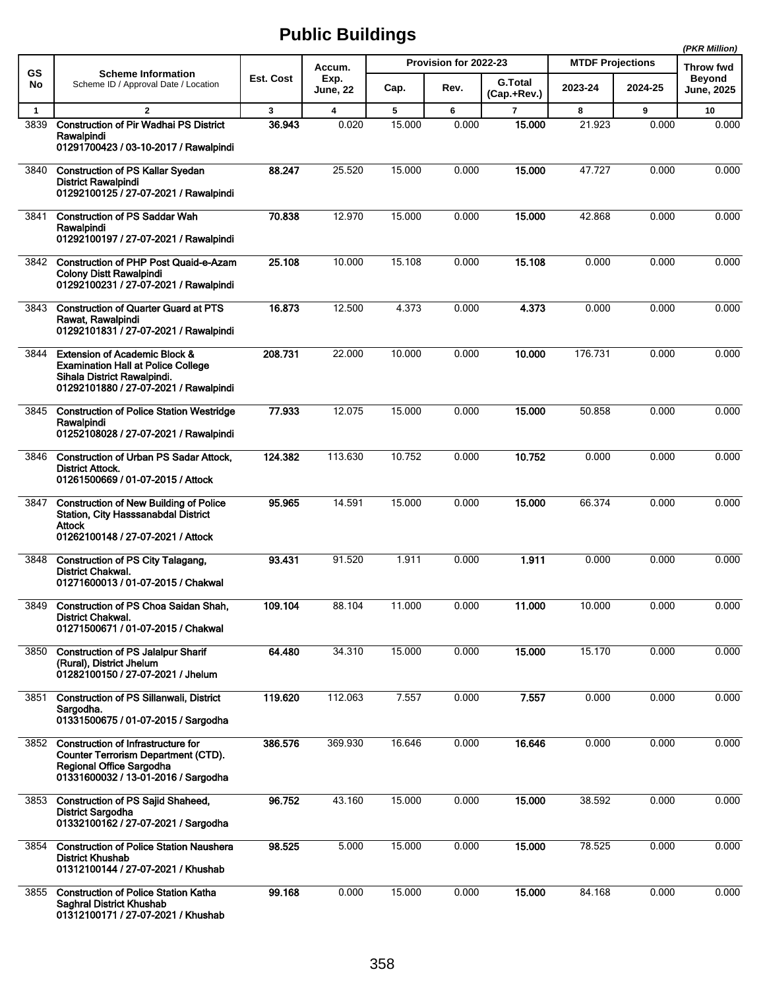|              |                                                                                                                                                               |           |                  |        |                       |                               |                         |         | (PKR Million)               |
|--------------|---------------------------------------------------------------------------------------------------------------------------------------------------------------|-----------|------------------|--------|-----------------------|-------------------------------|-------------------------|---------|-----------------------------|
| GS           | <b>Scheme Information</b>                                                                                                                                     |           | Accum.           |        | Provision for 2022-23 |                               | <b>MTDF Projections</b> |         | Throw fwd                   |
| No           | Scheme ID / Approval Date / Location                                                                                                                          | Est. Cost | Exp.<br>June, 22 | Cap.   | Rev.                  | <b>G.Total</b><br>(Cap.+Rev.) | 2023-24                 | 2024-25 | <b>Beyond</b><br>June, 2025 |
| $\mathbf{1}$ | $\mathbf{2}$                                                                                                                                                  | 3         | 4                | 5      | 6                     | $\overline{7}$                | 8                       | 9       | 10                          |
| 3839         | <b>Construction of Pir Wadhai PS District</b><br>Rawalpindi<br>01291700423 / 03-10-2017 / Rawalpindi                                                          | 36.943    | 0.020            | 15.000 | 0.000                 | 15.000                        | 21.923                  | 0.000   | 0.000                       |
| 3840         | <b>Construction of PS Kallar Syedan</b><br><b>District Rawalpindi</b><br>01292100125 / 27-07-2021 / Rawalpindi                                                | 88.247    | 25.520           | 15.000 | 0.000                 | 15.000                        | 47.727                  | 0.000   | 0.000                       |
| 3841         | <b>Construction of PS Saddar Wah</b><br>Rawalpindi<br>01292100197 / 27-07-2021 / Rawalpindi                                                                   | 70.838    | 12.970           | 15.000 | 0.000                 | 15.000                        | 42.868                  | 0.000   | 0.000                       |
| 3842         | <b>Construction of PHP Post Quaid-e-Azam</b><br><b>Colony Distt Rawalpindi</b><br>01292100231 / 27-07-2021 / Rawalpindi                                       | 25.108    | 10.000           | 15.108 | 0.000                 | 15.108                        | 0.000                   | 0.000   | 0.000                       |
| 3843         | <b>Construction of Quarter Guard at PTS</b><br>Rawat, Rawalpindi<br>01292101831 / 27-07-2021 / Rawalpindi                                                     | 16.873    | 12.500           | 4.373  | 0.000                 | 4.373                         | 0.000                   | 0.000   | 0.000                       |
| 3844         | <b>Extension of Academic Block &amp;</b><br><b>Examination Hall at Police College</b><br>Sihala District Rawalpindi.<br>01292101880 / 27-07-2021 / Rawalpindi | 208.731   | 22.000           | 10.000 | 0.000                 | 10.000                        | 176.731                 | 0.000   | 0.000                       |
| 3845         | <b>Construction of Police Station Westridge</b><br>Rawalpindi<br>01252108028 / 27-07-2021 / Rawalpindi                                                        | 77.933    | 12.075           | 15.000 | 0.000                 | 15.000                        | 50.858                  | 0.000   | 0.000                       |
| 3846         | <b>Construction of Urban PS Sadar Attock,</b><br><b>District Attock.</b><br>01261500669 / 01-07-2015 / Attock                                                 | 124.382   | 113.630          | 10.752 | 0.000                 | 10.752                        | 0.000                   | 0.000   | 0.000                       |
| 3847         | <b>Construction of New Building of Police</b><br>Station, City Hasssanabdal District<br>Attock<br>01262100148 / 27-07-2021 / Attock                           | 95.965    | 14.591           | 15.000 | 0.000                 | 15,000                        | 66.374                  | 0.000   | 0.000                       |
| 3848         | <b>Construction of PS City Talagang,</b><br><b>District Chakwal.</b><br>01271600013 / 01-07-2015 / Chakwal                                                    | 93.431    | 91.520           | 1.911  | 0.000                 | 1.911                         | 0.000                   | 0.000   | 0.000                       |
|              | 3849 Construction of PS Choa Saidan Shah,<br><b>District Chakwal.</b><br>01271500671 / 01-07-2015 / Chakwal                                                   | 109.104   | 88.104           | 11.000 | 0.000                 | 11.000                        | 10.000                  | 0.000   | 0.000                       |
| 3850         | <b>Construction of PS Jalalpur Sharif</b><br>(Rural), District Jhelum<br>01282100150 / 27-07-2021 / Jhelum                                                    | 64.480    | 34.310           | 15.000 | 0.000                 | 15.000                        | 15.170                  | 0.000   | 0.000                       |
| 3851         | <b>Construction of PS Sillanwali, District</b><br>Sargodha.<br>01331500675 / 01-07-2015 / Sargodha                                                            | 119.620   | 112.063          | 7.557  | 0.000                 | 7.557                         | 0.000                   | 0.000   | 0.000                       |
| 3852         | Construction of Infrastructure for<br><b>Counter Terrorism Department (CTD).</b><br>Regional Office Sargodha<br>01331600032 / 13-01-2016 / Sargodha           | 386.576   | 369.930          | 16.646 | 0.000                 | 16.646                        | 0.000                   | 0.000   | 0.000                       |
| 3853         | <b>Construction of PS Sajid Shaheed,</b><br><b>District Sargodha</b><br>01332100162 / 27-07-2021 / Sargodha                                                   | 96.752    | 43.160           | 15.000 | 0.000                 | 15.000                        | 38.592                  | 0.000   | 0.000                       |
| 3854         | <b>Construction of Police Station Naushera</b><br><b>District Khushab</b><br>01312100144 / 27-07-2021 / Khushab                                               | 98.525    | 5.000            | 15.000 | 0.000                 | 15.000                        | 78.525                  | 0.000   | 0.000                       |
| 3855         | <b>Construction of Police Station Katha</b><br>Saghral District Khushab<br>01312100171 / 27-07-2021 / Khushab                                                 | 99.168    | 0.000            | 15.000 | 0.000                 | 15.000                        | 84.168                  | 0.000   | 0.000                       |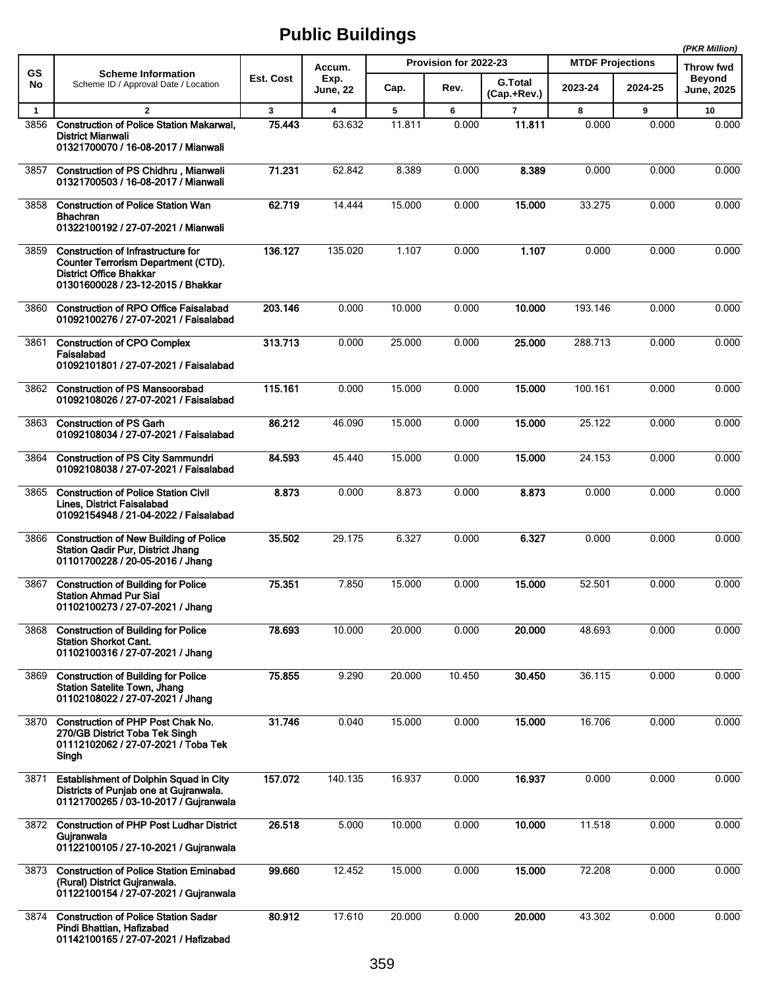|              |                                                                                                                                                          |              |                         |        |                       |                               |                         |         | (PKR Million)                      |
|--------------|----------------------------------------------------------------------------------------------------------------------------------------------------------|--------------|-------------------------|--------|-----------------------|-------------------------------|-------------------------|---------|------------------------------------|
| GS           | <b>Scheme Information</b>                                                                                                                                |              | Accum.                  |        | Provision for 2022-23 |                               | <b>MTDF Projections</b> |         | <b>Throw fwd</b>                   |
| No           | Scheme ID / Approval Date / Location                                                                                                                     | Est. Cost    | Exp.<br>June, 22        | Cap.   | Rev.                  | <b>G.Total</b><br>(Cap.+Rev.) | 2023-24                 | 2024-25 | <b>Beyond</b><br><b>June, 2025</b> |
| $\mathbf{1}$ | $\overline{2}$                                                                                                                                           | $\mathbf{3}$ | $\overline{\mathbf{4}}$ | 5      | 6                     | $\overline{7}$                | 8                       | 9       | 10                                 |
| 3856         | <b>Construction of Police Station Makarwal,</b><br><b>District Mianwali</b><br>01321700070 / 16-08-2017 / Mianwali                                       | 75.443       | 63.632                  | 11.811 | 0.000                 | 11.811                        | 0.000                   | 0.000   | 0.000                              |
| 3857         | <b>Construction of PS Chidhru, Mianwali</b><br>01321700503 / 16-08-2017 / Mianwali                                                                       | 71.231       | 62.842                  | 8.389  | 0.000                 | 8.389                         | 0.000                   | 0.000   | 0.000                              |
| 3858         | <b>Construction of Police Station Wan</b><br><b>Bhachran</b><br>01322100192 / 27-07-2021 / Mianwali                                                      | 62.719       | 14.444                  | 15.000 | 0.000                 | 15.000                        | 33.275                  | 0.000   | 0.000                              |
| 3859         | Construction of Infrastructure for<br><b>Counter Terrorism Department (CTD).</b><br><b>District Office Bhakkar</b><br>01301600028 / 23-12-2015 / Bhakkar | 136.127      | 135.020                 | 1.107  | 0.000                 | 1.107                         | 0.000                   | 0.000   | 0.000                              |
| 3860         | <b>Construction of RPO Office Faisalabad</b><br>01092100276 / 27-07-2021 / Faisalabad                                                                    | 203.146      | 0.000                   | 10.000 | 0.000                 | 10.000                        | 193.146                 | 0.000   | 0.000                              |
| 3861         | <b>Construction of CPO Complex</b><br>Faisalabad<br>01092101801 / 27-07-2021 / Faisalabad                                                                | 313.713      | 0.000                   | 25.000 | 0.000                 | 25.000                        | 288.713                 | 0.000   | 0.000                              |
| 3862         | <b>Construction of PS Mansoorabad</b><br>01092108026 / 27-07-2021 / Faisalabad                                                                           | 115.161      | 0.000                   | 15.000 | 0.000                 | 15.000                        | 100.161                 | 0.000   | 0.000                              |
| 3863         | <b>Construction of PS Garh</b><br>01092108034 / 27-07-2021 / Faisalabad                                                                                  | 86.212       | 46.090                  | 15.000 | 0.000                 | 15.000                        | 25.122                  | 0.000   | 0.000                              |
| 3864         | <b>Construction of PS City Sammundri</b><br>01092108038 / 27-07-2021 / Faisalabad                                                                        | 84.593       | 45.440                  | 15.000 | 0.000                 | 15.000                        | 24.153                  | 0.000   | 0.000                              |
| 3865         | <b>Construction of Police Station Civil</b><br>Lines, District Faisalabad<br>01092154948 / 21-04-2022 / Faisalabad                                       | 8.873        | 0.000                   | 8.873  | 0.000                 | 8.873                         | 0.000                   | 0.000   | 0.000                              |
| 3866         | <b>Construction of New Building of Police</b><br><b>Station Qadir Pur, District Jhang</b><br>01101700228 / 20-05-2016 / Jhang                            | 35.502       | 29.175                  | 6.327  | 0.000                 | 6.327                         | 0.000                   | 0.000   | 0.000                              |
| 3867         | <b>Construction of Building for Police</b><br><b>Station Ahmad Pur Sial</b><br>01102100273 / 27-07-2021 / Jhang                                          | 75.351       | 7.850                   | 15.000 | 0.000                 | 15.000                        | 52.501                  | 0.000   | 0.000                              |
| 3868         | <b>Construction of Building for Police</b><br><b>Station Shorkot Cant.</b><br>01102100316 / 27-07-2021 / Jhang                                           | 78.693       | 10.000                  | 20.000 | 0.000                 | 20.000                        | 48.693                  | 0.000   | 0.000                              |
| 3869         | <b>Construction of Building for Police</b><br><b>Station Satelite Town, Jhang</b><br>01102108022 / 27-07-2021 / Jhang                                    | 75.855       | 9.290                   | 20.000 | 10.450                | 30.450                        | 36.115                  | 0.000   | 0.000                              |
| 3870         | Construction of PHP Post Chak No.<br>270/GB District Toba Tek Singh<br>01112102062 / 27-07-2021 / Toba Tek<br>Singh                                      | 31.746       | 0.040                   | 15.000 | 0.000                 | 15.000                        | 16.706                  | 0.000   | 0.000                              |
| 3871         | <b>Establishment of Dolphin Squad in City</b><br>Districts of Punjab one at Gujranwala.<br>01121700265 / 03-10-2017 / Gujranwala                         | 157.072      | 140.135                 | 16.937 | 0.000                 | 16.937                        | 0.000                   | 0.000   | 0.000                              |
| 3872         | <b>Construction of PHP Post Ludhar District</b><br>Gujranwala<br>01122100105 / 27-10-2021 / Gujranwala                                                   | 26.518       | 5.000                   | 10.000 | 0.000                 | 10.000                        | 11.518                  | 0.000   | 0.000                              |
| 3873         | <b>Construction of Police Station Eminabad</b><br>(Rural) District Gujranwala.<br>01122100154 / 27-07-2021 / Gujranwala                                  | 99.660       | 12.452                  | 15.000 | 0.000                 | 15.000                        | 72.208                  | 0.000   | 0.000                              |
| 3874         | <b>Construction of Police Station Sadar</b><br>Pindi Bhattian, Hafizabad<br>01142100165 / 27-07-2021 / Hafizabad                                         | 80.912       | 17.610                  | 20.000 | 0.000                 | 20.000                        | 43.302                  | 0.000   | 0.000                              |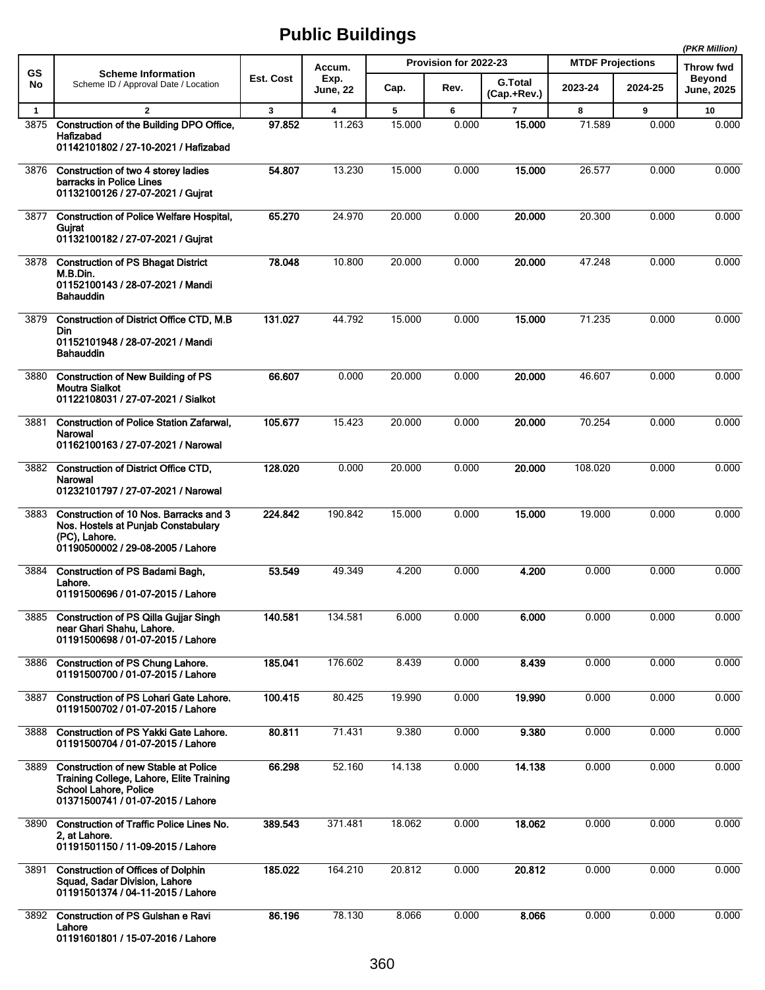|              |                                                                                                                                                       |           |                         |        |                       |                               |                         |         | (PKR Million)                      |
|--------------|-------------------------------------------------------------------------------------------------------------------------------------------------------|-----------|-------------------------|--------|-----------------------|-------------------------------|-------------------------|---------|------------------------------------|
| GS           | <b>Scheme Information</b>                                                                                                                             |           | Accum.                  |        | Provision for 2022-23 |                               | <b>MTDF Projections</b> |         | Throw fwd                          |
| No           | Scheme ID / Approval Date / Location                                                                                                                  | Est. Cost | Exp.<br>June, 22        | Cap.   | Rev.                  | <b>G.Total</b><br>(Cap.+Rev.) | 2023-24                 | 2024-25 | <b>Beyond</b><br><b>June, 2025</b> |
| $\mathbf{1}$ | $\overline{2}$                                                                                                                                        | 3         | $\overline{\mathbf{4}}$ | 5      | 6                     | $\overline{7}$                | 8                       | 9       | 10                                 |
| 3875         | Construction of the Building DPO Office,<br>Hafizabad<br>01142101802 / 27-10-2021 / Hafizabad                                                         | 97.852    | 11.263                  | 15.000 | 0.000                 | 15.000                        | 71.589                  | 0.000   | 0.000                              |
| 3876         | Construction of two 4 storey ladies<br>barracks in Police Lines<br>01132100126 / 27-07-2021 / Gujrat                                                  | 54.807    | 13.230                  | 15.000 | 0.000                 | 15.000                        | 26.577                  | 0.000   | 0.000                              |
| 3877         | <b>Construction of Police Welfare Hospital,</b><br>Gujrat<br>01132100182 / 27-07-2021 / Gujrat                                                        | 65.270    | 24.970                  | 20.000 | 0.000                 | 20.000                        | 20.300                  | 0.000   | 0.000                              |
| 3878         | <b>Construction of PS Bhagat District</b><br>M.B.Din.<br>01152100143 / 28-07-2021 / Mandi<br><b>Bahauddin</b>                                         | 78.048    | 10.800                  | 20.000 | 0.000                 | 20.000                        | 47.248                  | 0.000   | 0.000                              |
| 3879         | Construction of District Office CTD, M.B.<br>Din<br>01152101948 / 28-07-2021 / Mandi<br><b>Bahauddin</b>                                              | 131.027   | 44.792                  | 15.000 | 0.000                 | 15.000                        | 71.235                  | 0.000   | 0.000                              |
| 3880         | <b>Construction of New Building of PS</b><br><b>Moutra Sialkot</b><br>01122108031 / 27-07-2021 / Sialkot                                              | 66.607    | 0.000                   | 20.000 | 0.000                 | 20.000                        | 46.607                  | 0.000   | 0.000                              |
| 3881         | <b>Construction of Police Station Zafarwal,</b><br>Narowal<br>01162100163 / 27-07-2021 / Narowal                                                      | 105.677   | 15.423                  | 20.000 | 0.000                 | 20,000                        | 70.254                  | 0.000   | 0.000                              |
| 3882         | Construction of District Office CTD,<br>Narowal<br>01232101797 / 27-07-2021 / Narowal                                                                 | 128.020   | 0.000                   | 20.000 | 0.000                 | 20,000                        | 108.020                 | 0.000   | 0.000                              |
| 3883         | Construction of 10 Nos. Barracks and 3<br>Nos. Hostels at Punjab Constabulary<br>(PC), Lahore.<br>01190500002 / 29-08-2005 / Lahore                   | 224.842   | 190.842                 | 15.000 | 0.000                 | 15,000                        | 19.000                  | 0.000   | 0.000                              |
| 3884         | <b>Construction of PS Badami Bagh,</b><br>Lahore.<br>01191500696 / 01-07-2015 / Lahore                                                                | 53.549    | 49.349                  | 4.200  | 0.000                 | 4.200                         | 0.000                   | 0.000   | 0.000                              |
| 3885         | <b>Construction of PS Qilla Guijar Singh</b><br>near Ghari Shahu, Lahore.<br>01191500698 / 01-07-2015 / Lahore                                        | 140.581   | 134.581                 | 6.000  | 0.000                 | 6.000                         | 0.000                   | 0.000   | 0.000                              |
| 3886         | Construction of PS Chung Lahore.<br>01191500700 / 01-07-2015 / Lahore                                                                                 | 185.041   | 176.602                 | 8.439  | 0.000                 | 8.439                         | 0.000                   | 0.000   | 0.000                              |
| 3887         | <b>Construction of PS Lohari Gate Lahore.</b><br>01191500702 / 01-07-2015 / Lahore                                                                    | 100.415   | 80.425                  | 19.990 | 0.000                 | 19.990                        | 0.000                   | 0.000   | 0.000                              |
| 3888         | <b>Construction of PS Yakki Gate Lahore.</b><br>01191500704 / 01-07-2015 / Lahore                                                                     | 80.811    | 71.431                  | 9.380  | 0.000                 | 9.380                         | 0.000                   | 0.000   | 0.000                              |
| 3889         | <b>Construction of new Stable at Police</b><br>Training College, Lahore, Elite Training<br>School Lahore, Police<br>01371500741 / 01-07-2015 / Lahore | 66.298    | 52.160                  | 14.138 | 0.000                 | 14.138                        | 0.000                   | 0.000   | 0.000                              |
| 3890         | <b>Construction of Traffic Police Lines No.</b><br>2, at Lahore.<br>01191501150 / 11-09-2015 / Lahore                                                 | 389.543   | 371.481                 | 18.062 | 0.000                 | 18.062                        | 0.000                   | 0.000   | 0.000                              |
| 3891         | <b>Construction of Offices of Dolphin</b><br>Squad, Sadar Division, Lahore<br>01191501374 / 04-11-2015 / Lahore                                       | 185.022   | 164.210                 | 20.812 | 0.000                 | 20.812                        | 0.000                   | 0.000   | 0.000                              |
| 3892         | <b>Construction of PS Gulshan e Ravi</b><br>Lahore<br>01191601801 / 15-07-2016 / Lahore                                                               | 86.196    | 78.130                  | 8.066  | 0.000                 | 8.066                         | 0.000                   | 0.000   | 0.000                              |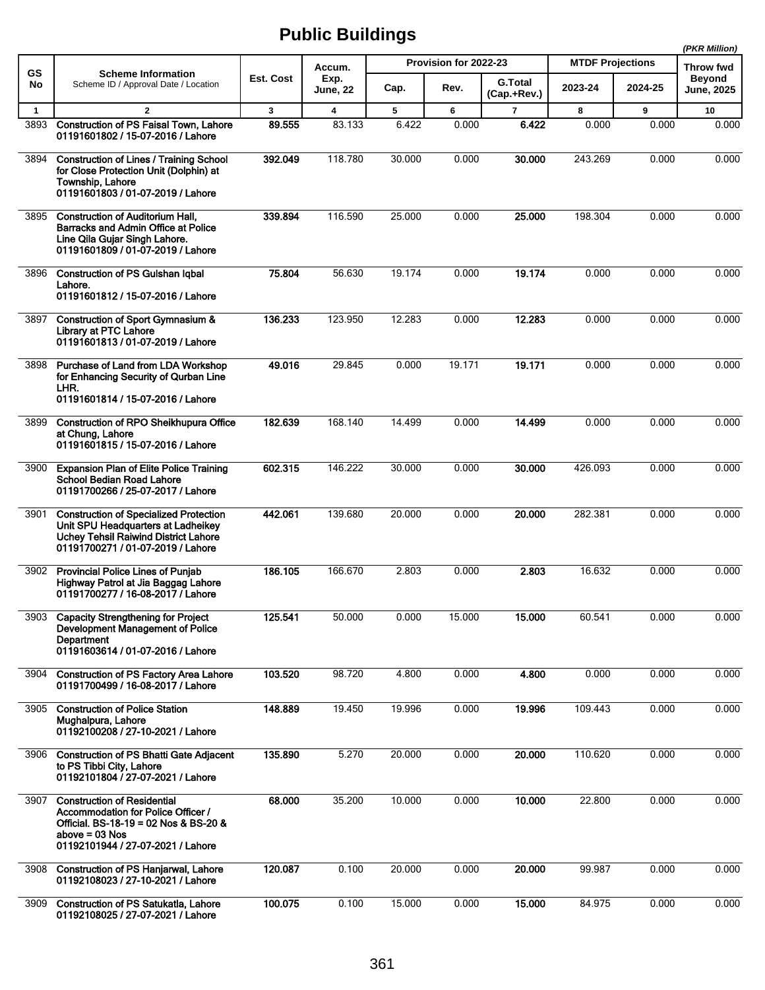|              |                                                                                                                                                                          |              |                         |        |                       |                               |                         |         | (PKR Million)                      |
|--------------|--------------------------------------------------------------------------------------------------------------------------------------------------------------------------|--------------|-------------------------|--------|-----------------------|-------------------------------|-------------------------|---------|------------------------------------|
| GS           | <b>Scheme Information</b>                                                                                                                                                |              | Accum.                  |        | Provision for 2022-23 |                               | <b>MTDF Projections</b> |         | Throw fwd                          |
| No           | Scheme ID / Approval Date / Location                                                                                                                                     | Est. Cost    | Exp.<br><b>June, 22</b> | Cap.   | Rev.                  | <b>G.Total</b><br>(Cap.+Rev.) | 2023-24                 | 2024-25 | <b>Beyond</b><br><b>June, 2025</b> |
| $\mathbf{1}$ | $\overline{2}$                                                                                                                                                           | $\mathbf{3}$ | $\overline{\mathbf{4}}$ | 5      | 6                     | $\overline{7}$                | 8                       | 9       | 10                                 |
| 3893         | <b>Construction of PS Faisal Town, Lahore</b><br>01191601802 / 15-07-2016 / Lahore                                                                                       | 89.555       | 83.133                  | 6.422  | 0.000                 | 6.422                         | 0.000                   | 0.000   | 0.000                              |
| 3894         | <b>Construction of Lines / Training School</b><br>for Close Protection Unit (Dolphin) at<br>Township, Lahore<br>01191601803 / 01-07-2019 / Lahore                        | 392.049      | 118.780                 | 30.000 | 0.000                 | 30.000                        | 243.269                 | 0.000   | 0.000                              |
| 3895         | <b>Construction of Auditorium Hall,</b><br>Barracks and Admin Office at Police<br>Line Qila Gujar Singh Lahore.<br>01191601809 / 01-07-2019 / Lahore                     | 339.894      | 116.590                 | 25.000 | 0.000                 | 25.000                        | 198.304                 | 0.000   | 0.000                              |
| 3896         | <b>Construction of PS Gulshan Iqbal</b><br>Lahore.<br>01191601812 / 15-07-2016 / Lahore                                                                                  | 75.804       | 56.630                  | 19.174 | 0.000                 | 19.174                        | 0.000                   | 0.000   | 0.000                              |
| 3897         | Construction of Sport Gymnasium &<br>Library at PTC Lahore<br>01191601813 / 01-07-2019 / Lahore                                                                          | 136.233      | 123.950                 | 12.283 | 0.000                 | 12.283                        | 0.000                   | 0.000   | 0.000                              |
| 3898         | Purchase of Land from LDA Workshop<br>for Enhancing Security of Qurban Line<br>LHR.<br>01191601814 / 15-07-2016 / Lahore                                                 | 49.016       | 29.845                  | 0.000  | 19.171                | 19.171                        | 0.000                   | 0.000   | 0.000                              |
| 3899         | <b>Construction of RPO Sheikhupura Office</b><br>at Chung, Lahore<br>01191601815 / 15-07-2016 / Lahore                                                                   | 182.639      | 168.140                 | 14.499 | 0.000                 | 14.499                        | 0.000                   | 0.000   | 0.000                              |
| 3900         | <b>Expansion Plan of Elite Police Training</b><br><b>School Bedian Road Lahore</b><br>01191700266 / 25-07-2017 / Lahore                                                  | 602.315      | 146.222                 | 30.000 | 0.000                 | 30.000                        | 426.093                 | 0.000   | 0.000                              |
| 3901         | <b>Construction of Specialized Protection</b><br>Unit SPU Headquarters at Ladheikey<br><b>Uchey Tehsil Raiwind District Lahore</b><br>01191700271 / 01-07-2019 / Lahore  | 442.061      | 139.680                 | 20.000 | 0.000                 | 20,000                        | 282.381                 | 0.000   | 0.000                              |
| 3902         | <b>Provincial Police Lines of Punjab</b><br>Highway Patrol at Jia Baggag Lahore<br>01191700277 / 16-08-2017 / Lahore                                                     | 186.105      | 166.670                 | 2.803  | 0.000                 | 2.803                         | 16.632                  | 0.000   | 0.000                              |
| 3903         | <b>Capacity Strengthening for Project</b><br><b>Development Management of Police</b><br>Department<br>01191603614 / 01-07-2016 / Lahore                                  | 125.541      | 50.000                  | 0.000  | 15.000                | 15.000                        | 60.541                  | 0.000   | 0.000                              |
| 3904         | <b>Construction of PS Factory Area Lahore</b><br>01191700499 / 16-08-2017 / Lahore                                                                                       | 103.520      | 98.720                  | 4.800  | 0.000                 | 4.800                         | 0.000                   | 0.000   | 0.000                              |
| 3905         | <b>Construction of Police Station</b><br>Mughalpura, Lahore<br>01192100208 / 27-10-2021 / Lahore                                                                         | 148.889      | 19.450                  | 19.996 | 0.000                 | 19.996                        | 109.443                 | 0.000   | 0.000                              |
| 3906         | <b>Construction of PS Bhatti Gate Adjacent</b><br>to PS Tibbi City, Lahore<br>01192101804 / 27-07-2021 / Lahore                                                          | 135.890      | 5.270                   | 20.000 | 0.000                 | 20.000                        | 110.620                 | 0.000   | 0.000                              |
| 3907         | <b>Construction of Residential</b><br>Accommodation for Police Officer /<br>Official. BS-18-19 = 02 Nos & BS-20 &<br>above = 03 Nos<br>01192101944 / 27-07-2021 / Lahore | 68.000       | 35.200                  | 10.000 | 0.000                 | 10.000                        | 22.800                  | 0.000   | 0.000                              |
| 3908         | <b>Construction of PS Hanjarwal, Lahore</b><br>01192108023 / 27-10-2021 / Lahore                                                                                         | 120.087      | 0.100                   | 20.000 | 0.000                 | 20.000                        | 99.987                  | 0.000   | 0.000                              |
| 3909         | <b>Construction of PS Satukatla, Lahore</b><br>01192108025 / 27-07-2021 / Lahore                                                                                         | 100.075      | 0.100                   | 15.000 | 0.000                 | 15.000                        | 84.975                  | 0.000   | 0.000                              |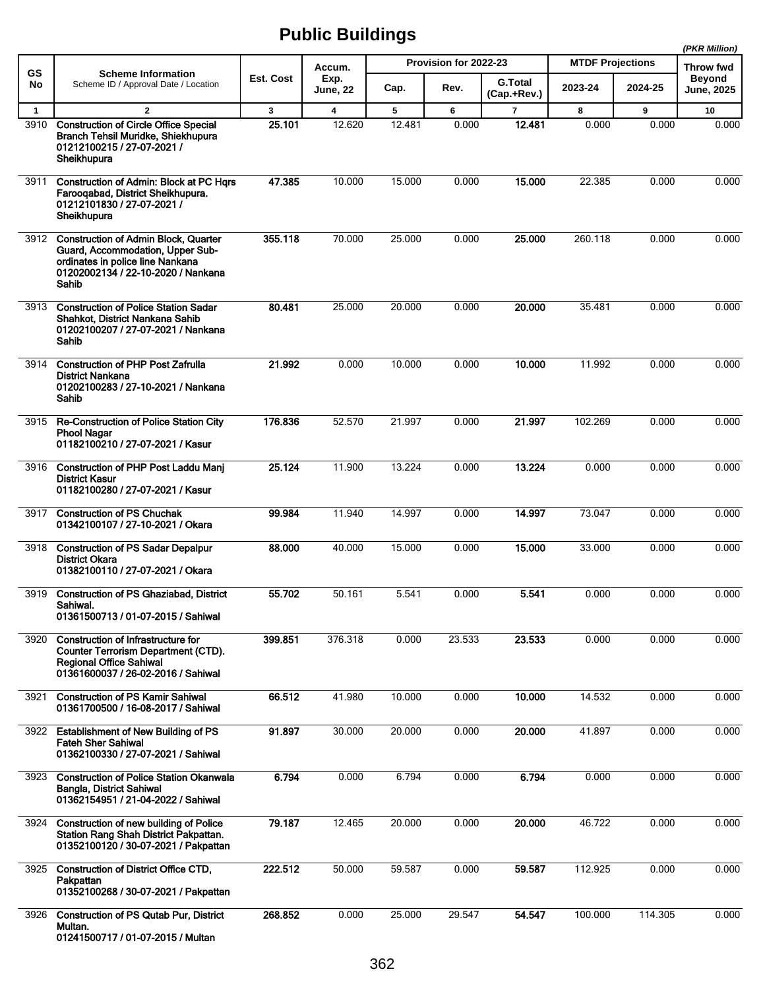|              |                                                                                                                                                                  |           |                         |        |                       |                               |                         |         | (PKR Million)               |
|--------------|------------------------------------------------------------------------------------------------------------------------------------------------------------------|-----------|-------------------------|--------|-----------------------|-------------------------------|-------------------------|---------|-----------------------------|
| <b>GS</b>    | <b>Scheme Information</b>                                                                                                                                        |           | Accum.                  |        | Provision for 2022-23 |                               | <b>MTDF Projections</b> |         | Throw fwd                   |
| No           | Scheme ID / Approval Date / Location                                                                                                                             | Est. Cost | Exp.<br><b>June, 22</b> | Cap.   | Rev.                  | <b>G.Total</b><br>(Cap.+Rev.) | 2023-24                 | 2024-25 | <b>Beyond</b><br>June, 2025 |
| $\mathbf{1}$ | $\overline{2}$                                                                                                                                                   | 3         | 4                       | 5      | 6                     | 7                             | 8                       | 9       | 10                          |
| 3910         | <b>Construction of Circle Office Special</b><br>Branch Tehsil Muridke, Shiekhupura<br>01212100215 / 27-07-2021 /<br>Sheikhupura                                  | 25.101    | 12.620                  | 12.481 | 0.000                 | 12.481                        | 0.000                   | 0.000   | 0.000                       |
| 3911         | <b>Construction of Admin: Block at PC Hqrs</b><br>Farooqabad, District Sheikhupura.<br>01212101830 / 27-07-2021 /<br>Sheikhupura                                 | 47.385    | 10.000                  | 15.000 | 0.000                 | 15.000                        | 22.385                  | 0.000   | 0.000                       |
|              | 3912 Construction of Admin Block, Quarter<br>Guard, Accommodation, Upper Sub-<br>ordinates in police line Nankana<br>01202002134 / 22-10-2020 / Nankana<br>Sahib | 355.118   | 70.000                  | 25.000 | 0.000                 | 25.000                        | 260.118                 | 0.000   | 0.000                       |
| 3913         | <b>Construction of Police Station Sadar</b><br>Shahkot, District Nankana Sahib<br>01202100207 / 27-07-2021 / Nankana<br>Sahib                                    | 80.481    | 25.000                  | 20.000 | 0.000                 | 20.000                        | 35.481                  | 0.000   | 0.000                       |
| 3914         | <b>Construction of PHP Post Zafrulla</b><br><b>District Nankana</b><br>01202100283 / 27-10-2021 / Nankana<br>Sahib                                               | 21.992    | 0.000                   | 10.000 | 0.000                 | 10.000                        | 11.992                  | 0.000   | 0.000                       |
| 3915         | Re-Construction of Police Station City<br><b>Phool Nagar</b><br>01182100210 / 27-07-2021 / Kasur                                                                 | 176.836   | 52.570                  | 21.997 | 0.000                 | 21.997                        | 102.269                 | 0.000   | 0.000                       |
| 3916         | <b>Construction of PHP Post Laddu Manj</b><br><b>District Kasur</b><br>01182100280 / 27-07-2021 / Kasur                                                          | 25.124    | 11.900                  | 13.224 | 0.000                 | 13.224                        | 0.000                   | 0.000   | 0.000                       |
| 3917         | <b>Construction of PS Chuchak</b><br>01342100107 / 27-10-2021 / Okara                                                                                            | 99.984    | 11.940                  | 14.997 | 0.000                 | 14.997                        | 73.047                  | 0.000   | 0.000                       |
| 3918         | <b>Construction of PS Sadar Depalpur</b><br><b>District Okara</b><br>01382100110 / 27-07-2021 / Okara                                                            | 88,000    | 40.000                  | 15.000 | 0.000                 | 15.000                        | 33.000                  | 0.000   | 0.000                       |
| 3919         | <b>Construction of PS Ghaziabad, District</b><br>Sahiwal.<br>01361500713 / 01-07-2015 / Sahiwal                                                                  | 55.702    | 50.161                  | 5.541  | 0.000                 | 5.541                         | 0.000                   | 0.000   | 0.000                       |
| 3920         | <b>Construction of Infrastructure for</b><br><b>Counter Terrorism Department (CTD).</b><br><b>Regional Office Sahiwal</b><br>01361600037 / 26-02-2016 / Sahiwal  | 399.851   | 376.318                 | 0.000  | 23.533                | 23.533                        | 0.000                   | 0.000   | 0.000                       |
| 3921         | <b>Construction of PS Kamir Sahiwal</b><br>01361700500 / 16-08-2017 / Sahiwal                                                                                    | 66.512    | 41.980                  | 10.000 | 0.000                 | 10.000                        | 14.532                  | 0.000   | 0.000                       |
| 3922         | <b>Establishment of New Building of PS</b><br><b>Fateh Sher Sahiwal</b><br>01362100330 / 27-07-2021 / Sahiwal                                                    | 91.897    | 30.000                  | 20.000 | 0.000                 | 20.000                        | 41.897                  | 0.000   | 0.000                       |
| 3923         | <b>Construction of Police Station Okanwala</b><br>Bangla, District Sahiwal<br>01362154951 / 21-04-2022 / Sahiwal                                                 | 6.794     | 0.000                   | 6.794  | 0.000                 | 6.794                         | 0.000                   | 0.000   | 0.000                       |
| 3924         | Construction of new building of Police<br>Station Rang Shah District Pakpattan.<br>01352100120 / 30-07-2021 / Pakpattan                                          | 79.187    | 12.465                  | 20.000 | 0.000                 | 20.000                        | 46.722                  | 0.000   | 0.000                       |
| 3925         | Construction of District Office CTD,<br>Pakpattan<br>01352100268 / 30-07-2021 / Pakpattan                                                                        | 222.512   | 50.000                  | 59.587 | 0.000                 | 59.587                        | 112.925                 | 0.000   | 0.000                       |
| 3926         | <b>Construction of PS Qutab Pur, District</b><br>Multan.<br>01241500717 / 01-07-2015 / Multan                                                                    | 268.852   | 0.000                   | 25.000 | 29.547                | 54.547                        | 100.000                 | 114.305 | 0.000                       |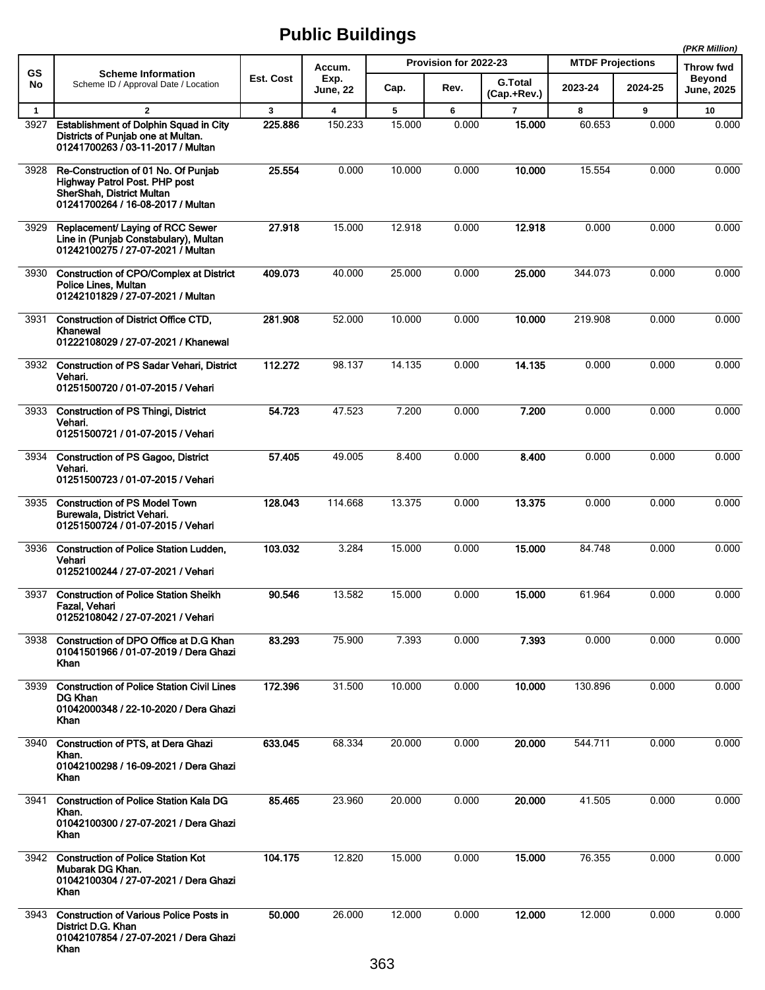|              |                                                                                                                                        |           |                         |        |                       |                               |                         |         | (PKR Million)              |
|--------------|----------------------------------------------------------------------------------------------------------------------------------------|-----------|-------------------------|--------|-----------------------|-------------------------------|-------------------------|---------|----------------------------|
| GS           | <b>Scheme Information</b>                                                                                                              | Est. Cost | Accum.<br>Exp.          |        | Provision for 2022-23 |                               | <b>MTDF Projections</b> |         | Throw fwd<br><b>Beyond</b> |
| No           | Scheme ID / Approval Date / Location                                                                                                   |           | <b>June, 22</b>         | Cap.   | Rev.                  | <b>G.Total</b><br>(Cap.+Rev.) | 2023-24                 | 2024-25 | <b>June, 2025</b>          |
| $\mathbf{1}$ | $\mathbf{2}$                                                                                                                           | 3         | $\overline{\mathbf{4}}$ | 5      | 6                     | $\overline{7}$                | 8                       | 9       | 10                         |
| 3927         | <b>Establishment of Dolphin Squad in City</b><br>Districts of Punjab one at Multan.<br>01241700263 / 03-11-2017 / Multan               | 225.886   | 150.233                 | 15.000 | 0.000                 | 15.000                        | 60.653                  | 0.000   | 0.000                      |
| 3928         | Re-Construction of 01 No. Of Punjab<br>Highway Patrol Post. PHP post<br>SherShah, District Multan<br>01241700264 / 16-08-2017 / Multan | 25.554    | 0.000                   | 10.000 | 0.000                 | 10.000                        | 15.554                  | 0.000   | 0.000                      |
| 3929         | Replacement/ Laying of RCC Sewer<br>Line in (Punjab Constabulary), Multan<br>01242100275 / 27-07-2021 / Multan                         | 27.918    | 15.000                  | 12.918 | 0.000                 | 12.918                        | 0.000                   | 0.000   | 0.000                      |
| 3930         | <b>Construction of CPO/Complex at District</b><br>Police Lines, Multan<br>01242101829 / 27-07-2021 / Multan                            | 409.073   | 40.000                  | 25.000 | 0.000                 | 25.000                        | 344.073                 | 0.000   | 0.000                      |
| 3931         | Construction of District Office CTD,<br>Khanewal<br>01222108029 / 27-07-2021 / Khanewal                                                | 281.908   | 52.000                  | 10.000 | 0.000                 | 10.000                        | 219.908                 | 0.000   | 0.000                      |
| 3932         | <b>Construction of PS Sadar Vehari, District</b><br>Vehari.<br>01251500720 / 01-07-2015 / Vehari                                       | 112.272   | 98.137                  | 14.135 | 0.000                 | 14.135                        | 0.000                   | 0.000   | 0.000                      |
| 3933         | <b>Construction of PS Thingi, District</b><br>Vehari.<br>01251500721 / 01-07-2015 / Vehari                                             | 54.723    | 47.523                  | 7.200  | 0.000                 | 7.200                         | 0.000                   | 0.000   | 0.000                      |
| 3934         | <b>Construction of PS Gagoo, District</b><br>Vehari.<br>01251500723 / 01-07-2015 / Vehari                                              | 57.405    | 49.005                  | 8.400  | 0.000                 | 8.400                         | 0.000                   | 0.000   | 0.000                      |
| 3935         | <b>Construction of PS Model Town</b><br>Burewala, District Vehari.<br>01251500724 / 01-07-2015 / Vehari                                | 128.043   | 114.668                 | 13.375 | 0.000                 | 13.375                        | 0.000                   | 0.000   | 0.000                      |
| 3936         | <b>Construction of Police Station Ludden,</b><br>Vehari<br>01252100244 / 27-07-2021 / Vehari                                           | 103.032   | 3.284                   | 15.000 | 0.000                 | 15.000                        | 84.748                  | 0.000   | 0.000                      |
| 3937         | <b>Construction of Police Station Sheikh</b><br>Fazal, Vehari<br>01252108042 / 27-07-2021 / Vehari                                     | 90.546    | 13.582                  | 15.000 | 0.000                 | 15.000                        | 61.964                  | 0.000   | 0.000                      |
| 3938         | Construction of DPO Office at D.G Khan<br>01041501966 / 01-07-2019 / Dera Ghazi<br>Khan                                                | 83.293    | 75.900                  | 7.393  | 0.000                 | 7.393                         | 0.000                   | 0.000   | 0.000                      |
| 3939         | <b>Construction of Police Station Civil Lines</b><br><b>DG Khan</b><br>01042000348 / 22-10-2020 / Dera Ghazi<br>Khan                   | 172.396   | 31.500                  | 10.000 | 0.000                 | 10.000                        | 130.896                 | 0.000   | 0.000                      |
| 3940         | <b>Construction of PTS, at Dera Ghazi</b><br>Khan.<br>01042100298 / 16-09-2021 / Dera Ghazi<br>Khan                                    | 633.045   | 68.334                  | 20.000 | 0.000                 | 20,000                        | 544.711                 | 0.000   | 0.000                      |
| 3941         | <b>Construction of Police Station Kala DG</b><br>Khan.<br>01042100300 / 27-07-2021 / Dera Ghazi<br>Khan                                | 85.465    | 23.960                  | 20.000 | 0.000                 | 20.000                        | 41.505                  | 0.000   | 0.000                      |
| 3942         | <b>Construction of Police Station Kot</b><br>Mubarak DG Khan.<br>01042100304 / 27-07-2021 / Dera Ghazi<br>Khan                         | 104.175   | 12.820                  | 15.000 | 0.000                 | 15.000                        | 76.355                  | 0.000   | 0.000                      |
| 3943         | <b>Construction of Various Police Posts in</b><br>District D.G. Khan<br>01042107854 / 27-07-2021 / Dera Ghazi<br>Khan                  | 50,000    | 26.000                  | 12.000 | 0.000                 | 12.000                        | 12.000                  | 0.000   | 0.000                      |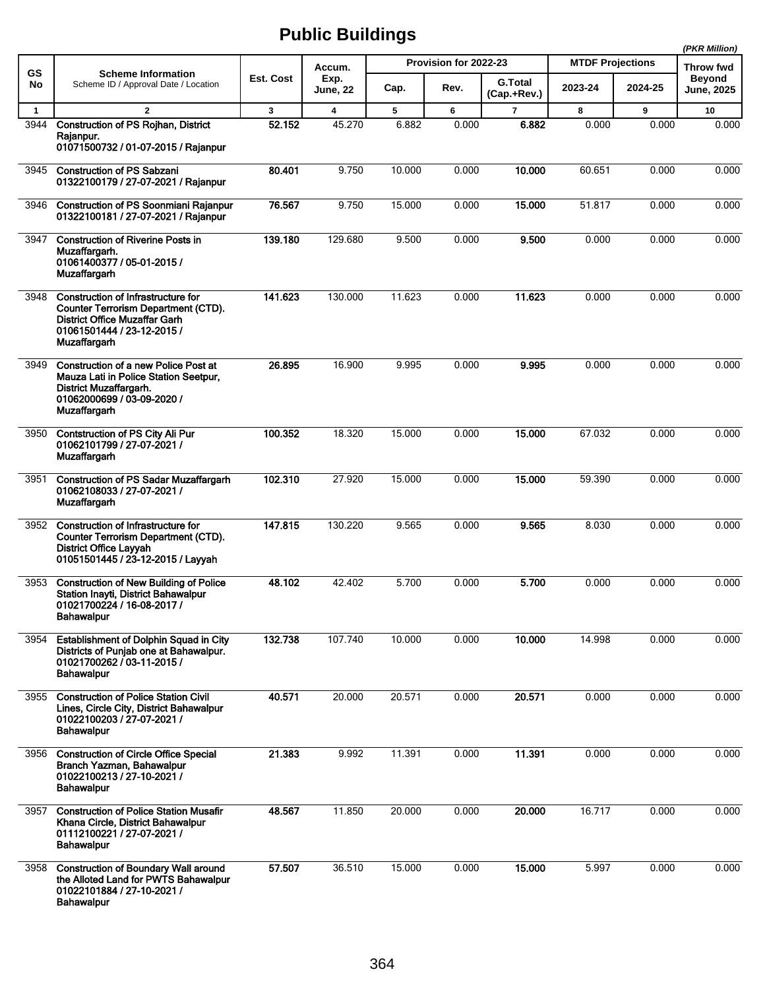|              |                                                                                                                                                                               |              |                         |        |                       |                               |                         |         | (PKR Million)                      |
|--------------|-------------------------------------------------------------------------------------------------------------------------------------------------------------------------------|--------------|-------------------------|--------|-----------------------|-------------------------------|-------------------------|---------|------------------------------------|
| GS           | <b>Scheme Information</b>                                                                                                                                                     |              | Accum.                  |        | Provision for 2022-23 |                               | <b>MTDF Projections</b> |         | Throw fwd                          |
| No           | Scheme ID / Approval Date / Location                                                                                                                                          | Est. Cost    | Exp.<br>June, 22        | Cap.   | Rev.                  | <b>G.Total</b><br>(Cap.+Rev.) | 2023-24                 | 2024-25 | <b>Beyond</b><br><b>June, 2025</b> |
| $\mathbf{1}$ | $\mathbf{2}$                                                                                                                                                                  | $\mathbf{3}$ | $\overline{\mathbf{4}}$ | 5      | 6                     | $\overline{7}$                | 8                       | 9       | 10                                 |
| 3944         | <b>Construction of PS Rojhan, District</b><br>Raianpur.<br>01071500732 / 01-07-2015 / Rajanpur                                                                                | 52.152       | 45.270                  | 6.882  | 0.000                 | 6.882                         | 0.000                   | 0.000   | 0.000                              |
| 3945         | <b>Construction of PS Sabzani</b><br>01322100179 / 27-07-2021 / Rajanpur                                                                                                      | 80.401       | 9.750                   | 10.000 | 0.000                 | 10.000                        | 60.651                  | 0.000   | 0.000                              |
| 3946         | <b>Construction of PS Soonmiani Rajanpur</b><br>01322100181 / 27-07-2021 / Rajanpur                                                                                           | 76.567       | 9.750                   | 15.000 | 0.000                 | 15.000                        | 51.817                  | 0.000   | 0.000                              |
| 3947         | <b>Construction of Riverine Posts in</b><br>Muzaffargarh.<br>01061400377 / 05-01-2015 /<br>Muzaffargarh                                                                       | 139.180      | 129.680                 | 9.500  | 0.000                 | 9.500                         | 0.000                   | 0.000   | 0.000                              |
| 3948         | <b>Construction of Infrastructure for</b><br><b>Counter Terrorism Department (CTD).</b><br>District Office Muzaffar Garh<br>01061501444 / 23-12-2015 /<br><b>Muzaffargarh</b> | 141.623      | 130.000                 | 11.623 | 0.000                 | 11.623                        | 0.000                   | 0.000   | 0.000                              |
| 3949         | <b>Construction of a new Police Post at</b><br>Mauza Lati in Police Station Seetpur,<br>District Muzaffargarh.<br>01062000699 / 03-09-2020 /<br><b>Muzaffargarh</b>           | 26.895       | 16.900                  | 9.995  | 0.000                 | 9.995                         | 0.000                   | 0.000   | 0.000                              |
| 3950         | Contstruction of PS City Ali Pur<br>01062101799 / 27-07-2021 /<br><b>Muzaffargarh</b>                                                                                         | 100.352      | 18.320                  | 15.000 | 0.000                 | 15,000                        | 67.032                  | 0.000   | 0.000                              |
| 3951         | <b>Construction of PS Sadar Muzaffargarh</b><br>01062108033 / 27-07-2021 /<br><b>Muzaffargarh</b>                                                                             | 102.310      | 27.920                  | 15.000 | 0.000                 | 15.000                        | 59.390                  | 0.000   | 0.000                              |
| 3952         | Construction of Infrastructure for<br><b>Counter Terrorism Department (CTD).</b><br><b>District Office Layyah</b><br>01051501445 / 23-12-2015 / Layyah                        | 147.815      | 130.220                 | 9.565  | 0.000                 | 9.565                         | 8.030                   | 0.000   | 0.000                              |
| 3953         | <b>Construction of New Building of Police</b><br>Station Inayti, District Bahawalpur<br>01021700224 / 16-08-2017 /<br><b>Bahawalpur</b>                                       | 48.102       | 42.402                  | 5.700  | 0.000                 | 5.700                         | 0.000                   | 0.000   | 0.000                              |
| 3954         | <b>Establishment of Dolphin Squad in City</b><br>Districts of Punjab one at Bahawalpur.<br>01021700262 / 03-11-2015 /<br><b>Bahawalpur</b>                                    | 132.738      | 107.740                 | 10.000 | 0.000                 | 10.000                        | 14.998                  | 0.000   | 0.000                              |
| 3955         | <b>Construction of Police Station Civil</b><br>Lines, Circle City, District Bahawalpur<br>01022100203 / 27-07-2021 /<br><b>Bahawalpur</b>                                     | 40.571       | 20.000                  | 20.571 | 0.000                 | 20.571                        | 0.000                   | 0.000   | 0.000                              |
| 3956         | <b>Construction of Circle Office Special</b><br>Branch Yazman, Bahawalpur<br>01022100213 / 27-10-2021 /<br><b>Bahawalpur</b>                                                  | 21.383       | 9.992                   | 11.391 | 0.000                 | 11.391                        | 0.000                   | 0.000   | 0.000                              |
| 3957         | <b>Construction of Police Station Musafir</b><br>Khana Circle, District Bahawalpur<br>01112100221 / 27-07-2021 /<br><b>Bahawalpur</b>                                         | 48.567       | 11.850                  | 20.000 | 0.000                 | 20.000                        | 16.717                  | 0.000   | 0.000                              |
| 3958         | <b>Construction of Boundary Wall around</b><br>the Alloted Land for PWTS Bahawalpur<br>01022101884 / 27-10-2021 /<br><b>Bahawalpur</b>                                        | 57.507       | 36.510                  | 15.000 | 0.000                 | 15.000                        | 5.997                   | 0.000   | 0.000                              |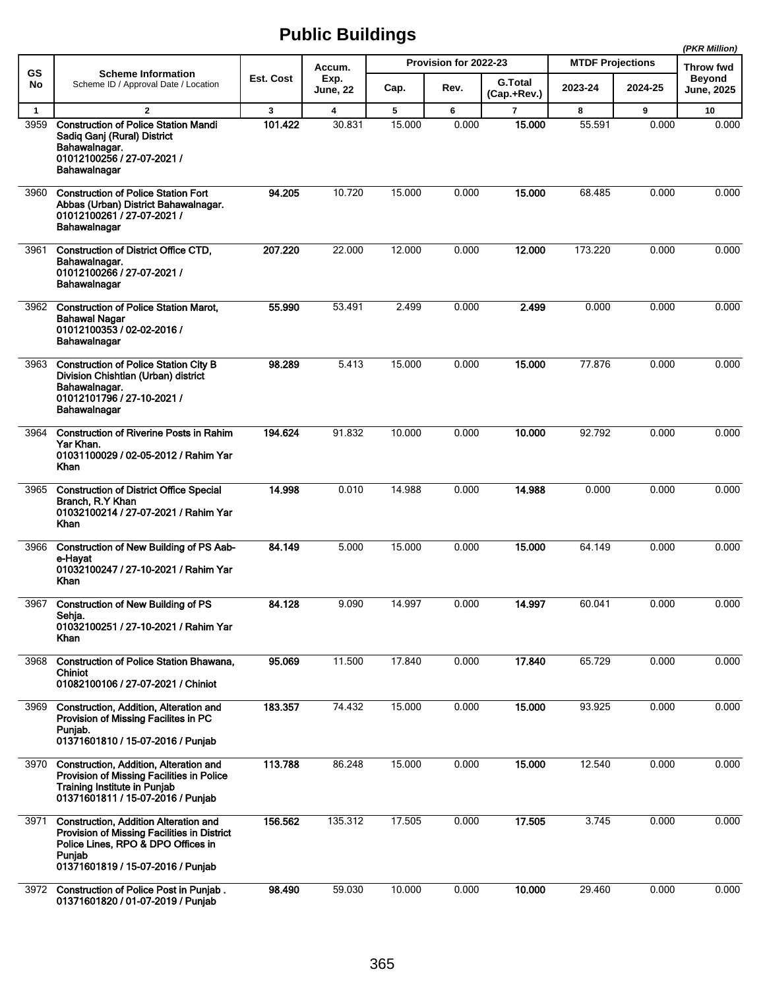|              |                                                                                                                                                                                  |              |                         |        |                       |                               |                         |         | (PKR Million)                      |
|--------------|----------------------------------------------------------------------------------------------------------------------------------------------------------------------------------|--------------|-------------------------|--------|-----------------------|-------------------------------|-------------------------|---------|------------------------------------|
| GS           | <b>Scheme Information</b>                                                                                                                                                        |              | Accum.                  |        | Provision for 2022-23 |                               | <b>MTDF Projections</b> |         | Throw fwd                          |
| No           | Scheme ID / Approval Date / Location                                                                                                                                             | Est. Cost    | Exp.<br>June, 22        | Cap.   | Rev.                  | <b>G.Total</b><br>(Cap.+Rev.) | 2023-24                 | 2024-25 | <b>Beyond</b><br><b>June, 2025</b> |
| $\mathbf{1}$ | $\overline{2}$                                                                                                                                                                   | $\mathbf{3}$ | $\overline{\mathbf{4}}$ | 5      | 6                     | $\overline{7}$                | 8                       | 9       | 10                                 |
| 3959         | <b>Construction of Police Station Mandi</b><br>Sadiq Ganj (Rural) District<br>Bahawalnagar.<br>01012100256 / 27-07-2021 /<br>Bahawalnagar                                        | 101.422      | 30.831                  | 15.000 | 0.000                 | 15.000                        | 55.591                  | 0.000   | 0.000                              |
| 3960         | <b>Construction of Police Station Fort</b><br>Abbas (Urban) District Bahawalnagar.<br>01012100261 / 27-07-2021 /<br>Bahawalnagar                                                 | 94.205       | 10.720                  | 15.000 | 0.000                 | 15.000                        | 68.485                  | 0.000   | 0.000                              |
| 3961         | <b>Construction of District Office CTD,</b><br>Bahawalnagar.<br>01012100266 / 27-07-2021 /<br>Bahawalnagar                                                                       | 207.220      | 22.000                  | 12.000 | 0.000                 | 12.000                        | 173.220                 | 0.000   | 0.000                              |
| 3962         | <b>Construction of Police Station Marot,</b><br><b>Bahawal Nagar</b><br>01012100353 / 02-02-2016 /<br>Bahawalnagar                                                               | 55.990       | 53.491                  | 2.499  | 0.000                 | 2.499                         | 0.000                   | 0.000   | 0.000                              |
| 3963         | <b>Construction of Police Station City B</b><br>Division Chishtian (Urban) district<br>Bahawalnagar.<br>01012101796 / 27-10-2021 /<br>Bahawalnagar                               | 98.289       | 5.413                   | 15.000 | 0.000                 | 15.000                        | 77.876                  | 0.000   | 0.000                              |
| 3964         | <b>Construction of Riverine Posts in Rahim</b><br>Yar Khan.<br>01031100029 / 02-05-2012 / Rahim Yar<br>Khan                                                                      | 194.624      | 91.832                  | 10.000 | 0.000                 | 10.000                        | 92.792                  | 0.000   | 0.000                              |
| 3965         | <b>Construction of District Office Special</b><br>Branch, R.Y Khan<br>01032100214 / 27-07-2021 / Rahim Yar<br>Khan                                                               | 14.998       | 0.010                   | 14.988 | 0.000                 | 14.988                        | 0.000                   | 0.000   | 0.000                              |
| 3966         | Construction of New Building of PS Aab-<br>e-Havat<br>01032100247 / 27-10-2021 / Rahim Yar<br>Khan                                                                               | 84.149       | 5.000                   | 15.000 | 0.000                 | 15,000                        | 64.149                  | 0.000   | 0.000                              |
| 3967         | <b>Construction of New Building of PS</b><br>Sehja.<br>01032100251 / 27-10-2021 / Rahim Yar<br>Khan                                                                              | 84.128       | 9.090                   | 14.997 | 0.000                 | 14.997                        | 60.041                  | 0.000   | 0.000                              |
| 3968         | <b>Construction of Police Station Bhawana,</b><br><b>Chiniot</b><br>01082100106 / 27-07-2021 / Chiniot                                                                           | 95.069       | 11.500                  | 17.840 | 0.000                 | 17.840                        | 65.729                  | 0.000   | 0.000                              |
| 3969         | Construction, Addition, Alteration and<br>Provision of Missing Facilites in PC<br>Punjab.<br>01371601810 / 15-07-2016 / Punjab                                                   | 183.357      | 74.432                  | 15.000 | 0.000                 | 15.000                        | 93.925                  | 0.000   | 0.000                              |
| 3970         | Construction, Addition, Alteration and<br>Provision of Missing Facilities in Police<br><b>Training Institute in Punjab</b><br>01371601811 / 15-07-2016 / Punjab                  | 113.788      | 86.248                  | 15.000 | 0.000                 | 15.000                        | 12.540                  | 0.000   | 0.000                              |
| 3971         | <b>Construction, Addition Alteration and</b><br>Provision of Missing Facilities in District<br>Police Lines, RPO & DPO Offices in<br>Punjab<br>01371601819 / 15-07-2016 / Punjab | 156.562      | 135.312                 | 17.505 | 0.000                 | 17.505                        | 3.745                   | 0.000   | 0.000                              |
| 3972         | Construction of Police Post in Punjab.<br>01371601820 / 01-07-2019 / Punjab                                                                                                      | 98.490       | 59.030                  | 10.000 | 0.000                 | 10.000                        | 29.460                  | 0.000   | 0.000                              |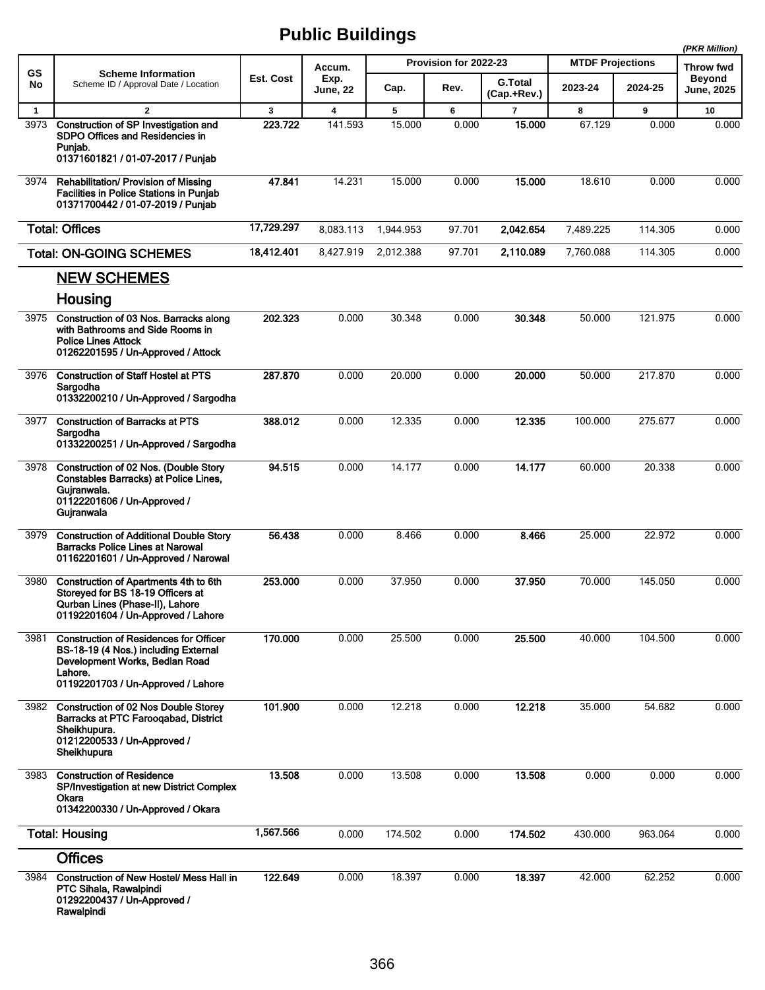|              |                                                                                                                                                                          |              |                         |           |                       |                               | (PKR Million)           |         |                                   |
|--------------|--------------------------------------------------------------------------------------------------------------------------------------------------------------------------|--------------|-------------------------|-----------|-----------------------|-------------------------------|-------------------------|---------|-----------------------------------|
| GS           | <b>Scheme Information</b>                                                                                                                                                | Est. Cost    | Accum.                  |           | Provision for 2022-23 |                               | <b>MTDF Projections</b> |         | <b>Throw fwd</b><br><b>Beyond</b> |
| No           | Scheme ID / Approval Date / Location                                                                                                                                     |              | Exp.<br>June, 22        | Cap.      | Rev.                  | <b>G.Total</b><br>(Cap.+Rev.) | 2023-24                 | 2024-25 | <b>June, 2025</b>                 |
| $\mathbf{1}$ | $\overline{2}$                                                                                                                                                           | $\mathbf{3}$ | $\overline{\mathbf{4}}$ | 5         | 6                     | $\overline{7}$                | 8                       | 9       | 10                                |
| 3973         | Construction of SP Investigation and<br>SDPO Offices and Residencies in<br>Puniab.<br>01371601821 / 01-07-2017 / Punjab                                                  | 223.722      | 141.593                 | 15.000    | 0.000                 | 15.000                        | 67.129                  | 0.000   | 0.000                             |
| 3974         | <b>Rehabilitation/ Provision of Missing</b><br><b>Facilities in Police Stations in Puniab</b><br>01371700442 / 01-07-2019 / Punjab                                       | 47.841       | 14.231                  | 15.000    | 0.000                 | 15.000                        | 18.610                  | 0.000   | 0.000                             |
|              | <b>Total: Offices</b>                                                                                                                                                    | 17,729.297   | 8,083.113               | 1,944.953 | 97.701                | 2.042.654                     | 7,489.225               | 114.305 | 0.000                             |
|              | <b>Total: ON-GOING SCHEMES</b>                                                                                                                                           | 18,412.401   | 8,427.919               | 2,012.388 | 97.701                | 2,110.089                     | 7,760.088               | 114.305 | 0.000                             |
|              | <b>NEW SCHEMES</b>                                                                                                                                                       |              |                         |           |                       |                               |                         |         |                                   |
|              | Housing                                                                                                                                                                  |              |                         |           |                       |                               |                         |         |                                   |
| 3975         | Construction of 03 Nos. Barracks along<br>with Bathrooms and Side Rooms in<br><b>Police Lines Attock</b><br>01262201595 / Un-Approved / Attock                           | 202.323      | 0.000                   | 30.348    | 0.000                 | 30.348                        | 50.000                  | 121.975 | 0.000                             |
| 3976         | <b>Construction of Staff Hostel at PTS</b><br>Sargodha<br>01332200210 / Un-Approved / Sargodha                                                                           | 287.870      | 0.000                   | 20.000    | 0.000                 | 20,000                        | 50.000                  | 217.870 | 0.000                             |
| 3977         | <b>Construction of Barracks at PTS</b><br>Sargodha<br>01332200251 / Un-Approved / Sargodha                                                                               | 388.012      | 0.000                   | 12.335    | 0.000                 | 12.335                        | 100.000                 | 275.677 | 0.000                             |
| 3978         | Construction of 02 Nos. (Double Story<br>Constables Barracks) at Police Lines,<br>Gujranwala.<br>01122201606 / Un-Approved /<br>Gujranwala                               | 94.515       | 0.000                   | 14.177    | 0.000                 | 14.177                        | 60.000                  | 20.338  | 0.000                             |
| 3979         | <b>Construction of Additional Double Story</b><br><b>Barracks Police Lines at Narowal</b><br>01162201601 / Un-Approved / Narowal                                         | 56.438       | 0.000                   | 8.466     | 0.000                 | 8.466                         | 25.000                  | 22.972  | 0.000                             |
| 3980         | Construction of Apartments 4th to 6th<br>Storeyed for BS 18-19 Officers at<br>Qurban Lines (Phase-II), Lahore<br>01192201604 / Un-Approved / Lahore                      | 253.000      | 0.000                   | 37.950    | 0.000                 | 37.950                        | 70.000                  | 145.050 | 0.000                             |
| 3981         | <b>Construction of Residences for Officer</b><br>BS-18-19 (4 Nos.) including External<br>Development Works, Bedian Road<br>Lahore.<br>01192201703 / Un-Approved / Lahore | 170.000      | 0.000                   | 25.500    | 0.000                 | 25.500                        | 40.000                  | 104.500 | 0.000                             |
| 3982         | <b>Construction of 02 Nos Double Storey</b><br>Barracks at PTC Faroogabad, District<br>Sheikhupura.<br>01212200533 / Un-Approved /<br>Sheikhupura                        | 101.900      | 0.000                   | 12.218    | 0.000                 | 12.218                        | 35.000                  | 54.682  | 0.000                             |
| 3983         | <b>Construction of Residence</b><br>SP/Investigation at new District Complex<br>Okara<br>01342200330 / Un-Approved / Okara                                               | 13.508       | 0.000                   | 13.508    | 0.000                 | 13.508                        | 0.000                   | 0.000   | 0.000                             |
|              | <b>Total: Housing</b>                                                                                                                                                    | 1,567.566    | 0.000                   | 174.502   | 0.000                 | 174.502                       | 430.000                 | 963.064 | 0.000                             |
|              | <b>Offices</b>                                                                                                                                                           |              |                         |           |                       |                               |                         |         |                                   |
| 3984         | Construction of New Hostel/ Mess Hall in<br>PTC Sihala, Rawalpindi<br>01292200437 / Un-Approved /<br>Rawalpindi                                                          | 122.649      | 0.000                   | 18.397    | 0.000                 | 18.397                        | 42.000                  | 62.252  | 0.000                             |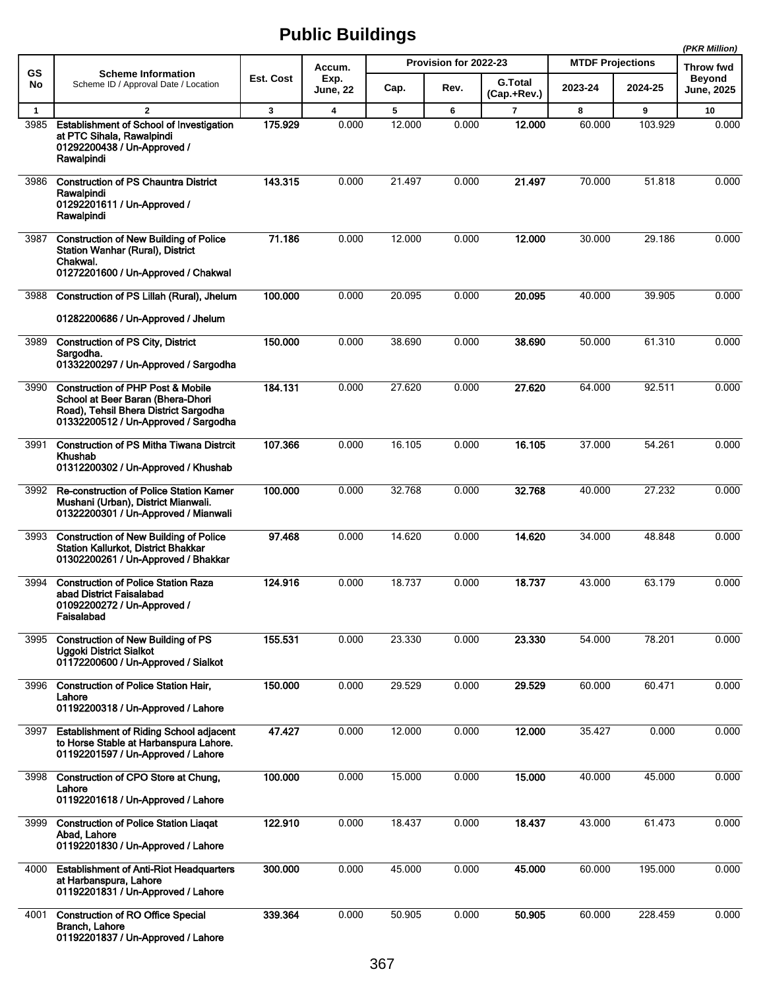|             |                                                                                                                                                                    |           |                         |        |                       |                               |                         | (PKR Million) |                             |
|-------------|--------------------------------------------------------------------------------------------------------------------------------------------------------------------|-----------|-------------------------|--------|-----------------------|-------------------------------|-------------------------|---------------|-----------------------------|
| <b>GS</b>   | <b>Scheme Information</b>                                                                                                                                          |           | Accum.                  |        | Provision for 2022-23 |                               | <b>MTDF Projections</b> | Throw fwd     |                             |
| No          | Scheme ID / Approval Date / Location                                                                                                                               | Est. Cost | Exp.<br><b>June, 22</b> | Cap.   | Rev.                  | <b>G.Total</b><br>(Cap.+Rev.) | 2023-24                 | 2024-25       | <b>Beyond</b><br>June, 2025 |
| $\mathbf 1$ | $\overline{2}$                                                                                                                                                     | 3         | $\overline{\mathbf{4}}$ | 5      | 6                     | $\overline{7}$                | 8                       | 9             | 10                          |
| 3985        | Establishment of School of Investigation<br>at PTC Sihala, Rawalpindi<br>01292200438 / Un-Approved /<br>Rawalpindi                                                 | 175.929   | 0.000                   | 12.000 | 0.000                 | 12.000                        | 60.000                  | 103.929       | 0.000                       |
| 3986        | <b>Construction of PS Chauntra District</b>                                                                                                                        | 143.315   | 0.000                   | 21.497 | 0.000                 | 21.497                        | 70.000                  | 51.818        | 0.000                       |
|             | Rawalpindi<br>01292201611 / Un-Approved /<br>Rawalpindi                                                                                                            |           |                         |        |                       |                               |                         |               |                             |
| 3987        | <b>Construction of New Building of Police</b><br><b>Station Wanhar (Rural), District</b><br>Chakwal.<br>01272201600 / Un-Approved / Chakwal                        | 71.186    | 0.000                   | 12.000 | 0.000                 | 12.000                        | 30.000                  | 29.186        | 0.000                       |
| 3988        | Construction of PS Lillah (Rural), Jhelum                                                                                                                          | 100.000   | 0.000                   | 20.095 | 0.000                 | 20.095                        | 40.000                  | 39.905        | 0.000                       |
|             | 01282200686 / Un-Approved / Jhelum                                                                                                                                 |           |                         |        |                       |                               |                         |               |                             |
| 3989        | <b>Construction of PS City, District</b><br>Sargodha.<br>01332200297 / Un-Approved / Sargodha                                                                      | 150.000   | 0.000                   | 38.690 | 0.000                 | 38.690                        | 50.000                  | 61.310        | 0.000                       |
| 3990        | <b>Construction of PHP Post &amp; Mobile</b><br>School at Beer Baran (Bhera-Dhori<br>Road), Tehsil Bhera District Sargodha<br>01332200512 / Un-Approved / Sargodha | 184.131   | 0.000                   | 27.620 | 0.000                 | 27.620                        | 64.000                  | 92.511        | 0.000                       |
| 3991        | <b>Construction of PS Mitha Tiwana Distrcit</b><br>Khushab<br>01312200302 / Un-Approved / Khushab                                                                  | 107.366   | 0.000                   | 16.105 | 0.000                 | 16.105                        | 37.000                  | 54.261        | 0.000                       |
| 3992        | Re-construction of Police Station Kamer<br>Mushani (Urban), District Mianwali.<br>01322200301 / Un-Approved / Mianwali                                             | 100.000   | 0.000                   | 32.768 | 0.000                 | 32.768                        | 40.000                  | 27.232        | 0.000                       |
| 3993        | <b>Construction of New Building of Police</b><br><b>Station Kallurkot, District Bhakkar</b><br>01302200261 / Un-Approved / Bhakkar                                 | 97.468    | 0.000                   | 14.620 | 0.000                 | 14.620                        | 34.000                  | 48.848        | 0.000                       |
| 3994        | <b>Construction of Police Station Raza</b><br>abad District Faisalabad<br>01092200272 / Un-Approved /<br>Faisalabad                                                | 124.916   | 0.000                   | 18.737 | 0.000                 | 18.737                        | 43.000                  | 63.179        | 0.000                       |
| 3995        | <b>Construction of New Building of PS</b><br>Uggoki District Sialkot<br>01172200600 / Un-Approved / Sialkot                                                        | 155.531   | 0.000                   | 23.330 | 0.000                 | 23.330                        | 54.000                  | 78.201        | 0.000                       |
| 3996        | <b>Construction of Police Station Hair,</b><br>Lahore<br>01192200318 / Un-Approved / Lahore                                                                        | 150.000   | 0.000                   | 29.529 | 0.000                 | 29.529                        | 60.000                  | 60.471        | 0.000                       |
| 3997        | <b>Establishment of Riding School adjacent</b><br>to Horse Stable at Harbanspura Lahore.<br>01192201597 / Un-Approved / Lahore                                     | 47.427    | 0.000                   | 12.000 | 0.000                 | 12.000                        | 35.427                  | 0.000         | 0.000                       |
| 3998        | Construction of CPO Store at Chung,<br>Lahore<br>01192201618 / Un-Approved / Lahore                                                                                | 100.000   | 0.000                   | 15.000 | 0.000                 | 15.000                        | 40.000                  | 45.000        | 0.000                       |
| 3999        | <b>Construction of Police Station Liagat</b><br>Abad, Lahore<br>01192201830 / Un-Approved / Lahore                                                                 | 122.910   | 0.000                   | 18.437 | 0.000                 | 18.437                        | 43.000                  | 61.473        | 0.000                       |
| 4000        | <b>Establishment of Anti-Riot Headquarters</b><br>at Harbanspura, Lahore<br>01192201831 / Un-Approved / Lahore                                                     | 300.000   | 0.000                   | 45.000 | 0.000                 | 45.000                        | 60.000                  | 195.000       | 0.000                       |
| 4001        | <b>Construction of RO Office Special</b><br>Branch, Lahore<br>01192201837 / Un-Approved / Lahore                                                                   | 339.364   | 0.000                   | 50.905 | 0.000                 | 50.905                        | 60.000                  | 228.459       | 0.000                       |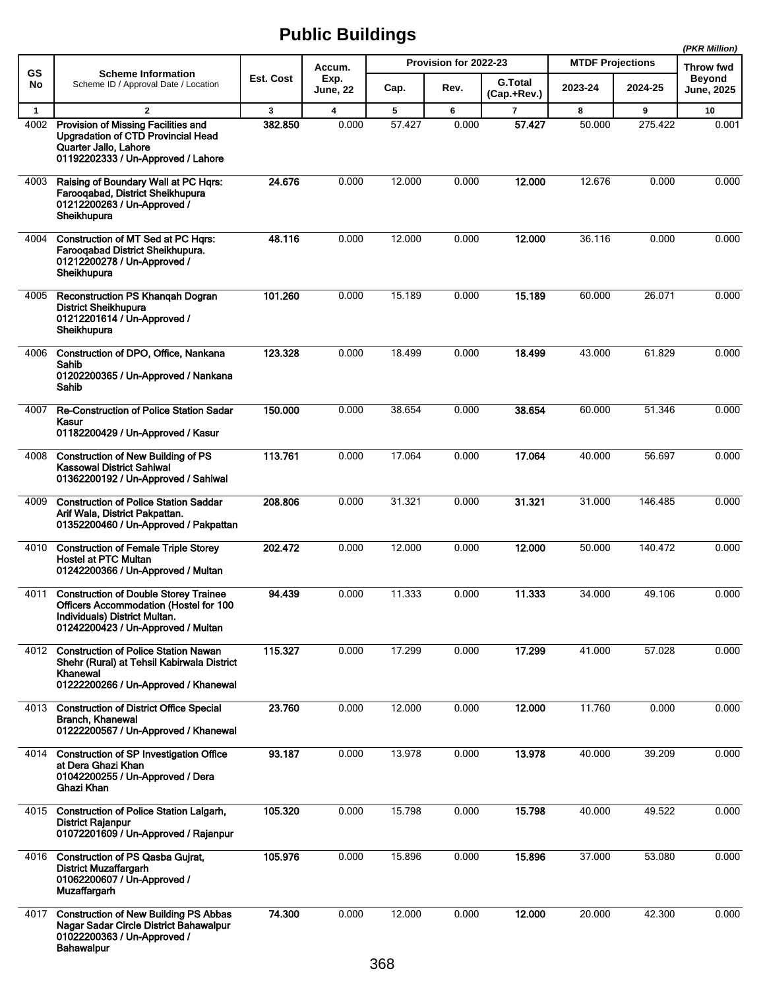|              |                                                                                                                                                               |           |                         |        |                       |                               |                         |         | (PKR Million)                      |
|--------------|---------------------------------------------------------------------------------------------------------------------------------------------------------------|-----------|-------------------------|--------|-----------------------|-------------------------------|-------------------------|---------|------------------------------------|
| <b>GS</b>    | <b>Scheme Information</b>                                                                                                                                     |           | Accum.                  |        | Provision for 2022-23 |                               | <b>MTDF Projections</b> |         | Throw fwd                          |
| No           | Scheme ID / Approval Date / Location                                                                                                                          | Est. Cost | Exp.<br>June, 22        | Cap.   | Rev.                  | <b>G.Total</b><br>(Cap.+Rev.) | 2023-24                 | 2024-25 | <b>Beyond</b><br><b>June, 2025</b> |
| $\mathbf{1}$ | $\mathbf{2}$                                                                                                                                                  | 3         | $\overline{\mathbf{4}}$ | 5      | 6                     | $\overline{7}$                | 8                       | 9       | 10                                 |
| 4002         | Provision of Missing Facilities and<br><b>Upgradation of CTD Provincial Head</b><br>Quarter Jallo, Lahore<br>01192202333 / Un-Approved / Lahore               | 382.850   | 0.000                   | 57.427 | 0.000                 | 57.427                        | 50.000                  | 275.422 | 0.001                              |
| 4003         | Raising of Boundary Wall at PC Hgrs:<br>Farooqabad, District Sheikhupura<br>01212200263 / Un-Approved /<br>Sheikhupura                                        | 24.676    | 0.000                   | 12.000 | 0.000                 | 12.000                        | 12.676                  | 0.000   | 0.000                              |
| 4004         | Construction of MT Sed at PC Hqrs:<br>Farooqabad District Sheikhupura.<br>01212200278 / Un-Approved /<br>Sheikhupura                                          | 48.116    | 0.000                   | 12.000 | 0.000                 | 12.000                        | 36.116                  | 0.000   | 0.000                              |
| 4005         | Reconstruction PS Khangah Dogran<br><b>District Sheikhupura</b><br>01212201614 / Un-Approved /<br>Sheikhupura                                                 | 101.260   | 0.000                   | 15.189 | 0.000                 | 15.189                        | 60.000                  | 26.071  | 0.000                              |
| 4006         | Construction of DPO, Office, Nankana<br>Sahib<br>01202200365 / Un-Approved / Nankana<br>Sahib                                                                 | 123.328   | 0.000                   | 18.499 | 0.000                 | 18.499                        | 43.000                  | 61.829  | 0.000                              |
| 4007         | <b>Re-Construction of Police Station Sadar</b><br>Kasur<br>01182200429 / Un-Approved / Kasur                                                                  | 150.000   | 0.000                   | 38.654 | 0.000                 | 38.654                        | 60.000                  | 51.346  | 0.000                              |
| 4008         | <b>Construction of New Building of PS</b><br><b>Kassowal District Sahiwal</b><br>01362200192 / Un-Approved / Sahiwal                                          | 113.761   | 0.000                   | 17.064 | 0.000                 | 17.064                        | 40.000                  | 56.697  | 0.000                              |
| 4009         | <b>Construction of Police Station Saddar</b><br>Arif Wala, District Pakpattan.<br>01352200460 / Un-Approved / Pakpattan                                       | 208.806   | 0.000                   | 31.321 | 0.000                 | 31.321                        | 31.000                  | 146.485 | 0.000                              |
| 4010         | <b>Construction of Female Triple Storey</b><br><b>Hostel at PTC Multan</b><br>01242200366 / Un-Approved / Multan                                              | 202.472   | 0.000                   | 12.000 | 0.000                 | 12,000                        | 50.000                  | 140.472 | 0.000                              |
| 4011         | <b>Construction of Double Storey Trainee</b><br>Officers Accommodation (Hostel for 100<br>Individuals) District Multan.<br>01242200423 / Un-Approved / Multan | 94.439    | 0.000                   | 11.333 | 0.000                 | 11.333                        | 34.000                  | 49.106  | 0.000                              |
| 4012         | <b>Construction of Police Station Nawan</b><br>Shehr (Rural) at Tehsil Kabirwala District<br>Khanewal<br>01222200266 / Un-Approved / Khanewal                 | 115.327   | 0.000                   | 17.299 | 0.000                 | 17.299                        | 41.000                  | 57.028  | 0.000                              |
| 4013         | <b>Construction of District Office Special</b><br><b>Branch, Khanewal</b><br>01222200567 / Un-Approved / Khanewal                                             | 23.760    | 0.000                   | 12.000 | 0.000                 | 12.000                        | 11.760                  | 0.000   | 0.000                              |
| 4014         | <b>Construction of SP Investigation Office</b><br>at Dera Ghazi Khan<br>01042200255 / Un-Approved / Dera<br>Ghazi Khan                                        | 93.187    | 0.000                   | 13.978 | 0.000                 | 13.978                        | 40.000                  | 39.209  | 0.000                              |
| 4015         | <b>Construction of Police Station Lalgarh,</b><br><b>District Rajanpur</b><br>01072201609 / Un-Approved / Rajanpur                                            | 105.320   | 0.000                   | 15.798 | 0.000                 | 15.798                        | 40.000                  | 49.522  | 0.000                              |
| 4016         | <b>Construction of PS Qasba Gujrat,</b><br><b>District Muzaffargarh</b><br>01062200607 / Un-Approved /<br>Muzaffargarh                                        | 105.976   | 0.000                   | 15.896 | 0.000                 | 15.896                        | 37.000                  | 53.080  | 0.000                              |
| 4017         | <b>Construction of New Building PS Abbas</b><br>Nagar Sadar Circle District Bahawalpur<br>01022200363 / Un-Approved /<br><b>Bahawalpur</b>                    | 74.300    | 0.000                   | 12.000 | 0.000                 | 12.000                        | 20.000                  | 42.300  | 0.000                              |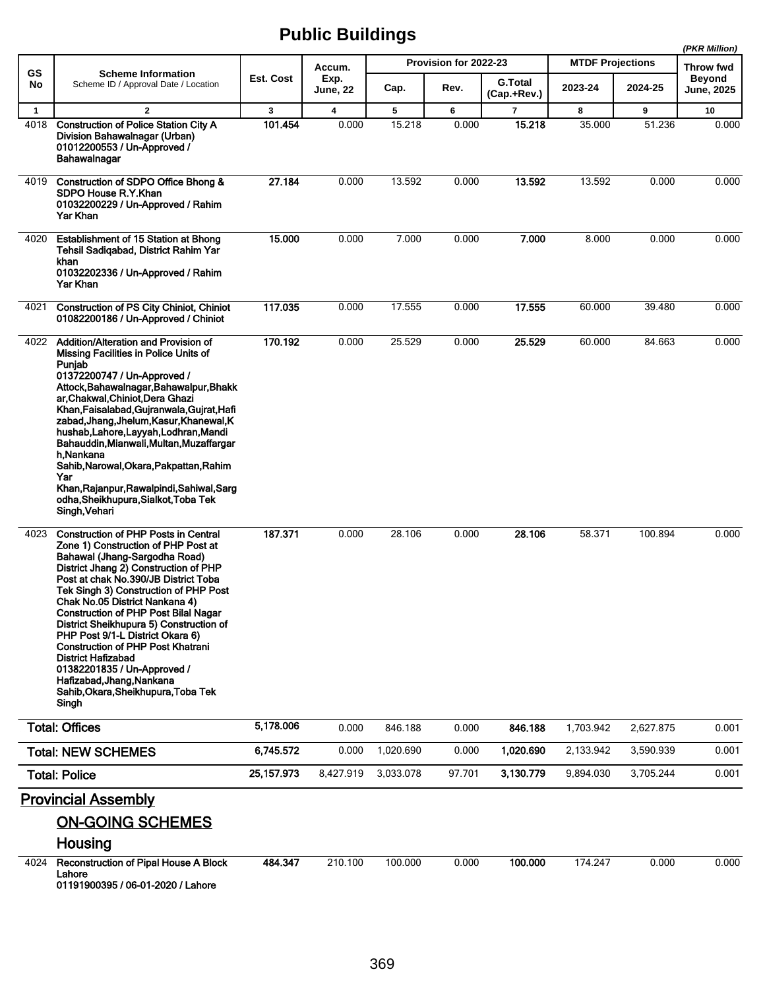|              |                                                                                                                                                                                                                                                                                                                                                                                                                                                                                                                                                                                                    |              |                         |           |                       |                               |                         |                  | (PKR Million)        |
|--------------|----------------------------------------------------------------------------------------------------------------------------------------------------------------------------------------------------------------------------------------------------------------------------------------------------------------------------------------------------------------------------------------------------------------------------------------------------------------------------------------------------------------------------------------------------------------------------------------------------|--------------|-------------------------|-----------|-----------------------|-------------------------------|-------------------------|------------------|----------------------|
| <b>GS</b>    | <b>Scheme Information</b>                                                                                                                                                                                                                                                                                                                                                                                                                                                                                                                                                                          |              | Accum.                  |           | Provision for 2022-23 |                               | <b>MTDF Projections</b> | <b>Throw fwd</b> |                      |
| No           | Scheme ID / Approval Date / Location                                                                                                                                                                                                                                                                                                                                                                                                                                                                                                                                                               | Est. Cost    | Exp.<br><b>June, 22</b> | Cap.      | Rev.                  | <b>G.Total</b><br>(Cap.+Rev.) | 2023-24                 | 2024-25          | Beyond<br>June, 2025 |
| $\mathbf{1}$ | $\overline{2}$                                                                                                                                                                                                                                                                                                                                                                                                                                                                                                                                                                                     | 3            | 4                       | 5         | 6                     | 7                             | 8                       | 9                | 10                   |
| 4018         | <b>Construction of Police Station City A</b><br>Division Bahawalnagar (Urban)<br>01012200553 / Un-Approved /<br>Bahawalnagar                                                                                                                                                                                                                                                                                                                                                                                                                                                                       | 101.454      | 0.000                   | 15.218    | 0.000                 | 15.218                        | 35.000                  | 51.236           | 0.000                |
| 4019         | Construction of SDPO Office Bhong &<br>SDPO House R.Y.Khan<br>01032200229 / Un-Approved / Rahim<br>Yar Khan                                                                                                                                                                                                                                                                                                                                                                                                                                                                                        | 27.184       | 0.000                   | 13.592    | 0.000                 | 13.592                        | 13.592                  | 0.000            | 0.000                |
| 4020         | Establishment of 15 Station at Bhong<br>Tehsil Sadiqabad, District Rahim Yar<br>khan<br>01032202336 / Un-Approved / Rahim<br>Yar Khan                                                                                                                                                                                                                                                                                                                                                                                                                                                              | 15.000       | 0.000                   | 7.000     | 0.000                 | 7.000                         | 8.000                   | 0.000            | 0.000                |
| 4021         | <b>Construction of PS City Chiniot, Chiniot</b><br>01082200186 / Un-Approved / Chiniot                                                                                                                                                                                                                                                                                                                                                                                                                                                                                                             | 117.035      | 0.000                   | 17.555    | 0.000                 | 17.555                        | 60.000                  | 39.480           | 0.000                |
| 4022         | Addition/Alteration and Provision of<br>Missing Facilities in Police Units of<br>Punjab<br>01372200747 / Un-Approved /<br>Attock, Bahawalnagar, Bahawalpur, Bhakk<br>ar, Chakwal, Chiniot, Dera Ghazi<br>Khan, Faisalabad, Gujranwala, Gujrat, Hafi<br>zabad, Jhang, Jhelum, Kasur, Khanewal, K<br>hushab, Lahore, Layyah, Lodhran, Mandi<br>Bahauddin, Mianwali, Multan, Muzaffargar<br>h.Nankana<br>Sahib, Narowal, Okara, Pakpattan, Rahim<br>Yar<br>Khan, Rajanpur, Rawalpindi, Sahiwal, Sarg<br>odha, Sheikhupura, Sialkot, Toba Tek<br>Singh, Vehari                                         | 170.192      | 0.000                   | 25.529    | 0.000                 | 25.529                        | 60.000                  | 84.663           | 0.000                |
| 4023         | <b>Construction of PHP Posts in Central</b><br>Zone 1) Construction of PHP Post at<br>Bahawal (Jhang-Sargodha Road)<br>District Jhang 2) Construction of PHP<br>Post at chak No.390/JB District Toba<br>Tek Singh 3) Construction of PHP Post<br>Chak No.05 District Nankana 4)<br><b>Construction of PHP Post Bilal Nagar</b><br>District Sheikhupura 5) Construction of<br>PHP Post 9/1-L District Okara 6)<br><b>Construction of PHP Post Khatrani</b><br><b>District Hafizabad</b><br>01382201835 / Un-Approved /<br>Hafizabad, Jhang, Nankana<br>Sahib, Okara, Sheikhupura, Toba Tek<br>Singh | 187.371      | 0.000                   | 28.106    | 0.000                 | 28.106                        | 58.371                  | 100.894          | 0.000                |
|              | <b>Total: Offices</b>                                                                                                                                                                                                                                                                                                                                                                                                                                                                                                                                                                              | 5,178.006    | 0.000                   | 846.188   | 0.000                 | 846.188                       | 1.703.942               | 2,627.875        | 0.001                |
|              | <b>Total: NEW SCHEMES</b>                                                                                                                                                                                                                                                                                                                                                                                                                                                                                                                                                                          | 6,745.572    | 0.000                   | 1,020.690 | 0.000                 | 1,020.690                     | 2,133.942               | 3,590.939        | 0.001                |
|              | <b>Total: Police</b>                                                                                                                                                                                                                                                                                                                                                                                                                                                                                                                                                                               | 25, 157. 973 | 8,427.919               | 3,033.078 | 97.701                | 3,130.779                     | 9,894.030               | 3,705.244        | 0.001                |
| 4024         | <b>Provincial Assembly</b><br><b>ON-GOING SCHEMES</b><br>Housing<br><b>Reconstruction of Pipal House A Block</b>                                                                                                                                                                                                                                                                                                                                                                                                                                                                                   | 484.347      | 210.100                 | 100.000   | 0.000                 | 100.000                       | 174.247                 | 0.000            | 0.000                |
|              | Lahore<br>01191900395 / 06-01-2020 / Lahore                                                                                                                                                                                                                                                                                                                                                                                                                                                                                                                                                        |              |                         |           |                       |                               |                         |                  |                      |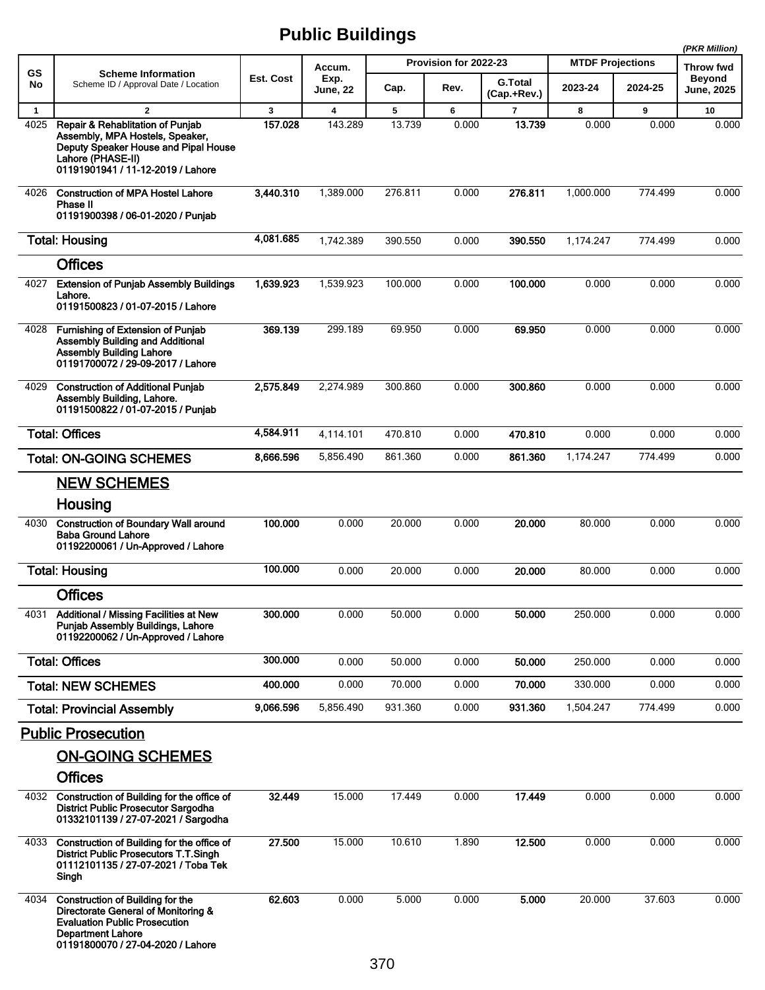|              |                                                                                                                                                                                         |           | apno Danamyo     |         |                       |                               |                         |         | (PKR Million)                      |
|--------------|-----------------------------------------------------------------------------------------------------------------------------------------------------------------------------------------|-----------|------------------|---------|-----------------------|-------------------------------|-------------------------|---------|------------------------------------|
| <b>GS</b>    | <b>Scheme Information</b>                                                                                                                                                               |           | Accum.           |         | Provision for 2022-23 |                               | <b>MTDF Projections</b> |         | Throw fwd                          |
| No           | Scheme ID / Approval Date / Location                                                                                                                                                    | Est. Cost | Exp.<br>June, 22 | Cap.    | Rev.                  | <b>G.Total</b><br>(Cap.+Rev.) | 2023-24                 | 2024-25 | <b>Beyond</b><br><b>June, 2025</b> |
| $\mathbf{1}$ | $\overline{2}$                                                                                                                                                                          | 3         | 4                | 5       | 6                     | $\overline{7}$                | 8                       | 9       | 10                                 |
| 4025         | Repair & Rehablitation of Punjab<br>Assembly, MPA Hostels, Speaker,<br>Deputy Speaker House and Pipal House<br>Lahore (PHASE-II)<br>01191901941 / 11-12-2019 / Lahore                   | 157.028   | 143.289          | 13.739  | 0.000                 | 13.739                        | 0.000                   | 0.000   | 0.000                              |
| 4026         | <b>Construction of MPA Hostel Lahore</b><br>Phase II<br>01191900398 / 06-01-2020 / Punjab                                                                                               | 3.440.310 | 1,389.000        | 276.811 | 0.000                 | 276.811                       | 1,000.000               | 774.499 | 0.000                              |
|              | <b>Total: Housing</b>                                                                                                                                                                   | 4,081.685 | 1,742.389        | 390.550 | 0.000                 | 390.550                       | 1,174.247               | 774.499 | 0.000                              |
|              | <b>Offices</b>                                                                                                                                                                          |           |                  |         |                       |                               |                         |         |                                    |
| 4027         | <b>Extension of Puniab Assembly Buildings</b><br>Lahore.<br>01191500823 / 01-07-2015 / Lahore                                                                                           | 1,639.923 | 1,539.923        | 100.000 | 0.000                 | 100.000                       | 0.000                   | 0.000   | 0.000                              |
| 4028         | Furnishing of Extension of Punjab<br>Assembly Building and Additional<br><b>Assembly Building Lahore</b><br>01191700072 / 29-09-2017 / Lahore                                           | 369.139   | 299.189          | 69.950  | 0.000                 | 69.950                        | 0.000                   | 0.000   | 0.000                              |
| 4029         | <b>Construction of Additional Punjab</b><br>Assembly Building, Lahore.<br>01191500822 / 01-07-2015 / Punjab                                                                             | 2,575.849 | 2.274.989        | 300.860 | 0.000                 | 300.860                       | 0.000                   | 0.000   | 0.000                              |
|              | <b>Total: Offices</b>                                                                                                                                                                   | 4,584.911 | 4,114.101        | 470.810 | 0.000                 | 470.810                       | 0.000                   | 0.000   | 0.000                              |
|              | <b>Total: ON-GOING SCHEMES</b>                                                                                                                                                          | 8,666.596 | 5,856.490        | 861.360 | 0.000                 | 861.360                       | 1,174.247               | 774.499 | 0.000                              |
|              | <b>NEW SCHEMES</b>                                                                                                                                                                      |           |                  |         |                       |                               |                         |         |                                    |
|              | Housing                                                                                                                                                                                 |           |                  |         |                       |                               |                         |         |                                    |
| 4030         | <b>Construction of Boundary Wall around</b><br><b>Baba Ground Lahore</b><br>01192200061 / Un-Approved / Lahore                                                                          | 100.000   | 0.000            | 20.000  | 0.000                 | 20.000                        | 80.000                  | 0.000   | 0.000                              |
|              | <b>Total: Housing</b>                                                                                                                                                                   | 100.000   | 0.000            | 20.000  | 0.000                 | 20.000                        | 80.000                  | 0.000   | 0.000                              |
|              | <b>Offices</b>                                                                                                                                                                          |           |                  |         |                       |                               |                         |         |                                    |
| 4031         | <b>Additional / Missing Facilities at New</b><br>Punjab Assembly Buildings, Lahore<br>01192200062 / Un-Approved / Lahore                                                                | 300.000   | 0.000            | 50.000  | 0.000                 | 50.000                        | 250.000                 | 0.000   | 0.000                              |
|              | <b>Total: Offices</b>                                                                                                                                                                   | 300.000   | 0.000            | 50.000  | 0.000                 | 50.000                        | 250.000                 | 0.000   | 0.000                              |
|              | <b>Total: NEW SCHEMES</b>                                                                                                                                                               | 400.000   | 0.000            | 70.000  | 0.000                 | 70.000                        | 330.000                 | 0.000   | 0.000                              |
|              | <b>Total: Provincial Assembly</b>                                                                                                                                                       | 9.066.596 | 5,856.490        | 931.360 | 0.000                 | 931.360                       | 1,504.247               | 774.499 | 0.000                              |
|              | <b>Public Prosecution</b>                                                                                                                                                               |           |                  |         |                       |                               |                         |         |                                    |
|              | <b>ON-GOING SCHEMES</b>                                                                                                                                                                 |           |                  |         |                       |                               |                         |         |                                    |
|              | <b>Offices</b>                                                                                                                                                                          |           |                  |         |                       |                               |                         |         |                                    |
| 4032         | Construction of Building for the office of<br><b>District Public Prosecutor Sargodha</b><br>01332101139 / 27-07-2021 / Sargodha                                                         | 32.449    | 15.000           | 17.449  | 0.000                 | 17.449                        | 0.000                   | 0.000   | 0.000                              |
| 4033         | Construction of Building for the office of<br><b>District Public Prosecutors T.T.Singh</b><br>01112101135 / 27-07-2021 / Toba Tek<br>Singh                                              | 27.500    | 15.000           | 10.610  | 1.890                 | 12.500                        | 0.000                   | 0.000   | 0.000                              |
| 4034         | <b>Construction of Building for the</b><br>Directorate General of Monitoring &<br><b>Evaluation Public Prosecution</b><br><b>Department Lahore</b><br>01191800070 / 27-04-2020 / Lahore | 62.603    | 0.000            | 5.000   | 0.000                 | 5.000                         | 20.000                  | 37.603  | 0.000                              |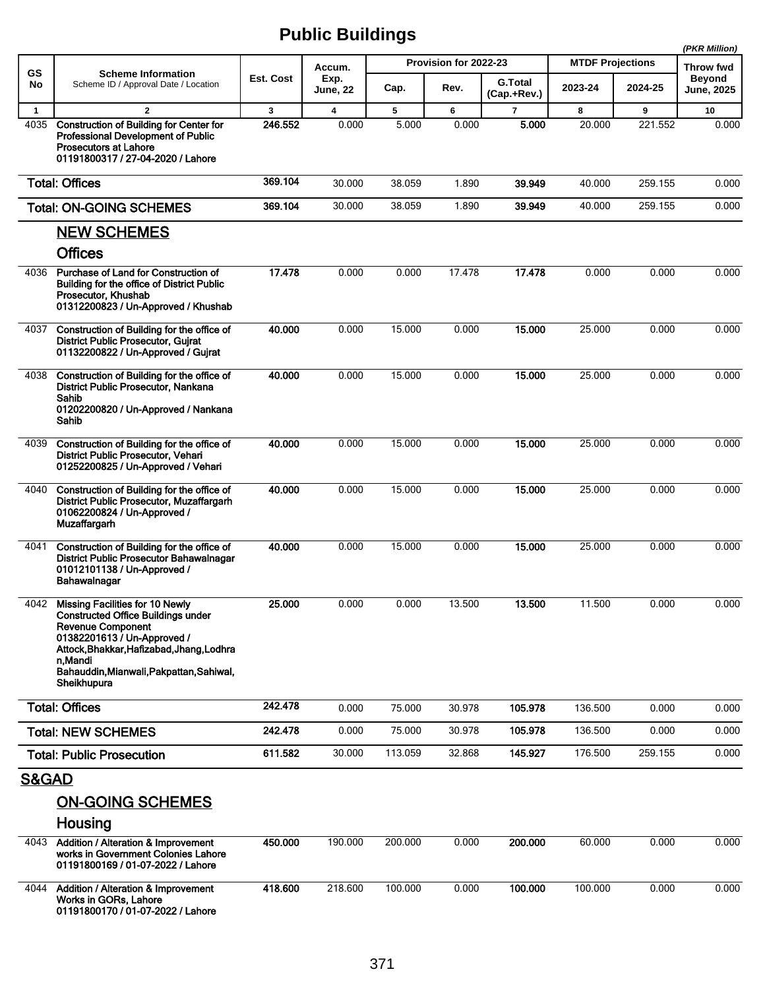|                  |                                                                                                                                                                                                                                                                   |              |                         |         |                       |                               |                         |         | (PKR Million)                      |
|------------------|-------------------------------------------------------------------------------------------------------------------------------------------------------------------------------------------------------------------------------------------------------------------|--------------|-------------------------|---------|-----------------------|-------------------------------|-------------------------|---------|------------------------------------|
| <b>GS</b>        | <b>Scheme Information</b>                                                                                                                                                                                                                                         |              | Accum.                  |         | Provision for 2022-23 |                               | <b>MTDF Projections</b> |         | Throw fwd                          |
| No               | Scheme ID / Approval Date / Location                                                                                                                                                                                                                              | Est. Cost    | Exp.<br><b>June, 22</b> | Cap.    | Rev.                  | <b>G.Total</b><br>(Cap.+Rev.) | 2023-24                 | 2024-25 | <b>Beyond</b><br><b>June, 2025</b> |
| $\mathbf{1}$     | $\mathbf{2}$                                                                                                                                                                                                                                                      | $\mathbf{3}$ | $\overline{\mathbf{4}}$ | 5       | 6                     | $\overline{7}$                | 8                       | 9       | 10                                 |
| 4035             | <b>Construction of Building for Center for</b><br><b>Professional Development of Public</b><br><b>Prosecutors at Lahore</b><br>01191800317 / 27-04-2020 / Lahore                                                                                                  | 246.552      | 0.000                   | 5.000   | 0.000                 | 5.000                         | 20.000                  | 221.552 | 0.000                              |
|                  | <b>Total: Offices</b>                                                                                                                                                                                                                                             | 369.104      | 30.000                  | 38.059  | 1.890                 | 39.949                        | 40.000                  | 259.155 | 0.000                              |
|                  | <b>Total: ON-GOING SCHEMES</b>                                                                                                                                                                                                                                    | 369.104      | 30.000                  | 38.059  | 1.890                 | 39.949                        | 40.000                  | 259.155 | 0.000                              |
|                  | <b>NEW SCHEMES</b>                                                                                                                                                                                                                                                |              |                         |         |                       |                               |                         |         |                                    |
|                  | <b>Offices</b>                                                                                                                                                                                                                                                    |              |                         |         |                       |                               |                         |         |                                    |
| 4036             | Purchase of Land for Construction of<br><b>Building for the office of District Public</b><br>Prosecutor, Khushab<br>01312200823 / Un-Approved / Khushab                                                                                                           | 17.478       | 0.000                   | 0.000   | 17.478                | 17.478                        | 0.000                   | 0.000   | 0.000                              |
| 4037             | Construction of Building for the office of<br><b>District Public Prosecutor, Guirat</b><br>01132200822 / Un-Approved / Gujrat                                                                                                                                     | 40.000       | 0.000                   | 15.000  | 0.000                 | 15,000                        | 25.000                  | 0.000   | 0.000                              |
| 4038             | Construction of Building for the office of<br><b>District Public Prosecutor, Nankana</b><br>Sahib<br>01202200820 / Un-Approved / Nankana<br>Sahib                                                                                                                 | 40.000       | 0.000                   | 15.000  | 0.000                 | 15.000                        | 25.000                  | 0.000   | 0.000                              |
| 4039             | Construction of Building for the office of<br>District Public Prosecutor, Vehari<br>01252200825 / Un-Approved / Vehari                                                                                                                                            | 40.000       | 0.000                   | 15.000  | 0.000                 | 15.000                        | 25.000                  | 0.000   | 0.000                              |
| 4040             | Construction of Building for the office of<br>District Public Prosecutor, Muzaffargarh<br>01062200824 / Un-Approved /<br>Muzaffargarh                                                                                                                             | 40.000       | 0.000                   | 15.000  | 0.000                 | 15.000                        | 25.000                  | 0.000   | 0.000                              |
| 4041             | Construction of Building for the office of<br><b>District Public Prosecutor Bahawalnagar</b><br>01012101138 / Un-Approved /<br>Bahawalnagar                                                                                                                       | 40.000       | 0.000                   | 15.000  | 0.000                 | 15.000                        | 25.000                  | 0.000   | 0.000                              |
| 4042             | <b>Missing Facilities for 10 Newly</b><br><b>Constructed Office Buildings under</b><br><b>Revenue Component</b><br>01382201613 / Un-Approved /<br>Attock, Bhakkar, Hafizabad, Jhang, Lodhra<br>n Mandi<br>Bahauddin, Mianwali, Pakpattan, Sahiwal,<br>Sheikhupura | 25.000       | 0.000                   | 0.000   | 13.500                | 13.500                        | 11.500                  | 0.000   | 0.000                              |
|                  | <b>Total: Offices</b>                                                                                                                                                                                                                                             | 242.478      | 0.000                   | 75.000  | 30.978                | 105.978                       | 136.500                 | 0.000   | 0.000                              |
|                  | <b>Total: NEW SCHEMES</b>                                                                                                                                                                                                                                         | 242.478      | 0.000                   | 75.000  | 30.978                | 105.978                       | 136.500                 | 0.000   | 0.000                              |
|                  | <b>Total: Public Prosecution</b>                                                                                                                                                                                                                                  | 611.582      | 30.000                  | 113.059 | 32.868                | 145.927                       | 176.500                 | 259.155 | 0.000                              |
| <b>S&amp;GAD</b> |                                                                                                                                                                                                                                                                   |              |                         |         |                       |                               |                         |         |                                    |
|                  | <b>ON-GOING SCHEMES</b>                                                                                                                                                                                                                                           |              |                         |         |                       |                               |                         |         |                                    |
|                  | Housing                                                                                                                                                                                                                                                           |              |                         |         |                       |                               |                         |         |                                    |
| 4043             | <b>Addition / Alteration &amp; Improvement</b><br>works in Government Colonies Lahore<br>01191800169 / 01-07-2022 / Lahore                                                                                                                                        | 450.000      | 190.000                 | 200.000 | 0.000                 | 200.000                       | 60.000                  | 0.000   | 0.000                              |
| 4044             | <b>Addition / Alteration &amp; Improvement</b><br>Works in GORs, Lahore<br>01191800170 / 01-07-2022 / Lahore                                                                                                                                                      | 418.600      | 218.600                 | 100.000 | 0.000                 | 100.000                       | 100.000                 | 0.000   | 0.000                              |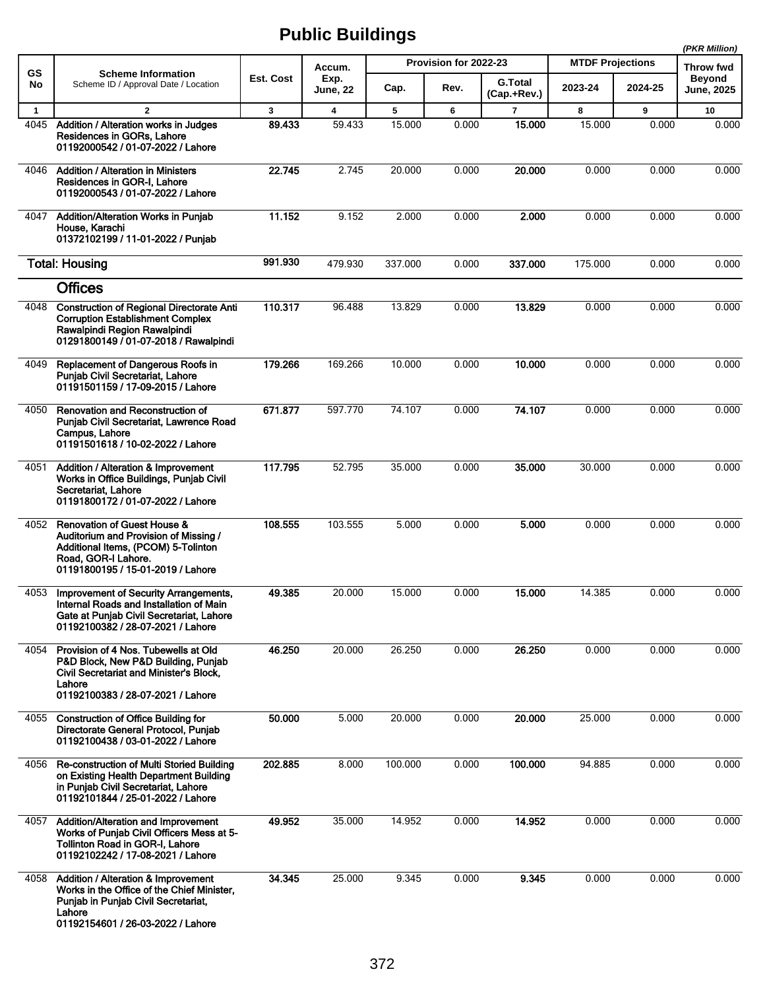|                      |                                                                                                                                                                                    |             |                                   |             |                       |                          |                         | (PKR Million) |                            |
|----------------------|------------------------------------------------------------------------------------------------------------------------------------------------------------------------------------|-------------|-----------------------------------|-------------|-----------------------|--------------------------|-------------------------|---------------|----------------------------|
| <b>GS</b><br>No      | <b>Scheme Information</b><br>Scheme ID / Approval Date / Location                                                                                                                  | Est. Cost   | Accum.<br>Exp.                    |             | Provision for 2022-23 | <b>G.Total</b>           | <b>MTDF Projections</b> |               | Throw fwd<br><b>Beyond</b> |
|                      |                                                                                                                                                                                    |             | June, 22                          | Cap.        | Rev.                  | (Cap.+Rev.)              | 2023-24                 | 2024-25       | <b>June, 2025</b>          |
| $\mathbf{1}$<br>4045 | $\overline{2}$<br>Addition / Alteration works in Judges<br>Residences in GORs, Lahore<br>01192000542 / 01-07-2022 / Lahore                                                         | 3<br>89.433 | $\overline{\mathbf{4}}$<br>59.433 | 5<br>15.000 | 6<br>0.000            | $\overline{7}$<br>15,000 | 8<br>15.000             | 9<br>0.000    | 10<br>0.000                |
| 4046                 | <b>Addition / Alteration in Ministers</b><br>Residences in GOR-I, Lahore<br>01192000543 / 01-07-2022 / Lahore                                                                      | 22.745      | 2.745                             | 20.000      | 0.000                 | 20.000                   | 0.000                   | 0.000         | 0.000                      |
| 4047                 | Addition/Alteration Works in Punjab<br>House, Karachi<br>01372102199 / 11-01-2022 / Punjab                                                                                         | 11.152      | 9.152                             | 2.000       | 0.000                 | 2.000                    | 0.000                   | 0.000         | 0.000                      |
|                      | <b>Total: Housing</b>                                                                                                                                                              | 991.930     | 479.930                           | 337.000     | 0.000                 | 337.000                  | 175.000                 | 0.000         | 0.000                      |
|                      | <b>Offices</b>                                                                                                                                                                     |             |                                   |             |                       |                          |                         |               |                            |
| 4048                 | <b>Construction of Regional Directorate Anti</b><br><b>Corruption Establishment Complex</b><br>Rawalpindi Region Rawalpindi<br>01291800149 / 01-07-2018 / Rawalpindi               | 110.317     | 96.488                            | 13.829      | 0.000                 | 13.829                   | 0.000                   | 0.000         | 0.000                      |
| 4049                 | Replacement of Dangerous Roofs in<br>Punjab Civil Secretariat, Lahore<br>01191501159 / 17-09-2015 / Lahore                                                                         | 179.266     | 169.266                           | 10.000      | 0.000                 | 10.000                   | 0.000                   | 0.000         | 0.000                      |
| 4050                 | Renovation and Reconstruction of<br>Punjab Civil Secretariat, Lawrence Road<br>Campus, Lahore<br>01191501618 / 10-02-2022 / Lahore                                                 | 671.877     | 597.770                           | 74.107      | 0.000                 | 74.107                   | 0.000                   | 0.000         | 0.000                      |
| 4051                 | Addition / Alteration & Improvement<br>Works in Office Buildings, Punjab Civil<br>Secretariat, Lahore<br>01191800172 / 01-07-2022 / Lahore                                         | 117.795     | 52.795                            | 35.000      | 0.000                 | 35.000                   | 30.000                  | 0.000         | 0.000                      |
| 4052                 | <b>Renovation of Guest House &amp;</b><br>Auditorium and Provision of Missing /<br>Additional Items, (PCOM) 5-Tolinton<br>Road, GOR-I Lahore.<br>01191800195 / 15-01-2019 / Lahore | 108.555     | 103.555                           | 5.000       | 0.000                 | 5.000                    | 0.000                   | 0.000         | 0.000                      |
| 4053                 | Improvement of Security Arrangements,<br>Internal Roads and Installation of Main<br>Gate at Punjab Civil Secretariat, Lahore<br>01192100382 / 28-07-2021 / Lahore                  | 49.385      | 20.000                            | 15.000      | 0.000                 | 15,000                   | 14.385                  | 0.000         | 0.000                      |
| 4054                 | Provision of 4 Nos. Tubewells at Old<br>P&D Block, New P&D Building, Punjab<br>Civil Secretariat and Minister's Block,<br>Lahore<br>01192100383 / 28-07-2021 / Lahore              | 46.250      | 20.000                            | 26.250      | 0.000                 | 26.250                   | 0.000                   | 0.000         | 0.000                      |
| 4055                 | <b>Construction of Office Building for</b><br>Directorate General Protocol, Punjab<br>01192100438 / 03-01-2022 / Lahore                                                            | 50.000      | 5.000                             | 20.000      | 0.000                 | 20.000                   | 25.000                  | 0.000         | 0.000                      |
| 4056                 | Re-construction of Multi Storied Building<br>on Existing Health Department Building<br>in Punjab Civil Secretariat, Lahore<br>01192101844 / 25-01-2022 / Lahore                    | 202.885     | 8.000                             | 100.000     | 0.000                 | 100.000                  | 94.885                  | 0.000         | 0.000                      |
| 4057                 | Addition/Alteration and Improvement<br>Works of Punjab Civil Officers Mess at 5-<br>Tollinton Road in GOR-I, Lahore<br>01192102242 / 17-08-2021 / Lahore                           | 49.952      | 35.000                            | 14.952      | 0.000                 | 14.952                   | 0.000                   | 0.000         | 0.000                      |
| 4058                 | <b>Addition / Alteration &amp; Improvement</b><br>Works in the Office of the Chief Minister,<br>Punjab in Punjab Civil Secretariat,<br>Lahore<br>01192154601 / 26-03-2022 / Lahore | 34.345      | 25.000                            | 9.345       | 0.000                 | 9.345                    | 0.000                   | 0.000         | 0.000                      |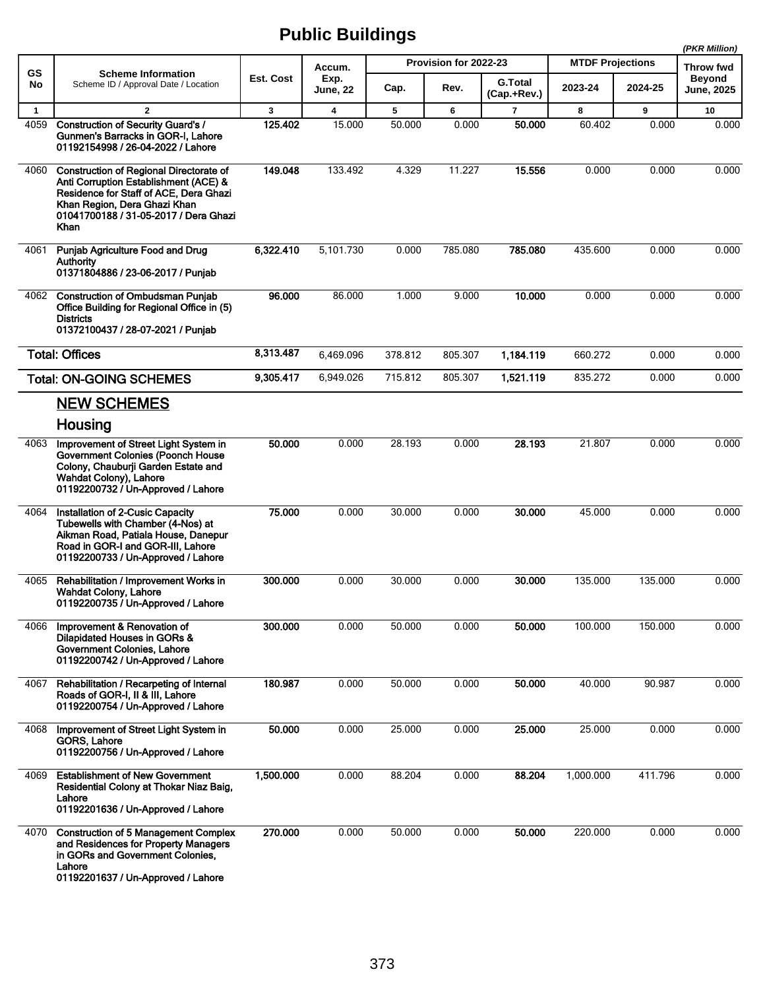|              |                                                                                                                                                                                                                    |           |                         |         |                       |                               |                         |         | (PKR Million)                      |
|--------------|--------------------------------------------------------------------------------------------------------------------------------------------------------------------------------------------------------------------|-----------|-------------------------|---------|-----------------------|-------------------------------|-------------------------|---------|------------------------------------|
| GS           | <b>Scheme Information</b>                                                                                                                                                                                          |           | Accum.                  |         | Provision for 2022-23 |                               | <b>MTDF Projections</b> |         | Throw fwd                          |
| No           | Scheme ID / Approval Date / Location                                                                                                                                                                               | Est. Cost | Exp.<br><b>June, 22</b> | Cap.    | Rev.                  | <b>G.Total</b><br>(Cap.+Rev.) | 2023-24                 | 2024-25 | <b>Beyond</b><br><b>June, 2025</b> |
| $\mathbf{1}$ | $\overline{2}$                                                                                                                                                                                                     | 3         | $\overline{\mathbf{4}}$ | 5       | 6                     | $\overline{7}$                | 8                       | 9       | 10                                 |
| 4059         | <b>Construction of Security Guard's /</b><br>Gunmen's Barracks in GOR-I, Lahore<br>01192154998 / 26-04-2022 / Lahore                                                                                               | 125.402   | 15.000                  | 50.000  | 0.000                 | 50.000                        | 60.402                  | 0.000   | 0.000                              |
| 4060         | <b>Construction of Regional Directorate of</b><br>Anti Corruption Establishment (ACE) &<br>Residence for Staff of ACE, Dera Ghazi<br>Khan Region, Dera Ghazi Khan<br>01041700188 / 31-05-2017 / Dera Ghazi<br>Khan | 149.048   | 133.492                 | 4.329   | 11.227                | 15.556                        | 0.000                   | 0.000   | 0.000                              |
| 4061         | Punjab Agriculture Food and Drug<br>Authority<br>01371804886 / 23-06-2017 / Punjab                                                                                                                                 | 6,322.410 | 5,101.730               | 0.000   | 785.080               | 785.080                       | 435.600                 | 0.000   | 0.000                              |
| 4062         | <b>Construction of Ombudsman Punjab</b><br>Office Building for Regional Office in (5)<br><b>Districts</b><br>01372100437 / 28-07-2021 / Punjab                                                                     | 96.000    | 86.000                  | 1.000   | 9.000                 | 10.000                        | 0.000                   | 0.000   | 0.000                              |
|              | <b>Total: Offices</b>                                                                                                                                                                                              | 8,313.487 | 6,469.096               | 378.812 | 805.307               | 1,184.119                     | 660.272                 | 0.000   | 0.000                              |
|              | <b>Total: ON-GOING SCHEMES</b>                                                                                                                                                                                     | 9,305.417 | 6,949.026               | 715.812 | 805.307               | 1,521.119                     | 835.272                 | 0.000   | 0.000                              |
|              | <b>NEW SCHEMES</b>                                                                                                                                                                                                 |           |                         |         |                       |                               |                         |         |                                    |
|              | Housing                                                                                                                                                                                                            |           |                         |         |                       |                               |                         |         |                                    |
| 4063         | Improvement of Street Light System in<br><b>Government Colonies (Poonch House</b><br>Colony, Chauburji Garden Estate and<br>Wahdat Colony), Lahore<br>01192200732 / Un-Approved / Lahore                           | 50.000    | 0.000                   | 28.193  | 0.000                 | 28.193                        | 21.807                  | 0.000   | 0.000                              |
| 4064         | Installation of 2-Cusic Capacity<br>Tubewells with Chamber (4-Nos) at<br>Aikman Road, Patiala House, Danepur<br>Road in GOR-I and GOR-III. Lahore<br>01192200733 / Un-Approved / Lahore                            | 75.000    | 0.000                   | 30.000  | 0.000                 | 30,000                        | 45.000                  | 0.000   | 0.000                              |
| 4065         | Rehabilitation / Improvement Works in<br><b>Wahdat Colony, Lahore</b><br>01192200735 / Un-Approved / Lahore                                                                                                        | 300.000   | 0.000                   | 30.000  | 0.000                 | 30.000                        | 135.000                 | 135.000 | 0.000                              |
| 4066         | Improvement & Renovation of<br>Dilapidated Houses in GORs &<br>Government Colonies, Lahore<br>01192200742 / Un-Approved / Lahore                                                                                   | 300.000   | 0.000                   | 50.000  | 0.000                 | 50.000                        | 100.000                 | 150.000 | 0.000                              |
| 4067         | Rehabilitation / Recarpeting of Internal<br>Roads of GOR-I, II & III, Lahore<br>01192200754 / Un-Approved / Lahore                                                                                                 | 180.987   | 0.000                   | 50.000  | 0.000                 | 50.000                        | 40.000                  | 90.987  | 0.000                              |
| 4068         | Improvement of Street Light System in<br>GORS, Lahore<br>01192200756 / Un-Approved / Lahore                                                                                                                        | 50.000    | 0.000                   | 25.000  | 0.000                 | 25.000                        | 25.000                  | 0.000   | 0.000                              |
| 4069         | <b>Establishment of New Government</b><br>Residential Colony at Thokar Niaz Baig,<br>Lahore<br>01192201636 / Un-Approved / Lahore                                                                                  | 1,500.000 | 0.000                   | 88.204  | 0.000                 | 88.204                        | 1,000.000               | 411.796 | 0.000                              |
| 4070         | <b>Construction of 5 Management Complex</b><br>and Residences for Property Managers<br>in GORs and Government Colonies,<br>Lahore<br>01192201637 / Un-Approved / Lahore                                            | 270.000   | 0.000                   | 50.000  | 0.000                 | 50.000                        | 220.000                 | 0.000   | 0.000                              |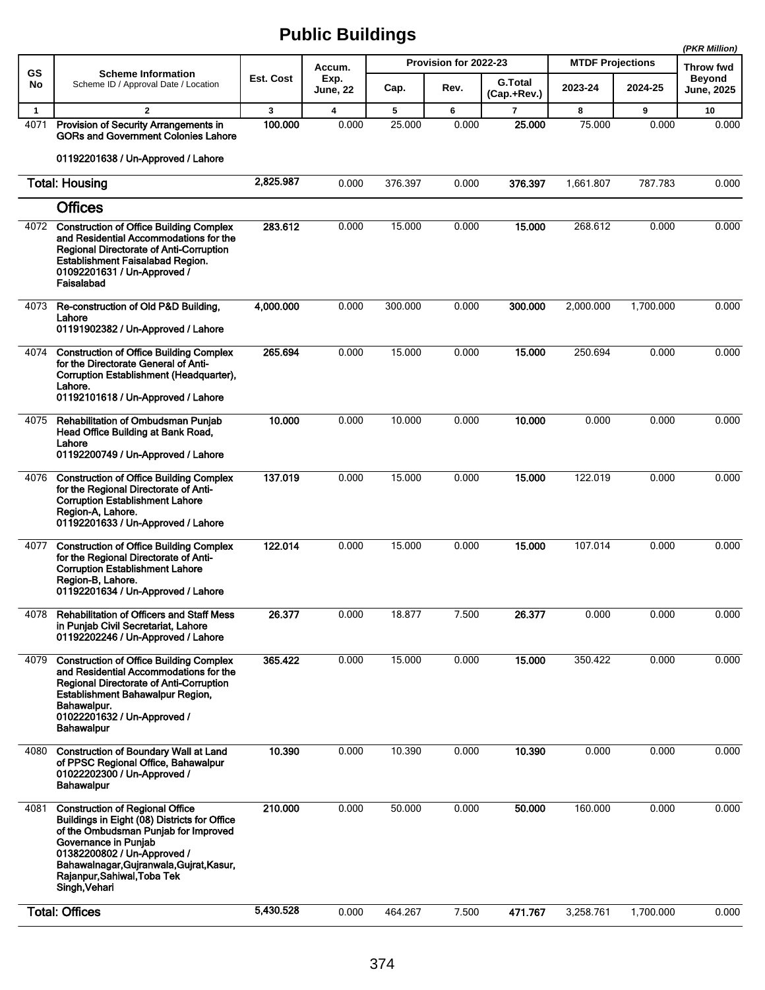|              |                                                                                                                                                                                                                                                                                   |           |                         |         |                       |                               |                         | (PKR Million) |                             |
|--------------|-----------------------------------------------------------------------------------------------------------------------------------------------------------------------------------------------------------------------------------------------------------------------------------|-----------|-------------------------|---------|-----------------------|-------------------------------|-------------------------|---------------|-----------------------------|
| <b>GS</b>    | <b>Scheme Information</b>                                                                                                                                                                                                                                                         |           | Accum.                  |         | Provision for 2022-23 |                               | <b>MTDF Projections</b> |               | Throw fwd                   |
| No           | Scheme ID / Approval Date / Location                                                                                                                                                                                                                                              | Est. Cost | Exp.<br><b>June, 22</b> | Cap.    | Rev.                  | <b>G.Total</b><br>(Cap.+Rev.) | 2023-24                 | 2024-25       | <b>Beyond</b><br>June, 2025 |
| $\mathbf{1}$ | $\mathbf{2}$                                                                                                                                                                                                                                                                      | 3         | 4                       | 5       | 6                     | $\overline{7}$                | 8                       | 9             | 10                          |
| 4071         | Provision of Security Arrangements in<br><b>GORs and Government Colonies Lahore</b><br>01192201638 / Un-Approved / Lahore                                                                                                                                                         | 100.000   | 0.000                   | 25.000  | 0.000                 | 25.000                        | 75.000                  | 0.000         | 0.000                       |
|              | <b>Total: Housing</b>                                                                                                                                                                                                                                                             | 2,825.987 | 0.000                   | 376.397 | 0.000                 | 376.397                       | 1,661.807               | 787.783       | 0.000                       |
|              | <b>Offices</b>                                                                                                                                                                                                                                                                    |           |                         |         |                       |                               |                         |               |                             |
| 4072         | <b>Construction of Office Building Complex</b><br>and Residential Accommodations for the<br>Regional Directorate of Anti-Corruption<br>Establishment Faisalabad Region.<br>01092201631 / Un-Approved /<br>Faisalabad                                                              | 283.612   | 0.000                   | 15.000  | 0.000                 | 15.000                        | 268.612                 | 0.000         | 0.000                       |
| 4073         | Re-construction of Old P&D Building,<br>Lahore<br>01191902382 / Un-Approved / Lahore                                                                                                                                                                                              | 4,000.000 | 0.000                   | 300.000 | 0.000                 | 300.000                       | 2,000.000               | 1,700.000     | 0.000                       |
| 4074         | <b>Construction of Office Building Complex</b><br>for the Directorate General of Anti-<br>Corruption Establishment (Headquarter),<br>Lahore.<br>01192101618 / Un-Approved / Lahore                                                                                                | 265.694   | 0.000                   | 15.000  | 0.000                 | 15.000                        | 250.694                 | 0.000         | 0.000                       |
| 4075         | Rehabilitation of Ombudsman Punjab<br>Head Office Building at Bank Road,<br>Lahore<br>01192200749 / Un-Approved / Lahore                                                                                                                                                          | 10.000    | 0.000                   | 10.000  | 0.000                 | 10.000                        | 0.000                   | 0.000         | 0.000                       |
| 4076         | <b>Construction of Office Building Complex</b><br>for the Regional Directorate of Anti-<br><b>Corruption Establishment Lahore</b><br>Region-A, Lahore.<br>01192201633 / Un-Approved / Lahore                                                                                      | 137.019   | 0.000                   | 15.000  | 0.000                 | 15.000                        | 122.019                 | 0.000         | 0.000                       |
| 4077         | <b>Construction of Office Building Complex</b><br>for the Regional Directorate of Anti-<br><b>Corruption Establishment Lahore</b><br>Region-B, Lahore.<br>01192201634 / Un-Approved / Lahore                                                                                      | 122.014   | 0.000                   | 15.000  | 0.000                 | 15,000                        | 107.014                 | 0.000         | 0.000                       |
| 4078         | <b>Rehabilitation of Officers and Staff Mess</b><br>in Punjab Civil Secretariat, Lahore<br>01192202246 / Un-Approved / Lahore                                                                                                                                                     | 26.377    | 0.000                   | 18.877  | 7.500                 | 26.377                        | 0.000                   | 0.000         | 0.000                       |
| 4079         | <b>Construction of Office Building Complex</b><br>and Residential Accommodations for the<br>Regional Directorate of Anti-Corruption<br>Establishment Bahawalpur Region,<br>Bahawalpur.<br>01022201632 / Un-Approved /<br><b>Bahawalpur</b>                                        | 365.422   | 0.000                   | 15.000  | 0.000                 | 15.000                        | 350.422                 | 0.000         | 0.000                       |
| 4080         | <b>Construction of Boundary Wall at Land</b><br>of PPSC Regional Office, Bahawalpur<br>01022202300 / Un-Approved /<br><b>Bahawalpur</b>                                                                                                                                           | 10.390    | 0.000                   | 10.390  | 0.000                 | 10.390                        | 0.000                   | 0.000         | 0.000                       |
| 4081         | <b>Construction of Regional Office</b><br>Buildings in Eight (08) Districts for Office<br>of the Ombudsman Punjab for Improved<br>Governance in Punjab<br>01382200802 / Un-Approved /<br>Bahawalnagar, Gujranwala, Gujrat, Kasur,<br>Rajanpur, Sahiwal, Toba Tek<br>Singh, Vehari | 210.000   | 0.000                   | 50.000  | 0.000                 | 50.000                        | 160.000                 | 0.000         | 0.000                       |
|              | <b>Total: Offices</b>                                                                                                                                                                                                                                                             | 5,430.528 | 0.000                   | 464.267 | 7.500                 | 471.767                       | 3,258.761               | 1,700.000     | 0.000                       |